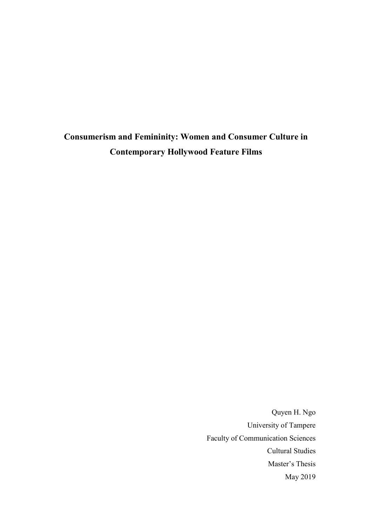**Consumerism and Femininity: Women and Consumer Culture in Contemporary Hollywood Feature Films**

> Quyen H. Ngo University of Tampere Faculty of Communication Sciences Cultural Studies Master's Thesis May 2019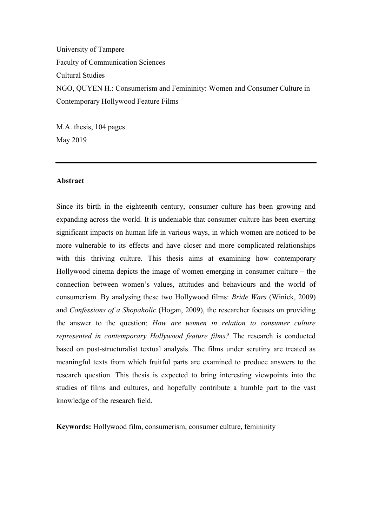University of Tampere Faculty of Communication Sciences Cultural Studies NGO, QUYEN H.: Consumerism and Femininity: Women and Consumer Culture in Contemporary Hollywood Feature Films

M.A. thesis, 104 pages May 2019

## **Abstract**

Since its birth in the eighteenth century, consumer culture has been growing and expanding across the world. It is undeniable that consumer culture has been exerting significant impacts on human life in various ways, in which women are noticed to be more vulnerable to its effects and have closer and more complicated relationships with this thriving culture. This thesis aims at examining how contemporary Hollywood cinema depicts the image of women emerging in consumer culture – the connection between women's values, attitudes and behaviours and the world of consumerism. By analysing these two Hollywood films: *Bride Wars* (Winick, 2009) and *Confessions of a Shopaholic* (Hogan, 2009), the researcher focuses on providing the answer to the question: *How are women in relation to consumer culture represented in contemporary Hollywood feature films?* The research is conducted based on post-structuralist textual analysis. The films under scrutiny are treated as meaningful texts from which fruitful parts are examined to produce answers to the research question. This thesis is expected to bring interesting viewpoints into the studies of films and cultures, and hopefully contribute a humble part to the vast knowledge of the research field.

**Keywords:** Hollywood film, consumerism, consumer culture, femininity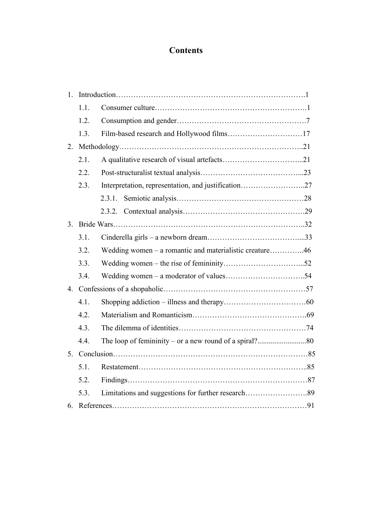# **Contents**

| 1. |      |                                                         |  |
|----|------|---------------------------------------------------------|--|
|    | 1.1. |                                                         |  |
|    | 1.2. |                                                         |  |
|    | 1.3. |                                                         |  |
| 2. |      |                                                         |  |
|    | 2.1. |                                                         |  |
|    | 2.2. |                                                         |  |
|    | 2.3. | Interpretation, representation, and justification27     |  |
|    |      | 2.3.1.                                                  |  |
|    |      |                                                         |  |
| 3. |      |                                                         |  |
|    | 3.1. |                                                         |  |
|    | 3.2. | Wedding women – a romantic and materialistic creature46 |  |
|    | 3.3. |                                                         |  |
|    | 3.4. |                                                         |  |
|    |      |                                                         |  |
|    | 4.1. |                                                         |  |
|    | 4.2. |                                                         |  |
|    | 4.3. |                                                         |  |
|    | 4.4. |                                                         |  |
|    |      |                                                         |  |
|    | 5.1. |                                                         |  |
|    | 5.2. |                                                         |  |
|    | 5.3. |                                                         |  |
| 6. |      |                                                         |  |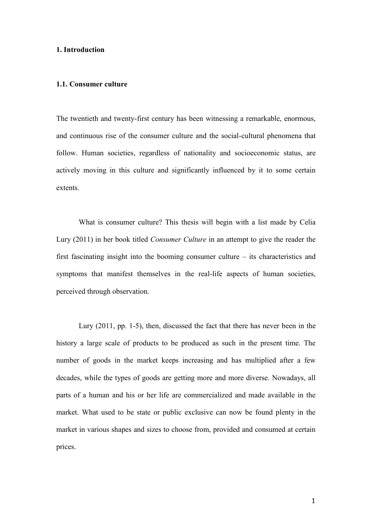# **1. Introduction**

# **1.1. Consumer culture**

The twentieth and twenty-first century has been witnessing a remarkable, enormous, and continuous rise of the consumer culture and the social-cultural phenomena that follow. Human societies, regardless of nationality and socioeconomic status, are actively moving in this culture and significantly influenced by it to some certain extents.

What is consumer culture? This thesis will begin with a list made by Celia Lury (2011) in her book titled *Consumer Culture* in an attempt to give the reader the first fascinating insight into the booming consumer culture – its characteristics and symptoms that manifest themselves in the real-life aspects of human societies, perceived through observation.

Lury (2011, pp. 1-5), then, discussed the fact that there has never been in the history a large scale of products to be produced as such in the present time. The number of goods in the market keeps increasing and has multiplied after a few decades, while the types of goods are getting more and more diverse. Nowadays, all parts of a human and his or her life are commercialized and made available in the market. What used to be state or public exclusive can now be found plenty in the market in various shapes and sizes to choose from, provided and consumed at certain prices.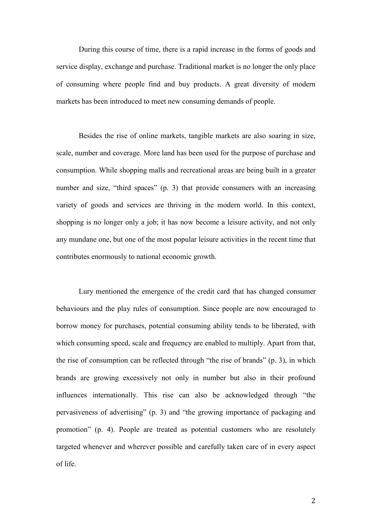During this course of time, there is a rapid increase in the forms of goods and service display, exchange and purchase. Traditional market is no longer the only place of consuming where people find and buy products. A great diversity of modern markets has been introduced to meet new consuming demands of people.

Besides the rise of online markets, tangible markets are also soaring in size, scale, number and coverage. More land has been used for the purpose of purchase and consumption. While shopping malls and recreational areas are being built in a greater number and size, "third spaces" (p. 3) that provide consumers with an increasing variety of goods and services are thriving in the modern world. In this context, shopping is no longer only a job; it has now become a leisure activity, and not only any mundane one, but one of the most popular leisure activities in the recent time that contributes enormously to national economic growth.

Lury mentioned the emergence of the credit card that has changed consumer behaviours and the play rules of consumption. Since people are now encouraged to borrow money for purchases, potential consuming ability tends to be liberated, with which consuming speed, scale and frequency are enabled to multiply. Apart from that, the rise of consumption can be reflected through "the rise of brands" (p. 3), in which brands are growing excessively not only in number but also in their profound influences internationally. This rise can also be acknowledged through "the pervasiveness of advertising" (p. 3) and "the growing importance of packaging and promotion" (p. 4). People are treated as potential customers who are resolutely targeted whenever and wherever possible and carefully taken care of in every aspect of life.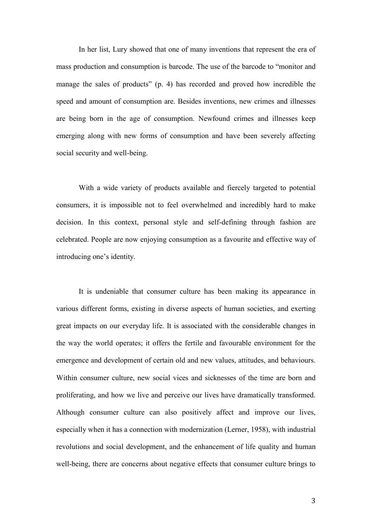In her list, Lury showed that one of many inventions that represent the era of mass production and consumption is barcode. The use of the barcode to "monitor and manage the sales of products" (p. 4) has recorded and proved how incredible the speed and amount of consumption are. Besides inventions, new crimes and illnesses are being born in the age of consumption. Newfound crimes and illnesses keep emerging along with new forms of consumption and have been severely affecting social security and well-being.

With a wide variety of products available and fiercely targeted to potential consumers, it is impossible not to feel overwhelmed and incredibly hard to make decision. In this context, personal style and self-defining through fashion are celebrated. People are now enjoying consumption as a favourite and effective way of introducing one's identity.

It is undeniable that consumer culture has been making its appearance in various different forms, existing in diverse aspects of human societies, and exerting great impacts on our everyday life. It is associated with the considerable changes in the way the world operates; it offers the fertile and favourable environment for the emergence and development of certain old and new values, attitudes, and behaviours. Within consumer culture, new social vices and sicknesses of the time are born and proliferating, and how we live and perceive our lives have dramatically transformed. Although consumer culture can also positively affect and improve our lives, especially when it has a connection with modernization (Lerner, 1958), with industrial revolutions and social development, and the enhancement of life quality and human well-being, there are concerns about negative effects that consumer culture brings to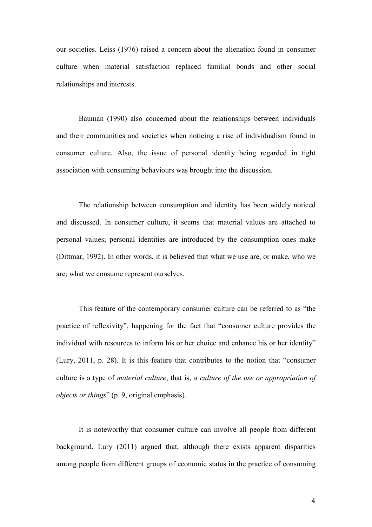our societies. Leiss (1976) raised a concern about the alienation found in consumer culture when material satisfaction replaced familial bonds and other social relationships and interests.

Bauman (1990) also concerned about the relationships between individuals and their communities and societies when noticing a rise of individualism found in consumer culture. Also, the issue of personal identity being regarded in tight association with consuming behaviours was brought into the discussion.

The relationship between consumption and identity has been widely noticed and discussed. In consumer culture, it seems that material values are attached to personal values; personal identities are introduced by the consumption ones make (Dittmar, 1992). In other words, it is believed that what we use are, or make, who we are; what we consume represent ourselves.

This feature of the contemporary consumer culture can be referred to as "the practice of reflexivity", happening for the fact that "consumer culture provides the individual with resources to inform his or her choice and enhance his or her identity" (Lury, 2011, p. 28). It is this feature that contributes to the notion that "consumer culture is a type of *material culture*, that is, *a culture of the use or appropriation of objects or things*" (p. 9, original emphasis).

It is noteworthy that consumer culture can involve all people from different background. Lury (2011) argued that, although there exists apparent disparities among people from different groups of economic status in the practice of consuming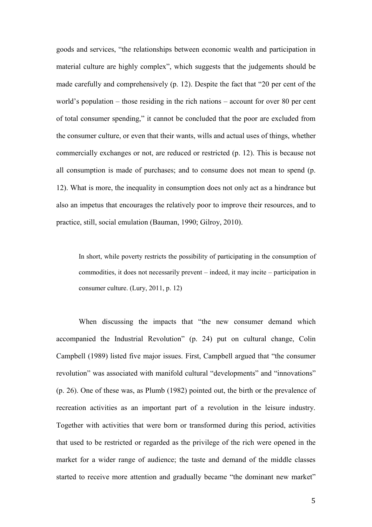goods and services, "the relationships between economic wealth and participation in material culture are highly complex", which suggests that the judgements should be made carefully and comprehensively (p. 12). Despite the fact that "20 per cent of the world's population – those residing in the rich nations – account for over 80 per cent of total consumer spending," it cannot be concluded that the poor are excluded from the consumer culture, or even that their wants, wills and actual uses of things, whether commercially exchanges or not, are reduced or restricted (p. 12). This is because not all consumption is made of purchases; and to consume does not mean to spend (p. 12). What is more, the inequality in consumption does not only act as a hindrance but also an impetus that encourages the relatively poor to improve their resources, and to practice, still, social emulation (Bauman, 1990; Gilroy, 2010).

In short, while poverty restricts the possibility of participating in the consumption of commodities, it does not necessarily prevent – indeed, it may incite – participation in consumer culture. (Lury, 2011, p. 12)

When discussing the impacts that "the new consumer demand which accompanied the Industrial Revolution" (p. 24) put on cultural change, Colin Campbell (1989) listed five major issues. First, Campbell argued that "the consumer revolution" was associated with manifold cultural "developments" and "innovations" (p. 26). One of these was, as Plumb (1982) pointed out, the birth or the prevalence of recreation activities as an important part of a revolution in the leisure industry. Together with activities that were born or transformed during this period, activities that used to be restricted or regarded as the privilege of the rich were opened in the market for a wider range of audience; the taste and demand of the middle classes started to receive more attention and gradually became "the dominant new market"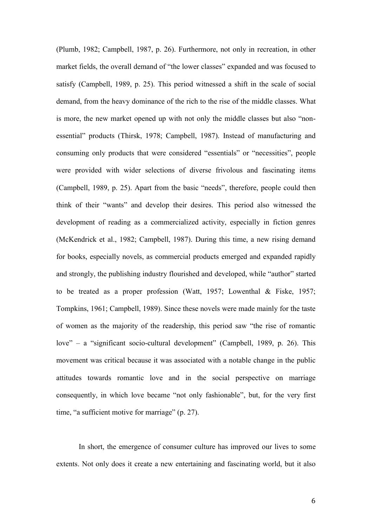(Plumb, 1982; Campbell, 1987, p. 26). Furthermore, not only in recreation, in other market fields, the overall demand of "the lower classes" expanded and was focused to satisfy (Campbell, 1989, p. 25). This period witnessed a shift in the scale of social demand, from the heavy dominance of the rich to the rise of the middle classes. What is more, the new market opened up with not only the middle classes but also "nonessential" products (Thirsk, 1978; Campbell, 1987). Instead of manufacturing and consuming only products that were considered "essentials" or "necessities", people were provided with wider selections of diverse frivolous and fascinating items (Campbell, 1989, p. 25). Apart from the basic "needs", therefore, people could then think of their "wants" and develop their desires. This period also witnessed the development of reading as a commercialized activity, especially in fiction genres (McKendrick et al., 1982; Campbell, 1987). During this time, a new rising demand for books, especially novels, as commercial products emerged and expanded rapidly and strongly, the publishing industry flourished and developed, while "author" started to be treated as a proper profession (Watt, 1957; Lowenthal & Fiske, 1957; Tompkins, 1961; Campbell, 1989). Since these novels were made mainly for the taste of women as the majority of the readership, this period saw "the rise of romantic love" – a "significant socio-cultural development" (Campbell, 1989, p. 26). This movement was critical because it was associated with a notable change in the public attitudes towards romantic love and in the social perspective on marriage consequently, in which love became "not only fashionable", but, for the very first time, "a sufficient motive for marriage" (p. 27).

In short, the emergence of consumer culture has improved our lives to some extents. Not only does it create a new entertaining and fascinating world, but it also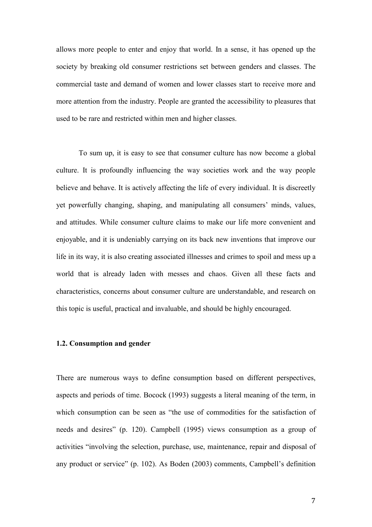allows more people to enter and enjoy that world. In a sense, it has opened up the society by breaking old consumer restrictions set between genders and classes. The commercial taste and demand of women and lower classes start to receive more and more attention from the industry. People are granted the accessibility to pleasures that used to be rare and restricted within men and higher classes.

To sum up, it is easy to see that consumer culture has now become a global culture. It is profoundly influencing the way societies work and the way people believe and behave. It is actively affecting the life of every individual. It is discreetly yet powerfully changing, shaping, and manipulating all consumers' minds, values, and attitudes. While consumer culture claims to make our life more convenient and enjoyable, and it is undeniably carrying on its back new inventions that improve our life in its way, it is also creating associated illnesses and crimes to spoil and mess up a world that is already laden with messes and chaos. Given all these facts and characteristics, concerns about consumer culture are understandable, and research on this topic is useful, practical and invaluable, and should be highly encouraged.

### **1.2. Consumption and gender**

There are numerous ways to define consumption based on different perspectives, aspects and periods of time. Bocock (1993) suggests a literal meaning of the term, in which consumption can be seen as "the use of commodities for the satisfaction of needs and desires" (p. 120). Campbell (1995) views consumption as a group of activities "involving the selection, purchase, use, maintenance, repair and disposal of any product or service" (p. 102). As Boden (2003) comments, Campbell's definition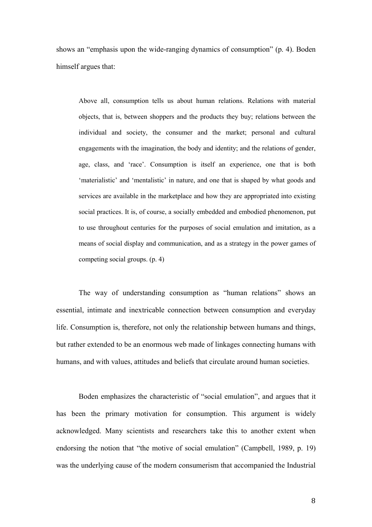shows an "emphasis upon the wide-ranging dynamics of consumption" (p. 4). Boden himself argues that:

Above all, consumption tells us about human relations. Relations with material objects, that is, between shoppers and the products they buy; relations between the individual and society, the consumer and the market; personal and cultural engagements with the imagination, the body and identity; and the relations of gender, age, class, and 'race'. Consumption is itself an experience, one that is both 'materialistic' and 'mentalistic' in nature, and one that is shaped by what goods and services are available in the marketplace and how they are appropriated into existing social practices. It is, of course, a socially embedded and embodied phenomenon, put to use throughout centuries for the purposes of social emulation and imitation, as a means of social display and communication, and as a strategy in the power games of competing social groups. (p. 4)

The way of understanding consumption as "human relations" shows an essential, intimate and inextricable connection between consumption and everyday life. Consumption is, therefore, not only the relationship between humans and things, but rather extended to be an enormous web made of linkages connecting humans with humans, and with values, attitudes and beliefs that circulate around human societies.

Boden emphasizes the characteristic of "social emulation", and argues that it has been the primary motivation for consumption. This argument is widely acknowledged. Many scientists and researchers take this to another extent when endorsing the notion that "the motive of social emulation" (Campbell, 1989, p. 19) was the underlying cause of the modern consumerism that accompanied the Industrial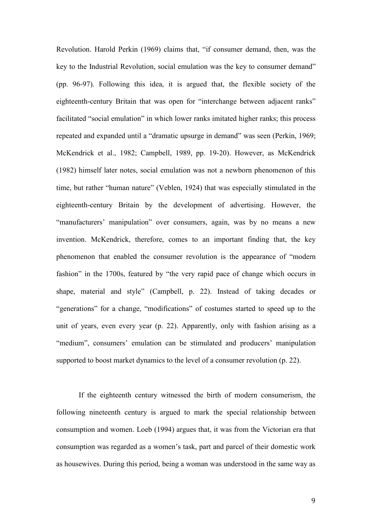Revolution. Harold Perkin (1969) claims that, "if consumer demand, then, was the key to the Industrial Revolution, social emulation was the key to consumer demand" (pp. 96-97). Following this idea, it is argued that, the flexible society of the eighteenth-century Britain that was open for "interchange between adjacent ranks" facilitated "social emulation" in which lower ranks imitated higher ranks; this process repeated and expanded until a "dramatic upsurge in demand" was seen (Perkin, 1969; McKendrick et al., 1982; Campbell, 1989, pp. 19-20). However, as McKendrick (1982) himself later notes, social emulation was not a newborn phenomenon of this time, but rather "human nature" (Veblen, 1924) that was especially stimulated in the eighteenth-century Britain by the development of advertising. However, the "manufacturers' manipulation" over consumers, again, was by no means a new invention. McKendrick, therefore, comes to an important finding that, the key phenomenon that enabled the consumer revolution is the appearance of "modern fashion" in the 1700s, featured by "the very rapid pace of change which occurs in shape, material and style" (Campbell, p. 22). Instead of taking decades or "generations" for a change, "modifications" of costumes started to speed up to the unit of years, even every year (p. 22). Apparently, only with fashion arising as a "medium", consumers' emulation can be stimulated and producers' manipulation supported to boost market dynamics to the level of a consumer revolution (p. 22).

If the eighteenth century witnessed the birth of modern consumerism, the following nineteenth century is argued to mark the special relationship between consumption and women. Loeb (1994) argues that, it was from the Victorian era that consumption was regarded as a women's task, part and parcel of their domestic work as housewives. During this period, being a woman was understood in the same way as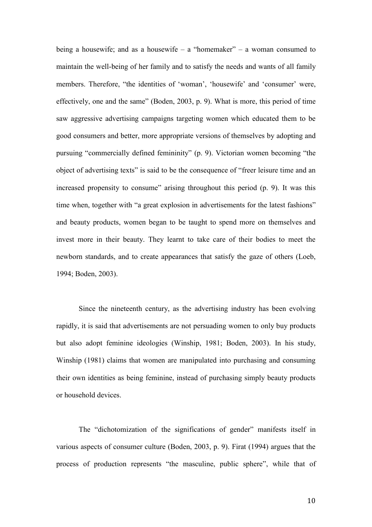being a housewife; and as a housewife – a "homemaker" – a woman consumed to maintain the well-being of her family and to satisfy the needs and wants of all family members. Therefore, "the identities of 'woman', 'housewife' and 'consumer' were, effectively, one and the same" (Boden, 2003, p. 9). What is more, this period of time saw aggressive advertising campaigns targeting women which educated them to be good consumers and better, more appropriate versions of themselves by adopting and pursuing "commercially defined femininity" (p. 9). Victorian women becoming "the object of advertising texts" is said to be the consequence of "freer leisure time and an increased propensity to consume" arising throughout this period (p. 9). It was this time when, together with "a great explosion in advertisements for the latest fashions" and beauty products, women began to be taught to spend more on themselves and invest more in their beauty. They learnt to take care of their bodies to meet the newborn standards, and to create appearances that satisfy the gaze of others (Loeb, 1994; Boden, 2003).

Since the nineteenth century, as the advertising industry has been evolving rapidly, it is said that advertisements are not persuading women to only buy products but also adopt feminine ideologies (Winship, 1981; Boden, 2003). In his study, Winship (1981) claims that women are manipulated into purchasing and consuming their own identities as being feminine, instead of purchasing simply beauty products or household devices.

The "dichotomization of the significations of gender" manifests itself in various aspects of consumer culture (Boden, 2003, p. 9). Firat (1994) argues that the process of production represents "the masculine, public sphere", while that of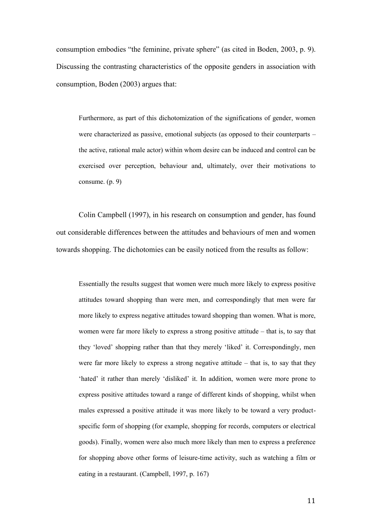consumption embodies "the feminine, private sphere" (as cited in Boden, 2003, p. 9). Discussing the contrasting characteristics of the opposite genders in association with consumption, Boden (2003) argues that:

Furthermore, as part of this dichotomization of the significations of gender, women were characterized as passive, emotional subjects (as opposed to their counterparts – the active, rational male actor) within whom desire can be induced and control can be exercised over perception, behaviour and, ultimately, over their motivations to consume. (p. 9)

Colin Campbell (1997), in his research on consumption and gender, has found out considerable differences between the attitudes and behaviours of men and women towards shopping. The dichotomies can be easily noticed from the results as follow:

Essentially the results suggest that women were much more likely to express positive attitudes toward shopping than were men, and correspondingly that men were far more likely to express negative attitudes toward shopping than women. What is more, women were far more likely to express a strong positive attitude – that is, to say that they 'loved' shopping rather than that they merely 'liked' it. Correspondingly, men were far more likely to express a strong negative attitude – that is, to say that they 'hated' it rather than merely 'disliked' it. In addition, women were more prone to express positive attitudes toward a range of different kinds of shopping, whilst when males expressed a positive attitude it was more likely to be toward a very productspecific form of shopping (for example, shopping for records, computers or electrical goods). Finally, women were also much more likely than men to express a preference for shopping above other forms of leisure-time activity, such as watching a film or eating in a restaurant. (Campbell, 1997, p. 167)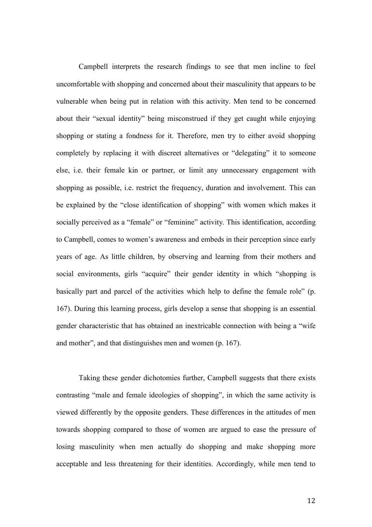Campbell interprets the research findings to see that men incline to feel uncomfortable with shopping and concerned about their masculinity that appears to be vulnerable when being put in relation with this activity. Men tend to be concerned about their "sexual identity" being misconstrued if they get caught while enjoying shopping or stating a fondness for it. Therefore, men try to either avoid shopping completely by replacing it with discreet alternatives or "delegating" it to someone else, i.e. their female kin or partner, or limit any unnecessary engagement with shopping as possible, i.e. restrict the frequency, duration and involvement. This can be explained by the "close identification of shopping" with women which makes it socially perceived as a "female" or "feminine" activity. This identification, according to Campbell, comes to women's awareness and embeds in their perception since early years of age. As little children, by observing and learning from their mothers and social environments, girls "acquire" their gender identity in which "shopping is basically part and parcel of the activities which help to define the female role" (p. 167). During this learning process, girls develop a sense that shopping is an essential gender characteristic that has obtained an inextricable connection with being a "wife and mother", and that distinguishes men and women (p. 167).

Taking these gender dichotomies further, Campbell suggests that there exists contrasting "male and female ideologies of shopping", in which the same activity is viewed differently by the opposite genders. These differences in the attitudes of men towards shopping compared to those of women are argued to ease the pressure of losing masculinity when men actually do shopping and make shopping more acceptable and less threatening for their identities. Accordingly, while men tend to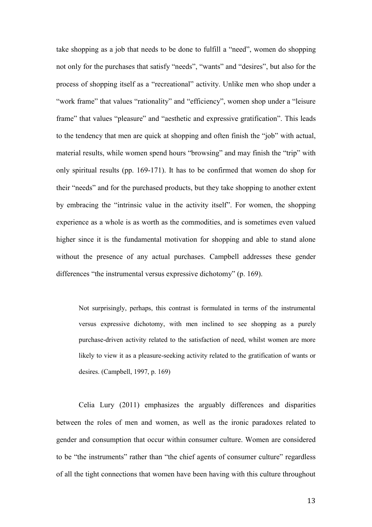take shopping as a job that needs to be done to fulfill a "need", women do shopping not only for the purchases that satisfy "needs", "wants" and "desires", but also for the process of shopping itself as a "recreational" activity. Unlike men who shop under a "work frame" that values "rationality" and "efficiency", women shop under a "leisure" frame" that values "pleasure" and "aesthetic and expressive gratification". This leads to the tendency that men are quick at shopping and often finish the "job" with actual, material results, while women spend hours "browsing" and may finish the "trip" with only spiritual results (pp. 169-171). It has to be confirmed that women do shop for their "needs" and for the purchased products, but they take shopping to another extent by embracing the "intrinsic value in the activity itself". For women, the shopping experience as a whole is as worth as the commodities, and is sometimes even valued higher since it is the fundamental motivation for shopping and able to stand alone without the presence of any actual purchases. Campbell addresses these gender differences "the instrumental versus expressive dichotomy" (p. 169).

Not surprisingly, perhaps, this contrast is formulated in terms of the instrumental versus expressive dichotomy, with men inclined to see shopping as a purely purchase-driven activity related to the satisfaction of need, whilst women are more likely to view it as a pleasure-seeking activity related to the gratification of wants or desires. (Campbell, 1997, p. 169)

Celia Lury (2011) emphasizes the arguably differences and disparities between the roles of men and women, as well as the ironic paradoxes related to gender and consumption that occur within consumer culture. Women are considered to be "the instruments" rather than "the chief agents of consumer culture" regardless of all the tight connections that women have been having with this culture throughout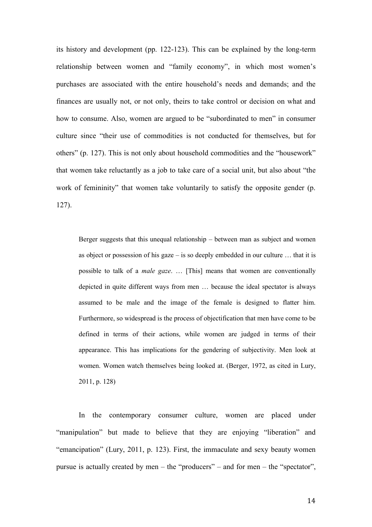its history and development (pp. 122-123). This can be explained by the long-term relationship between women and "family economy", in which most women's purchases are associated with the entire household's needs and demands; and the finances are usually not, or not only, theirs to take control or decision on what and how to consume. Also, women are argued to be "subordinated to men" in consumer culture since "their use of commodities is not conducted for themselves, but for others" (p. 127). This is not only about household commodities and the "housework" that women take reluctantly as a job to take care of a social unit, but also about "the work of femininity" that women take voluntarily to satisfy the opposite gender (p. 127).

Berger suggests that this unequal relationship – between man as subject and women as object or possession of his gaze – is so deeply embedded in our culture  $\dots$  that it is possible to talk of a *male gaze*. … [This] means that women are conventionally depicted in quite different ways from men … because the ideal spectator is always assumed to be male and the image of the female is designed to flatter him. Furthermore, so widespread is the process of objectification that men have come to be defined in terms of their actions, while women are judged in terms of their appearance. This has implications for the gendering of subjectivity. Men look at women. Women watch themselves being looked at. (Berger, 1972, as cited in Lury, 2011, p. 128)

In the contemporary consumer culture, women are placed under "manipulation" but made to believe that they are enjoying "liberation" and "emancipation" (Lury, 2011, p. 123). First, the immaculate and sexy beauty women pursue is actually created by men – the "producers" – and for men – the "spectator",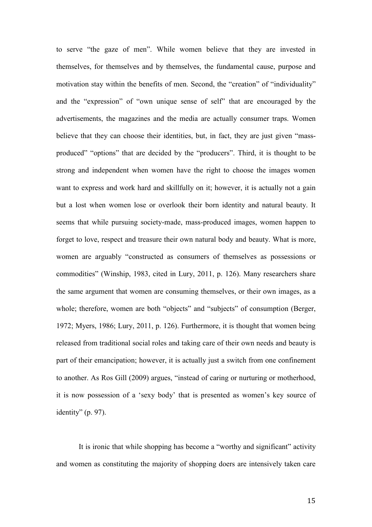to serve "the gaze of men". While women believe that they are invested in themselves, for themselves and by themselves, the fundamental cause, purpose and motivation stay within the benefits of men. Second, the "creation" of "individuality" and the "expression" of "own unique sense of self" that are encouraged by the advertisements, the magazines and the media are actually consumer traps. Women believe that they can choose their identities, but, in fact, they are just given "massproduced" "options" that are decided by the "producers". Third, it is thought to be strong and independent when women have the right to choose the images women want to express and work hard and skillfully on it; however, it is actually not a gain but a lost when women lose or overlook their born identity and natural beauty. It seems that while pursuing society-made, mass-produced images, women happen to forget to love, respect and treasure their own natural body and beauty. What is more, women are arguably "constructed as consumers of themselves as possessions or commodities" (Winship, 1983, cited in Lury, 2011, p. 126). Many researchers share the same argument that women are consuming themselves, or their own images, as a whole; therefore, women are both "objects" and "subjects" of consumption (Berger, 1972; Myers, 1986; Lury, 2011, p. 126). Furthermore, it is thought that women being released from traditional social roles and taking care of their own needs and beauty is part of their emancipation; however, it is actually just a switch from one confinement to another. As Ros Gill (2009) argues, "instead of caring or nurturing or motherhood, it is now possession of a 'sexy body' that is presented as women's key source of identity" (p. 97).

It is ironic that while shopping has become a "worthy and significant" activity and women as constituting the majority of shopping doers are intensively taken care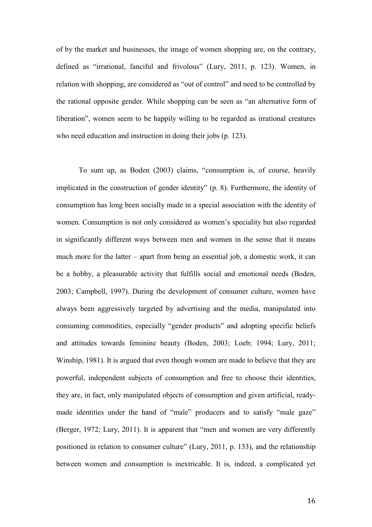of by the market and businesses, the image of women shopping are, on the contrary, defined as "irrational, fanciful and frivolous" (Lury, 2011, p. 123). Women, in relation with shopping, are considered as "out of control" and need to be controlled by the rational opposite gender. While shopping can be seen as "an alternative form of liberation", women seem to be happily willing to be regarded as irrational creatures who need education and instruction in doing their jobs (p. 123).

To sum up, as Boden (2003) claims, "consumption is, of course, heavily implicated in the construction of gender identity" (p. 8). Furthermore, the identity of consumption has long been socially made in a special association with the identity of women. Consumption is not only considered as women's speciality but also regarded in significantly different ways between men and women in the sense that it means much more for the latter – apart from being an essential job, a domestic work, it can be a hobby, a pleasurable activity that fulfills social and emotional needs (Boden, 2003; Campbell, 1997). During the development of consumer culture, women have always been aggressively targeted by advertising and the media, manipulated into consuming commodities, especially "gender products" and adopting specific beliefs and attitudes towards feminine beauty (Boden, 2003; Loeb; 1994; Lury, 2011; Winship, 1981). It is argued that even though women are made to believe that they are powerful, independent subjects of consumption and free to choose their identities, they are, in fact, only manipulated objects of consumption and given artificial, readymade identities under the hand of "male" producers and to satisfy "male gaze" (Berger, 1972; Lury, 2011). It is apparent that "men and women are very differently positioned in relation to consumer culture" (Lury, 2011, p. 133), and the relationship between women and consumption is inextricable. It is, indeed, a complicated yet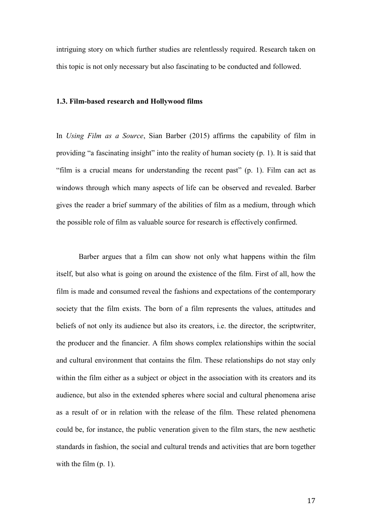intriguing story on which further studies are relentlessly required. Research taken on this topic is not only necessary but also fascinating to be conducted and followed.

# **1.3. Film-based research and Hollywood films**

In *Using Film as a Source*, Sian Barber (2015) affirms the capability of film in providing "a fascinating insight" into the reality of human society (p. 1). It is said that "film is a crucial means for understanding the recent past" (p. 1). Film can act as windows through which many aspects of life can be observed and revealed. Barber gives the reader a brief summary of the abilities of film as a medium, through which the possible role of film as valuable source for research is effectively confirmed.

Barber argues that a film can show not only what happens within the film itself, but also what is going on around the existence of the film. First of all, how the film is made and consumed reveal the fashions and expectations of the contemporary society that the film exists. The born of a film represents the values, attitudes and beliefs of not only its audience but also its creators, i.e. the director, the scriptwriter, the producer and the financier. A film shows complex relationships within the social and cultural environment that contains the film. These relationships do not stay only within the film either as a subject or object in the association with its creators and its audience, but also in the extended spheres where social and cultural phenomena arise as a result of or in relation with the release of the film. These related phenomena could be, for instance, the public veneration given to the film stars, the new aesthetic standards in fashion, the social and cultural trends and activities that are born together with the film (p. 1).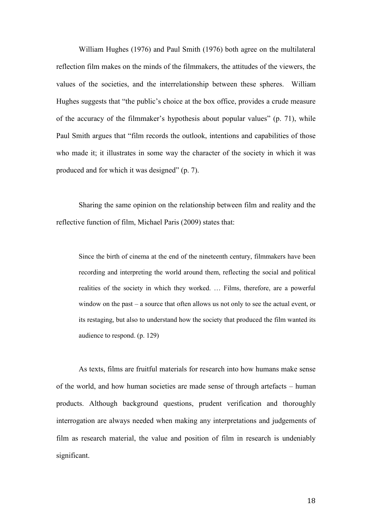William Hughes (1976) and Paul Smith (1976) both agree on the multilateral reflection film makes on the minds of the filmmakers, the attitudes of the viewers, the values of the societies, and the interrelationship between these spheres. William Hughes suggests that "the public's choice at the box office, provides a crude measure of the accuracy of the filmmaker's hypothesis about popular values" (p. 71), while Paul Smith argues that "film records the outlook, intentions and capabilities of those who made it; it illustrates in some way the character of the society in which it was produced and for which it was designed" (p. 7).

Sharing the same opinion on the relationship between film and reality and the reflective function of film, Michael Paris (2009) states that:

Since the birth of cinema at the end of the nineteenth century, filmmakers have been recording and interpreting the world around them, reflecting the social and political realities of the society in which they worked. … Films, therefore, are a powerful window on the past – a source that often allows us not only to see the actual event, or its restaging, but also to understand how the society that produced the film wanted its audience to respond. (p. 129)

As texts, films are fruitful materials for research into how humans make sense of the world, and how human societies are made sense of through artefacts – human products. Although background questions, prudent verification and thoroughly interrogation are always needed when making any interpretations and judgements of film as research material, the value and position of film in research is undeniably significant.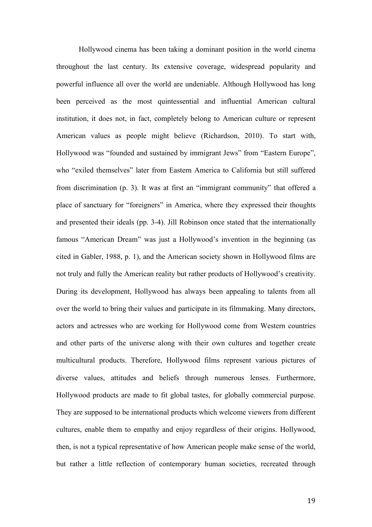Hollywood cinema has been taking a dominant position in the world cinema throughout the last century. Its extensive coverage, widespread popularity and powerful influence all over the world are undeniable. Although Hollywood has long been perceived as the most quintessential and influential American cultural institution, it does not, in fact, completely belong to American culture or represent American values as people might believe (Richardson, 2010). To start with, Hollywood was "founded and sustained by immigrant Jews" from "Eastern Europe", who "exiled themselves" later from Eastern America to California but still suffered from discrimination (p. 3). It was at first an "immigrant community" that offered a place of sanctuary for "foreigners" in America, where they expressed their thoughts and presented their ideals (pp. 3-4). Jill Robinson once stated that the internationally famous "American Dream" was just a Hollywood's invention in the beginning (as cited in Gabler, 1988, p. 1), and the American society shown in Hollywood films are not truly and fully the American reality but rather products of Hollywood's creativity. During its development, Hollywood has always been appealing to talents from all over the world to bring their values and participate in its filmmaking. Many directors, actors and actresses who are working for Hollywood come from Western countries and other parts of the universe along with their own cultures and together create multicultural products. Therefore, Hollywood films represent various pictures of diverse values, attitudes and beliefs through numerous lenses. Furthermore, Hollywood products are made to fit global tastes, for globally commercial purpose. They are supposed to be international products which welcome viewers from different cultures, enable them to empathy and enjoy regardless of their origins. Hollywood, then, is not a typical representative of how American people make sense of the world, but rather a little reflection of contemporary human societies, recreated through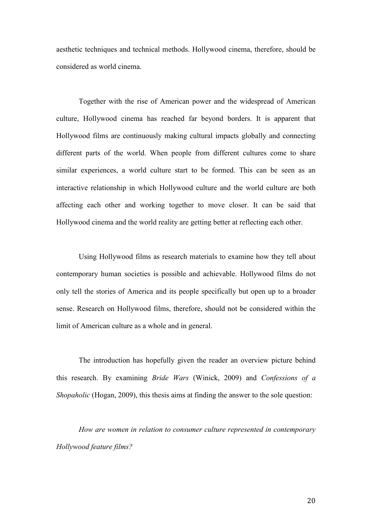aesthetic techniques and technical methods. Hollywood cinema, therefore, should be considered as world cinema.

Together with the rise of American power and the widespread of American culture, Hollywood cinema has reached far beyond borders. It is apparent that Hollywood films are continuously making cultural impacts globally and connecting different parts of the world. When people from different cultures come to share similar experiences, a world culture start to be formed. This can be seen as an interactive relationship in which Hollywood culture and the world culture are both affecting each other and working together to move closer. It can be said that Hollywood cinema and the world reality are getting better at reflecting each other.

Using Hollywood films as research materials to examine how they tell about contemporary human societies is possible and achievable. Hollywood films do not only tell the stories of America and its people specifically but open up to a broader sense. Research on Hollywood films, therefore, should not be considered within the limit of American culture as a whole and in general.

The introduction has hopefully given the reader an overview picture behind this research. By examining *Bride Wars* (Winick, 2009) and *Confessions of a Shopaholic* (Hogan, 2009), this thesis aims at finding the answer to the sole question:

*How are women in relation to consumer culture represented in contemporary Hollywood feature films?*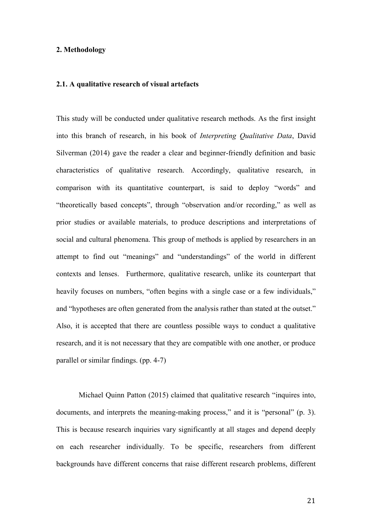# **2. Methodology**

# **2.1. A qualitative research of visual artefacts**

This study will be conducted under qualitative research methods. As the first insight into this branch of research, in his book of *Interpreting Qualitative Data*, David Silverman (2014) gave the reader a clear and beginner-friendly definition and basic characteristics of qualitative research. Accordingly, qualitative research, in comparison with its quantitative counterpart, is said to deploy "words" and "theoretically based concepts", through "observation and/or recording," as well as prior studies or available materials, to produce descriptions and interpretations of social and cultural phenomena. This group of methods is applied by researchers in an attempt to find out "meanings" and "understandings" of the world in different contexts and lenses. Furthermore, qualitative research, unlike its counterpart that heavily focuses on numbers, "often begins with a single case or a few individuals," and "hypotheses are often generated from the analysis rather than stated at the outset." Also, it is accepted that there are countless possible ways to conduct a qualitative research, and it is not necessary that they are compatible with one another, or produce parallel or similar findings. (pp. 4-7)

Michael Quinn Patton (2015) claimed that qualitative research "inquires into, documents, and interprets the meaning-making process," and it is "personal" (p. 3). This is because research inquiries vary significantly at all stages and depend deeply on each researcher individually. To be specific, researchers from different backgrounds have different concerns that raise different research problems, different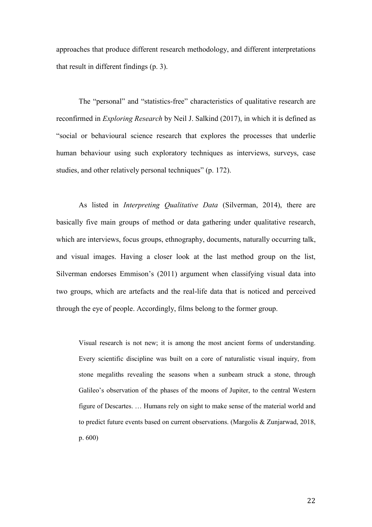approaches that produce different research methodology, and different interpretations that result in different findings (p. 3).

The "personal" and "statistics-free" characteristics of qualitative research are reconfirmed in *Exploring Research* by Neil J. Salkind (2017), in which it is defined as "social or behavioural science research that explores the processes that underlie human behaviour using such exploratory techniques as interviews, surveys, case studies, and other relatively personal techniques" (p. 172).

As listed in *Interpreting Qualitative Data* (Silverman, 2014), there are basically five main groups of method or data gathering under qualitative research, which are interviews, focus groups, ethnography, documents, naturally occurring talk, and visual images. Having a closer look at the last method group on the list, Silverman endorses Emmison's (2011) argument when classifying visual data into two groups, which are artefacts and the real-life data that is noticed and perceived through the eye of people. Accordingly, films belong to the former group.

Visual research is not new; it is among the most ancient forms of understanding. Every scientific discipline was built on a core of naturalistic visual inquiry, from stone megaliths revealing the seasons when a sunbeam struck a stone, through Galileo's observation of the phases of the moons of Jupiter, to the central Western figure of Descartes. … Humans rely on sight to make sense of the material world and to predict future events based on current observations. (Margolis & Zunjarwad, 2018, p. 600)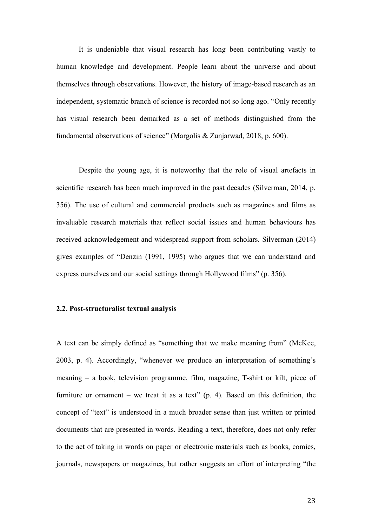It is undeniable that visual research has long been contributing vastly to human knowledge and development. People learn about the universe and about themselves through observations. However, the history of image-based research as an independent, systematic branch of science is recorded not so long ago. "Only recently has visual research been demarked as a set of methods distinguished from the fundamental observations of science" (Margolis & Zunjarwad, 2018, p. 600).

Despite the young age, it is noteworthy that the role of visual artefacts in scientific research has been much improved in the past decades (Silverman, 2014, p. 356). The use of cultural and commercial products such as magazines and films as invaluable research materials that reflect social issues and human behaviours has received acknowledgement and widespread support from scholars. Silverman (2014) gives examples of "Denzin (1991, 1995) who argues that we can understand and express ourselves and our social settings through Hollywood films" (p. 356).

#### **2.2. Post-structuralist textual analysis**

A text can be simply defined as "something that we make meaning from" (McKee, 2003, p. 4). Accordingly, "whenever we produce an interpretation of something's meaning – a book, television programme, film, magazine, T-shirt or kilt, piece of furniture or ornament – we treat it as a text"  $(p, 4)$ . Based on this definition, the concept of "text" is understood in a much broader sense than just written or printed documents that are presented in words. Reading a text, therefore, does not only refer to the act of taking in words on paper or electronic materials such as books, comics, journals, newspapers or magazines, but rather suggests an effort of interpreting "the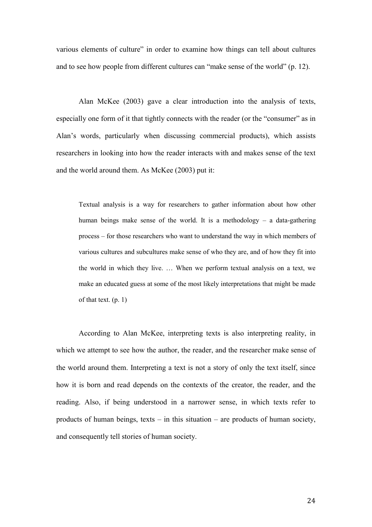various elements of culture" in order to examine how things can tell about cultures and to see how people from different cultures can "make sense of the world" (p. 12).

Alan McKee (2003) gave a clear introduction into the analysis of texts, especially one form of it that tightly connects with the reader (or the "consumer" as in Alan's words, particularly when discussing commercial products), which assists researchers in looking into how the reader interacts with and makes sense of the text and the world around them. As McKee (2003) put it:

Textual analysis is a way for researchers to gather information about how other human beings make sense of the world. It is a methodology – a data-gathering process – for those researchers who want to understand the way in which members of various cultures and subcultures make sense of who they are, and of how they fit into the world in which they live. … When we perform textual analysis on a text, we make an educated guess at some of the most likely interpretations that might be made of that text. (p. 1)

According to Alan McKee, interpreting texts is also interpreting reality, in which we attempt to see how the author, the reader, and the researcher make sense of the world around them. Interpreting a text is not a story of only the text itself, since how it is born and read depends on the contexts of the creator, the reader, and the reading. Also, if being understood in a narrower sense, in which texts refer to products of human beings, texts – in this situation – are products of human society, and consequently tell stories of human society.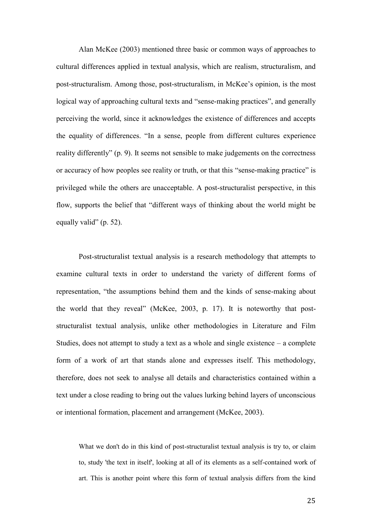Alan McKee (2003) mentioned three basic or common ways of approaches to cultural differences applied in textual analysis, which are realism, structuralism, and post-structuralism. Among those, post-structuralism, in McKee's opinion, is the most logical way of approaching cultural texts and "sense-making practices", and generally perceiving the world, since it acknowledges the existence of differences and accepts the equality of differences. "In a sense, people from different cultures experience reality differently" (p. 9). It seems not sensible to make judgements on the correctness or accuracy of how peoples see reality or truth, or that this "sense-making practice" is privileged while the others are unacceptable. A post-structuralist perspective, in this flow, supports the belief that "different ways of thinking about the world might be equally valid" (p. 52).

Post-structuralist textual analysis is a research methodology that attempts to examine cultural texts in order to understand the variety of different forms of representation, "the assumptions behind them and the kinds of sense-making about the world that they reveal" (McKee, 2003, p. 17). It is noteworthy that poststructuralist textual analysis, unlike other methodologies in Literature and Film Studies, does not attempt to study a text as a whole and single existence – a complete form of a work of art that stands alone and expresses itself. This methodology, therefore, does not seek to analyse all details and characteristics contained within a text under a close reading to bring out the values lurking behind layers of unconscious or intentional formation, placement and arrangement (McKee, 2003).

What we don't do in this kind of post-structuralist textual analysis is try to, or claim to, study 'the text in itself', looking at all of its elements as a self-contained work of art. This is another point where this form of textual analysis differs from the kind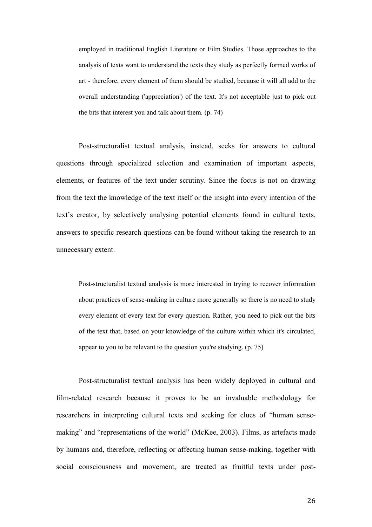employed in traditional English Literature or Film Studies. Those approaches to the analysis of texts want to understand the texts they study as perfectly formed works of art - therefore, every element of them should be studied, because it will all add to the overall understanding ('appreciation') of the text. It's not acceptable just to pick out the bits that interest you and talk about them. (p. 74)

Post-structuralist textual analysis, instead, seeks for answers to cultural questions through specialized selection and examination of important aspects, elements, or features of the text under scrutiny. Since the focus is not on drawing from the text the knowledge of the text itself or the insight into every intention of the text's creator, by selectively analysing potential elements found in cultural texts, answers to specific research questions can be found without taking the research to an unnecessary extent.

Post-structuralist textual analysis is more interested in trying to recover information about practices of sense-making in culture more generally so there is no need to study every element of every text for every question. Rather, you need to pick out the bits of the text that, based on your knowledge of the culture within which it's circulated, appear to you to be relevant to the question you're studying. (p. 75)

Post-structuralist textual analysis has been widely deployed in cultural and film-related research because it proves to be an invaluable methodology for researchers in interpreting cultural texts and seeking for clues of "human sensemaking" and "representations of the world" (McKee, 2003). Films, as artefacts made by humans and, therefore, reflecting or affecting human sense-making, together with social consciousness and movement, are treated as fruitful texts under post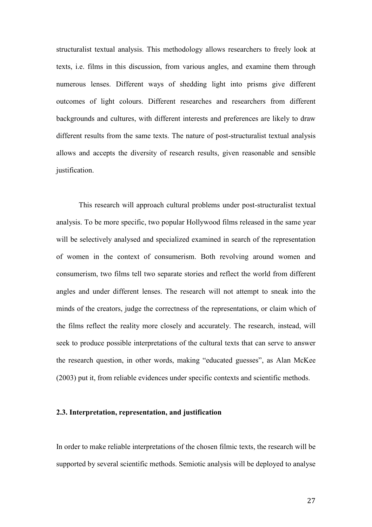structuralist textual analysis. This methodology allows researchers to freely look at texts, i.e. films in this discussion, from various angles, and examine them through numerous lenses. Different ways of shedding light into prisms give different outcomes of light colours. Different researches and researchers from different backgrounds and cultures, with different interests and preferences are likely to draw different results from the same texts. The nature of post-structuralist textual analysis allows and accepts the diversity of research results, given reasonable and sensible justification.

This research will approach cultural problems under post-structuralist textual analysis. To be more specific, two popular Hollywood films released in the same year will be selectively analysed and specialized examined in search of the representation of women in the context of consumerism. Both revolving around women and consumerism, two films tell two separate stories and reflect the world from different angles and under different lenses. The research will not attempt to sneak into the minds of the creators, judge the correctness of the representations, or claim which of the films reflect the reality more closely and accurately. The research, instead, will seek to produce possible interpretations of the cultural texts that can serve to answer the research question, in other words, making "educated guesses", as Alan McKee (2003) put it, from reliable evidences under specific contexts and scientific methods.

#### **2.3. Interpretation, representation, and justification**

In order to make reliable interpretations of the chosen filmic texts, the research will be supported by several scientific methods. Semiotic analysis will be deployed to analyse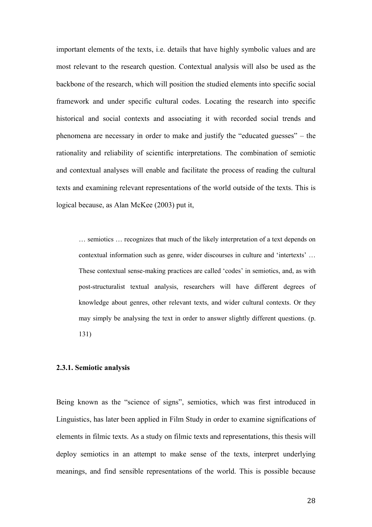important elements of the texts, i.e. details that have highly symbolic values and are most relevant to the research question. Contextual analysis will also be used as the backbone of the research, which will position the studied elements into specific social framework and under specific cultural codes. Locating the research into specific historical and social contexts and associating it with recorded social trends and phenomena are necessary in order to make and justify the "educated guesses" – the rationality and reliability of scientific interpretations. The combination of semiotic and contextual analyses will enable and facilitate the process of reading the cultural texts and examining relevant representations of the world outside of the texts. This is logical because, as Alan McKee (2003) put it,

… semiotics … recognizes that much of the likely interpretation of a text depends on contextual information such as genre, wider discourses in culture and 'intertexts' … These contextual sense-making practices are called 'codes' in semiotics, and, as with post-structuralist textual analysis, researchers will have different degrees of knowledge about genres, other relevant texts, and wider cultural contexts. Or they may simply be analysing the text in order to answer slightly different questions. (p. 131)

## **2.3.1. Semiotic analysis**

Being known as the "science of signs", semiotics, which was first introduced in Linguistics, has later been applied in Film Study in order to examine significations of elements in filmic texts. As a study on filmic texts and representations, this thesis will deploy semiotics in an attempt to make sense of the texts, interpret underlying meanings, and find sensible representations of the world. This is possible because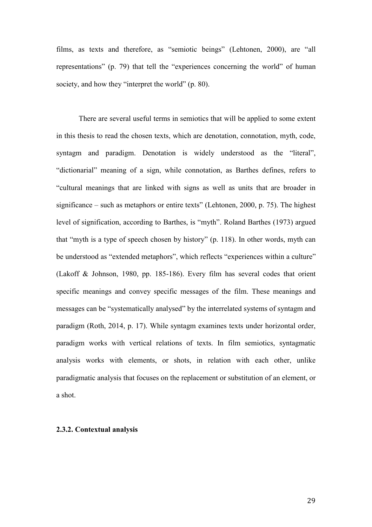films, as texts and therefore, as "semiotic beings" (Lehtonen, 2000), are "all representations" (p. 79) that tell the "experiences concerning the world" of human society, and how they "interpret the world" (p. 80).

There are several useful terms in semiotics that will be applied to some extent in this thesis to read the chosen texts, which are denotation, connotation, myth, code, syntagm and paradigm. Denotation is widely understood as the "literal", "dictionarial" meaning of a sign, while connotation, as Barthes defines, refers to "cultural meanings that are linked with signs as well as units that are broader in significance – such as metaphors or entire texts" (Lehtonen, 2000, p. 75). The highest level of signification, according to Barthes, is "myth". Roland Barthes (1973) argued that "myth is a type of speech chosen by history" (p. 118). In other words, myth can be understood as "extended metaphors", which reflects "experiences within a culture" (Lakoff & Johnson, 1980, pp. 185-186). Every film has several codes that orient specific meanings and convey specific messages of the film. These meanings and messages can be "systematically analysed" by the interrelated systems of syntagm and paradigm (Roth, 2014, p. 17). While syntagm examines texts under horizontal order, paradigm works with vertical relations of texts. In film semiotics, syntagmatic analysis works with elements, or shots, in relation with each other, unlike paradigmatic analysis that focuses on the replacement or substitution of an element, or a shot.

# **2.3.2. Contextual analysis**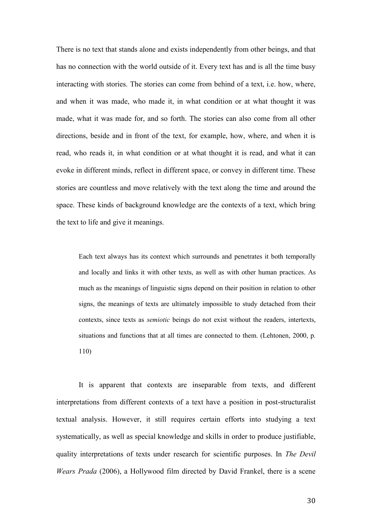There is no text that stands alone and exists independently from other beings, and that has no connection with the world outside of it. Every text has and is all the time busy interacting with stories. The stories can come from behind of a text, i.e. how, where, and when it was made, who made it, in what condition or at what thought it was made, what it was made for, and so forth. The stories can also come from all other directions, beside and in front of the text, for example, how, where, and when it is read, who reads it, in what condition or at what thought it is read, and what it can evoke in different minds, reflect in different space, or convey in different time. These stories are countless and move relatively with the text along the time and around the space. These kinds of background knowledge are the contexts of a text, which bring the text to life and give it meanings.

Each text always has its context which surrounds and penetrates it both temporally and locally and links it with other texts, as well as with other human practices. As much as the meanings of linguistic signs depend on their position in relation to other signs, the meanings of texts are ultimately impossible to study detached from their contexts, since texts as *semiotic* beings do not exist without the readers, intertexts, situations and functions that at all times are connected to them. (Lehtonen, 2000, p. 110)

It is apparent that contexts are inseparable from texts, and different interpretations from different contexts of a text have a position in post-structuralist textual analysis. However, it still requires certain efforts into studying a text systematically, as well as special knowledge and skills in order to produce justifiable, quality interpretations of texts under research for scientific purposes. In *The Devil Wears Prada* (2006), a Hollywood film directed by David Frankel, there is a scene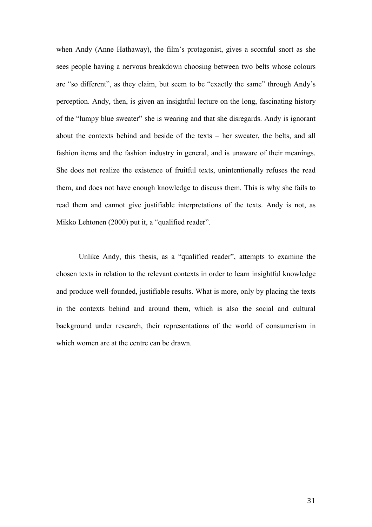when Andy (Anne Hathaway), the film's protagonist, gives a scornful snort as she sees people having a nervous breakdown choosing between two belts whose colours are "so different", as they claim, but seem to be "exactly the same" through Andy's perception. Andy, then, is given an insightful lecture on the long, fascinating history of the "lumpy blue sweater" she is wearing and that she disregards. Andy is ignorant about the contexts behind and beside of the texts – her sweater, the belts, and all fashion items and the fashion industry in general, and is unaware of their meanings. She does not realize the existence of fruitful texts, unintentionally refuses the read them, and does not have enough knowledge to discuss them. This is why she fails to read them and cannot give justifiable interpretations of the texts. Andy is not, as Mikko Lehtonen (2000) put it, a "qualified reader".

Unlike Andy, this thesis, as a "qualified reader", attempts to examine the chosen texts in relation to the relevant contexts in order to learn insightful knowledge and produce well-founded, justifiable results. What is more, only by placing the texts in the contexts behind and around them, which is also the social and cultural background under research, their representations of the world of consumerism in which women are at the centre can be drawn.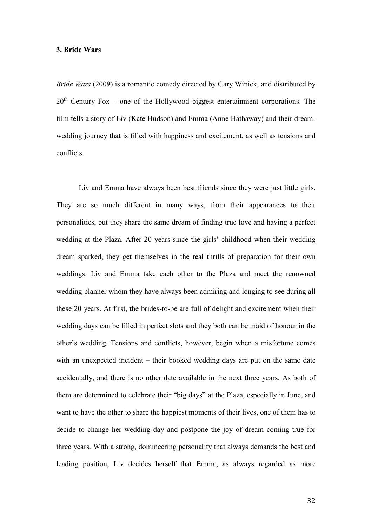### **3. Bride Wars**

*Bride Wars* (2009) is a romantic comedy directed by Gary Winick, and distributed by 20<sup>th</sup> Century Fox – one of the Hollywood biggest entertainment corporations. The film tells a story of Liv (Kate Hudson) and Emma (Anne Hathaway) and their dreamwedding journey that is filled with happiness and excitement, as well as tensions and conflicts.

Liv and Emma have always been best friends since they were just little girls. They are so much different in many ways, from their appearances to their personalities, but they share the same dream of finding true love and having a perfect wedding at the Plaza. After 20 years since the girls' childhood when their wedding dream sparked, they get themselves in the real thrills of preparation for their own weddings. Liv and Emma take each other to the Plaza and meet the renowned wedding planner whom they have always been admiring and longing to see during all these 20 years. At first, the brides-to-be are full of delight and excitement when their wedding days can be filled in perfect slots and they both can be maid of honour in the other's wedding. Tensions and conflicts, however, begin when a misfortune comes with an unexpected incident – their booked wedding days are put on the same date accidentally, and there is no other date available in the next three years. As both of them are determined to celebrate their "big days" at the Plaza, especially in June, and want to have the other to share the happiest moments of their lives, one of them has to decide to change her wedding day and postpone the joy of dream coming true for three years. With a strong, domineering personality that always demands the best and leading position, Liv decides herself that Emma, as always regarded as more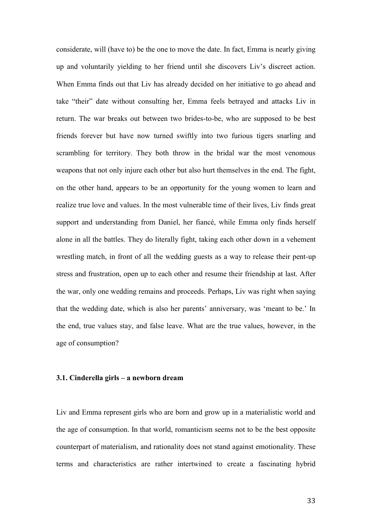considerate, will (have to) be the one to move the date. In fact, Emma is nearly giving up and voluntarily yielding to her friend until she discovers Liv's discreet action. When Emma finds out that Liv has already decided on her initiative to go ahead and take "their" date without consulting her, Emma feels betrayed and attacks Liv in return. The war breaks out between two brides-to-be, who are supposed to be best friends forever but have now turned swiftly into two furious tigers snarling and scrambling for territory. They both throw in the bridal war the most venomous weapons that not only injure each other but also hurt themselves in the end. The fight, on the other hand, appears to be an opportunity for the young women to learn and realize true love and values. In the most vulnerable time of their lives, Liv finds great support and understanding from Daniel, her fiancé, while Emma only finds herself alone in all the battles. They do literally fight, taking each other down in a vehement wrestling match, in front of all the wedding guests as a way to release their pent-up stress and frustration, open up to each other and resume their friendship at last. After the war, only one wedding remains and proceeds. Perhaps, Liv was right when saying that the wedding date, which is also her parents' anniversary, was 'meant to be.' In the end, true values stay, and false leave. What are the true values, however, in the age of consumption?

### **3.1. Cinderella girls – a newborn dream**

Liv and Emma represent girls who are born and grow up in a materialistic world and the age of consumption. In that world, romanticism seems not to be the best opposite counterpart of materialism, and rationality does not stand against emotionality. These terms and characteristics are rather intertwined to create a fascinating hybrid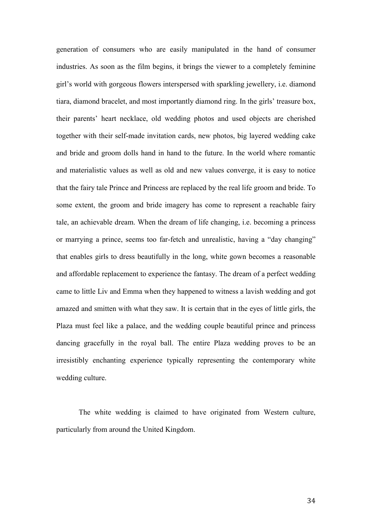generation of consumers who are easily manipulated in the hand of consumer industries. As soon as the film begins, it brings the viewer to a completely feminine girl's world with gorgeous flowers interspersed with sparkling jewellery, i.e. diamond tiara, diamond bracelet, and most importantly diamond ring. In the girls' treasure box, their parents' heart necklace, old wedding photos and used objects are cherished together with their self-made invitation cards, new photos, big layered wedding cake and bride and groom dolls hand in hand to the future. In the world where romantic and materialistic values as well as old and new values converge, it is easy to notice that the fairy tale Prince and Princess are replaced by the real life groom and bride. To some extent, the groom and bride imagery has come to represent a reachable fairy tale, an achievable dream. When the dream of life changing, i.e. becoming a princess or marrying a prince, seems too far-fetch and unrealistic, having a "day changing" that enables girls to dress beautifully in the long, white gown becomes a reasonable and affordable replacement to experience the fantasy. The dream of a perfect wedding came to little Liv and Emma when they happened to witness a lavish wedding and got amazed and smitten with what they saw. It is certain that in the eyes of little girls, the Plaza must feel like a palace, and the wedding couple beautiful prince and princess dancing gracefully in the royal ball. The entire Plaza wedding proves to be an irresistibly enchanting experience typically representing the contemporary white wedding culture.

The white wedding is claimed to have originated from Western culture, particularly from around the United Kingdom.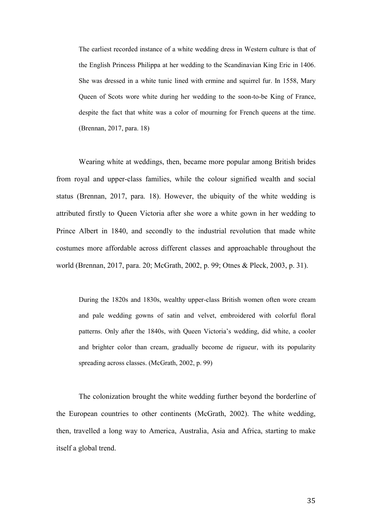The earliest recorded instance of a white wedding dress in Western culture is that of the English Princess Philippa at her wedding to the Scandinavian King Eric in 1406. She was dressed in a white tunic lined with ermine and squirrel fur. In 1558, Mary Queen of Scots wore white during her wedding to the soon-to-be King of France, despite the fact that white was a color of mourning for French queens at the time. (Brennan, 2017, para. 18)

Wearing white at weddings, then, became more popular among British brides from royal and upper-class families, while the colour signified wealth and social status (Brennan, 2017, para. 18). However, the ubiquity of the white wedding is attributed firstly to Queen Victoria after she wore a white gown in her wedding to Prince Albert in 1840, and secondly to the industrial revolution that made white costumes more affordable across different classes and approachable throughout the world (Brennan, 2017, para. 20; McGrath, 2002, p. 99; Otnes & Pleck, 2003, p. 31).

During the 1820s and 1830s, wealthy upper-class British women often wore cream and pale wedding gowns of satin and velvet, embroidered with colorful floral patterns. Only after the 1840s, with Queen Victoria's wedding, did white, a cooler and brighter color than cream, gradually become de rigueur, with its popularity spreading across classes. (McGrath, 2002, p. 99)

The colonization brought the white wedding further beyond the borderline of the European countries to other continents (McGrath, 2002). The white wedding, then, travelled a long way to America, Australia, Asia and Africa, starting to make itself a global trend.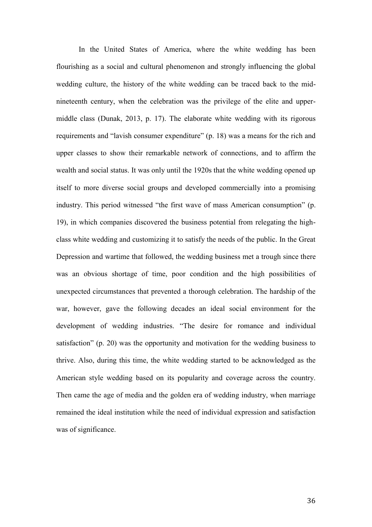In the United States of America, where the white wedding has been flourishing as a social and cultural phenomenon and strongly influencing the global wedding culture, the history of the white wedding can be traced back to the midnineteenth century, when the celebration was the privilege of the elite and uppermiddle class (Dunak, 2013, p. 17). The elaborate white wedding with its rigorous requirements and "lavish consumer expenditure" (p. 18) was a means for the rich and upper classes to show their remarkable network of connections, and to affirm the wealth and social status. It was only until the 1920s that the white wedding opened up itself to more diverse social groups and developed commercially into a promising industry. This period witnessed "the first wave of mass American consumption" (p. 19), in which companies discovered the business potential from relegating the highclass white wedding and customizing it to satisfy the needs of the public. In the Great Depression and wartime that followed, the wedding business met a trough since there was an obvious shortage of time, poor condition and the high possibilities of unexpected circumstances that prevented a thorough celebration. The hardship of the war, however, gave the following decades an ideal social environment for the development of wedding industries. "The desire for romance and individual satisfaction" (p. 20) was the opportunity and motivation for the wedding business to thrive. Also, during this time, the white wedding started to be acknowledged as the American style wedding based on its popularity and coverage across the country. Then came the age of media and the golden era of wedding industry, when marriage remained the ideal institution while the need of individual expression and satisfaction was of significance.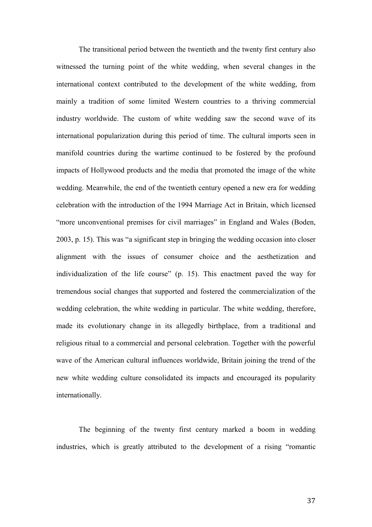The transitional period between the twentieth and the twenty first century also witnessed the turning point of the white wedding, when several changes in the international context contributed to the development of the white wedding, from mainly a tradition of some limited Western countries to a thriving commercial industry worldwide. The custom of white wedding saw the second wave of its international popularization during this period of time. The cultural imports seen in manifold countries during the wartime continued to be fostered by the profound impacts of Hollywood products and the media that promoted the image of the white wedding. Meanwhile, the end of the twentieth century opened a new era for wedding celebration with the introduction of the 1994 Marriage Act in Britain, which licensed "more unconventional premises for civil marriages" in England and Wales (Boden, 2003, p. 15). This was "a significant step in bringing the wedding occasion into closer alignment with the issues of consumer choice and the aesthetization and individualization of the life course" (p. 15). This enactment paved the way for tremendous social changes that supported and fostered the commercialization of the wedding celebration, the white wedding in particular. The white wedding, therefore, made its evolutionary change in its allegedly birthplace, from a traditional and religious ritual to a commercial and personal celebration. Together with the powerful wave of the American cultural influences worldwide, Britain joining the trend of the new white wedding culture consolidated its impacts and encouraged its popularity internationally.

The beginning of the twenty first century marked a boom in wedding industries, which is greatly attributed to the development of a rising "romantic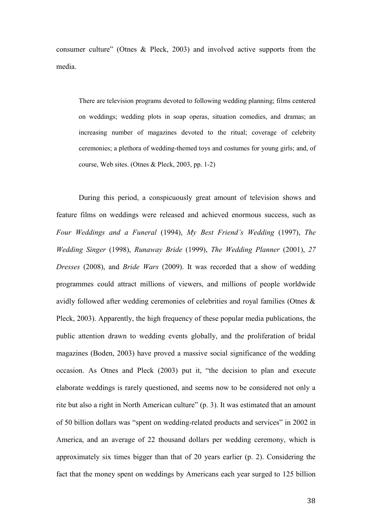consumer culture" (Otnes & Pleck, 2003) and involved active supports from the media.

There are television programs devoted to following wedding planning; films centered on weddings; wedding plots in soap operas, situation comedies, and dramas; an increasing number of magazines devoted to the ritual; coverage of celebrity ceremonies; a plethora of wedding-themed toys and costumes for young girls; and, of course, Web sites. (Otnes & Pleck, 2003, pp. 1-2)

During this period, a conspicuously great amount of television shows and feature films on weddings were released and achieved enormous success, such as *Four Weddings and a Funeral* (1994), *My Best Friend's Wedding* (1997), *The Wedding Singer* (1998), *Runaway Bride* (1999), *The Wedding Planner* (2001), *27 Dresses* (2008), and *Bride Wars* (2009). It was recorded that a show of wedding programmes could attract millions of viewers, and millions of people worldwide avidly followed after wedding ceremonies of celebrities and royal families (Otnes & Pleck, 2003). Apparently, the high frequency of these popular media publications, the public attention drawn to wedding events globally, and the proliferation of bridal magazines (Boden, 2003) have proved a massive social significance of the wedding occasion. As Otnes and Pleck (2003) put it, "the decision to plan and execute elaborate weddings is rarely questioned, and seems now to be considered not only a rite but also a right in North American culture" (p. 3). It was estimated that an amount of 50 billion dollars was "spent on wedding-related products and services" in 2002 in America, and an average of 22 thousand dollars per wedding ceremony, which is approximately six times bigger than that of 20 years earlier (p. 2). Considering the fact that the money spent on weddings by Americans each year surged to 125 billion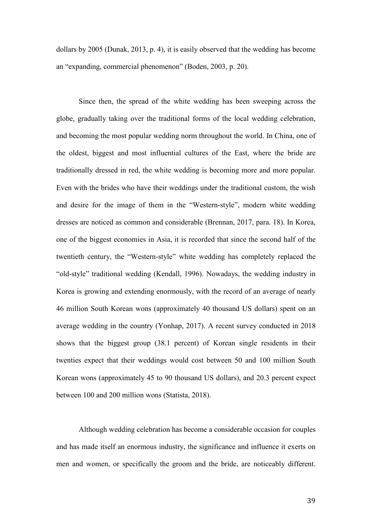dollars by 2005 (Dunak, 2013, p. 4), it is easily observed that the wedding has become an "expanding, commercial phenomenon" (Boden, 2003, p. 20).

Since then, the spread of the white wedding has been sweeping across the globe, gradually taking over the traditional forms of the local wedding celebration, and becoming the most popular wedding norm throughout the world. In China, one of the oldest, biggest and most influential cultures of the East, where the bride are traditionally dressed in red, the white wedding is becoming more and more popular. Even with the brides who have their weddings under the traditional custom, the wish and desire for the image of them in the "Western-style", modern white wedding dresses are noticed as common and considerable (Brennan, 2017, para. 18). In Korea, one of the biggest economies in Asia, it is recorded that since the second half of the twentieth century, the "Western-style" white wedding has completely replaced the "old-style" traditional wedding (Kendall, 1996). Nowadays, the wedding industry in Korea is growing and extending enormously, with the record of an average of nearly 46 million South Korean wons (approximately 40 thousand US dollars) spent on an average wedding in the country (Yonhap, 2017). A recent survey conducted in 2018 shows that the biggest group (38.1 percent) of Korean single residents in their twenties expect that their weddings would cost between 50 and 100 million South Korean wons (approximately 45 to 90 thousand US dollars), and 20.3 percent expect between 100 and 200 million wons (Statista, 2018).

Although wedding celebration has become a considerable occasion for couples and has made itself an enormous industry, the significance and influence it exerts on men and women, or specifically the groom and the bride, are noticeably different.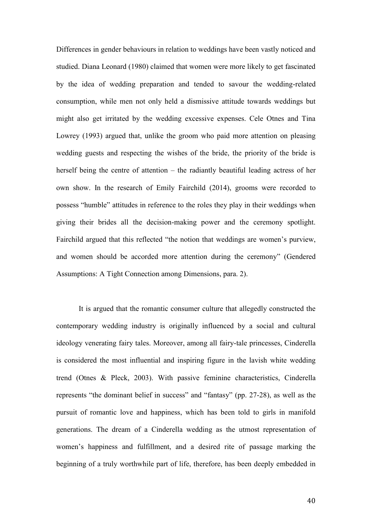Differences in gender behaviours in relation to weddings have been vastly noticed and studied. Diana Leonard (1980) claimed that women were more likely to get fascinated by the idea of wedding preparation and tended to savour the wedding-related consumption, while men not only held a dismissive attitude towards weddings but might also get irritated by the wedding excessive expenses. Cele Otnes and Tina Lowrey (1993) argued that, unlike the groom who paid more attention on pleasing wedding guests and respecting the wishes of the bride, the priority of the bride is herself being the centre of attention – the radiantly beautiful leading actress of her own show. In the research of Emily Fairchild (2014), grooms were recorded to possess "humble" attitudes in reference to the roles they play in their weddings when giving their brides all the decision-making power and the ceremony spotlight. Fairchild argued that this reflected "the notion that weddings are women's purview, and women should be accorded more attention during the ceremony" (Gendered Assumptions: A Tight Connection among Dimensions, para. 2).

It is argued that the romantic consumer culture that allegedly constructed the contemporary wedding industry is originally influenced by a social and cultural ideology venerating fairy tales. Moreover, among all fairy-tale princesses, Cinderella is considered the most influential and inspiring figure in the lavish white wedding trend (Otnes & Pleck, 2003). With passive feminine characteristics, Cinderella represents "the dominant belief in success" and "fantasy" (pp. 27-28), as well as the pursuit of romantic love and happiness, which has been told to girls in manifold generations. The dream of a Cinderella wedding as the utmost representation of women's happiness and fulfillment, and a desired rite of passage marking the beginning of a truly worthwhile part of life, therefore, has been deeply embedded in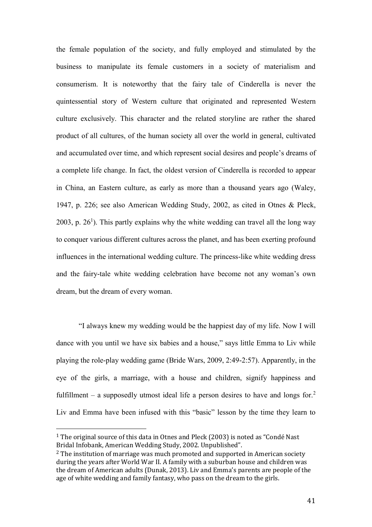the female population of the society, and fully employed and stimulated by the business to manipulate its female customers in a society of materialism and consumerism. It is noteworthy that the fairy tale of Cinderella is never the quintessential story of Western culture that originated and represented Western culture exclusively. This character and the related storyline are rather the shared product of all cultures, of the human society all over the world in general, cultivated and accumulated over time, and which represent social desires and people's dreams of a complete life change. In fact, the oldest version of Cinderella is recorded to appear in China, an Eastern culture, as early as more than a thousand years ago (Waley, 1947, p. 226; see also American Wedding Study, 2002, as cited in Otnes & Pleck, 2003, p.  $26<sup>1</sup>$ ). This partly explains why the white wedding can travel all the long way to conquer various different cultures across the planet, and has been exerting profound influences in the international wedding culture. The princess-like white wedding dress and the fairy-tale white wedding celebration have become not any woman's own dream, but the dream of every woman.

"I always knew my wedding would be the happiest day of my life. Now I will dance with you until we have six babies and a house," says little Emma to Liv while playing the role-play wedding game (Bride Wars, 2009, 2:49-2:57). Apparently, in the eye of the girls, a marriage, with a house and children, signify happiness and fulfillment – a supposedly utmost ideal life a person desires to have and longs for.<sup>2</sup> Liv and Emma have been infused with this "basic" lesson by the time they learn to

 $\overline{a}$ 

<sup>1</sup> The original source of this data in Otnes and Pleck (2003) is noted as "Condé Nast Bridal Infobank, American Wedding Study, 2002. Unpublished".

<sup>&</sup>lt;sup>2</sup> The institution of marriage was much promoted and supported in American society during the years after World War II. A family with a suburban house and children was the dream of American adults (Dunak, 2013). Liv and Emma's parents are people of the age of white wedding and family fantasy, who pass on the dream to the girls.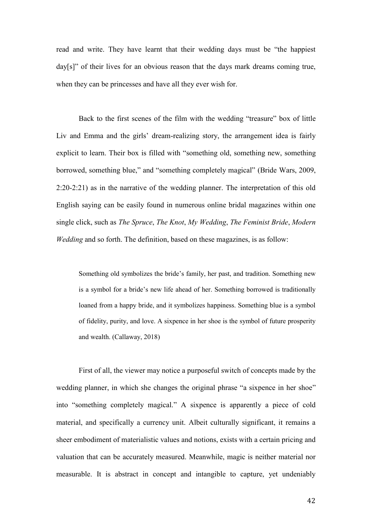read and write. They have learnt that their wedding days must be "the happiest day[s]" of their lives for an obvious reason that the days mark dreams coming true, when they can be princesses and have all they ever wish for.

Back to the first scenes of the film with the wedding "treasure" box of little Liv and Emma and the girls' dream-realizing story, the arrangement idea is fairly explicit to learn. Their box is filled with "something old, something new, something borrowed, something blue," and "something completely magical" (Bride Wars, 2009, 2:20-2:21) as in the narrative of the wedding planner. The interpretation of this old English saying can be easily found in numerous online bridal magazines within one single click, such as *The Spruce*, *The Knot*, *My Wedding*, *The Feminist Bride*, *Modern Wedding* and so forth. The definition, based on these magazines, is as follow:

Something old symbolizes the bride's family, her past, and tradition. Something new is a symbol for a bride's new life ahead of her. Something borrowed is traditionally loaned from a happy bride, and it symbolizes happiness. Something blue is a symbol of fidelity, purity, and love. A sixpence in her shoe is the symbol of future prosperity and wealth. (Callaway, 2018)

First of all, the viewer may notice a purposeful switch of concepts made by the wedding planner, in which she changes the original phrase "a sixpence in her shoe" into "something completely magical." A sixpence is apparently a piece of cold material, and specifically a currency unit. Albeit culturally significant, it remains a sheer embodiment of materialistic values and notions, exists with a certain pricing and valuation that can be accurately measured. Meanwhile, magic is neither material nor measurable. It is abstract in concept and intangible to capture, yet undeniably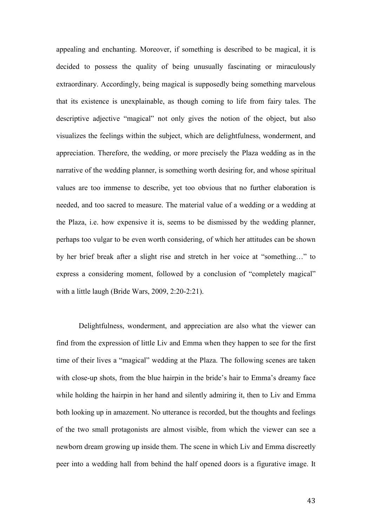appealing and enchanting. Moreover, if something is described to be magical, it is decided to possess the quality of being unusually fascinating or miraculously extraordinary. Accordingly, being magical is supposedly being something marvelous that its existence is unexplainable, as though coming to life from fairy tales. The descriptive adjective "magical" not only gives the notion of the object, but also visualizes the feelings within the subject, which are delightfulness, wonderment, and appreciation. Therefore, the wedding, or more precisely the Plaza wedding as in the narrative of the wedding planner, is something worth desiring for, and whose spiritual values are too immense to describe, yet too obvious that no further elaboration is needed, and too sacred to measure. The material value of a wedding or a wedding at the Plaza, i.e. how expensive it is, seems to be dismissed by the wedding planner, perhaps too vulgar to be even worth considering, of which her attitudes can be shown by her brief break after a slight rise and stretch in her voice at "something…" to express a considering moment, followed by a conclusion of "completely magical" with a little laugh (Bride Wars, 2009, 2:20-2:21).

Delightfulness, wonderment, and appreciation are also what the viewer can find from the expression of little Liv and Emma when they happen to see for the first time of their lives a "magical" wedding at the Plaza. The following scenes are taken with close-up shots, from the blue hairpin in the bride's hair to Emma's dreamy face while holding the hairpin in her hand and silently admiring it, then to Liv and Emma both looking up in amazement. No utterance is recorded, but the thoughts and feelings of the two small protagonists are almost visible, from which the viewer can see a newborn dream growing up inside them. The scene in which Liv and Emma discreetly peer into a wedding hall from behind the half opened doors is a figurative image. It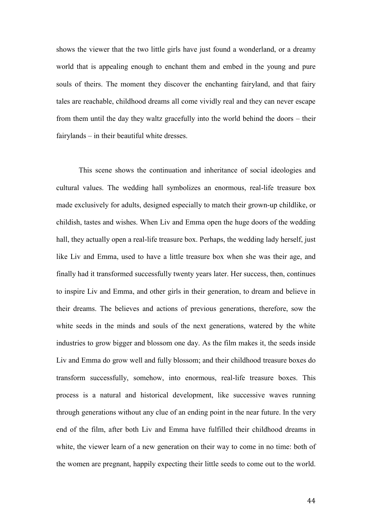shows the viewer that the two little girls have just found a wonderland, or a dreamy world that is appealing enough to enchant them and embed in the young and pure souls of theirs. The moment they discover the enchanting fairyland, and that fairy tales are reachable, childhood dreams all come vividly real and they can never escape from them until the day they waltz gracefully into the world behind the doors – their fairylands – in their beautiful white dresses.

This scene shows the continuation and inheritance of social ideologies and cultural values. The wedding hall symbolizes an enormous, real-life treasure box made exclusively for adults, designed especially to match their grown-up childlike, or childish, tastes and wishes. When Liv and Emma open the huge doors of the wedding hall, they actually open a real-life treasure box. Perhaps, the wedding lady herself, just like Liv and Emma, used to have a little treasure box when she was their age, and finally had it transformed successfully twenty years later. Her success, then, continues to inspire Liv and Emma, and other girls in their generation, to dream and believe in their dreams. The believes and actions of previous generations, therefore, sow the white seeds in the minds and souls of the next generations, watered by the white industries to grow bigger and blossom one day. As the film makes it, the seeds inside Liv and Emma do grow well and fully blossom; and their childhood treasure boxes do transform successfully, somehow, into enormous, real-life treasure boxes. This process is a natural and historical development, like successive waves running through generations without any clue of an ending point in the near future. In the very end of the film, after both Liv and Emma have fulfilled their childhood dreams in white, the viewer learn of a new generation on their way to come in no time: both of the women are pregnant, happily expecting their little seeds to come out to the world.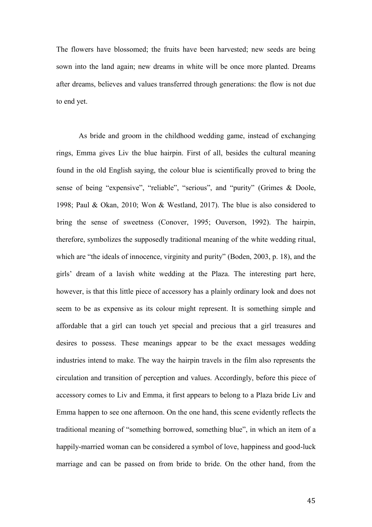The flowers have blossomed; the fruits have been harvested; new seeds are being sown into the land again; new dreams in white will be once more planted. Dreams after dreams, believes and values transferred through generations: the flow is not due to end yet.

As bride and groom in the childhood wedding game, instead of exchanging rings, Emma gives Liv the blue hairpin. First of all, besides the cultural meaning found in the old English saying, the colour blue is scientifically proved to bring the sense of being "expensive", "reliable", "serious", and "purity" (Grimes & Doole, 1998; Paul & Okan, 2010; Won & Westland, 2017). The blue is also considered to bring the sense of sweetness (Conover, 1995; Ouverson, 1992). The hairpin, therefore, symbolizes the supposedly traditional meaning of the white wedding ritual, which are "the ideals of innocence, virginity and purity" (Boden, 2003, p. 18), and the girls' dream of a lavish white wedding at the Plaza. The interesting part here, however, is that this little piece of accessory has a plainly ordinary look and does not seem to be as expensive as its colour might represent. It is something simple and affordable that a girl can touch yet special and precious that a girl treasures and desires to possess. These meanings appear to be the exact messages wedding industries intend to make. The way the hairpin travels in the film also represents the circulation and transition of perception and values. Accordingly, before this piece of accessory comes to Liv and Emma, it first appears to belong to a Plaza bride Liv and Emma happen to see one afternoon. On the one hand, this scene evidently reflects the traditional meaning of "something borrowed, something blue", in which an item of a happily-married woman can be considered a symbol of love, happiness and good-luck marriage and can be passed on from bride to bride. On the other hand, from the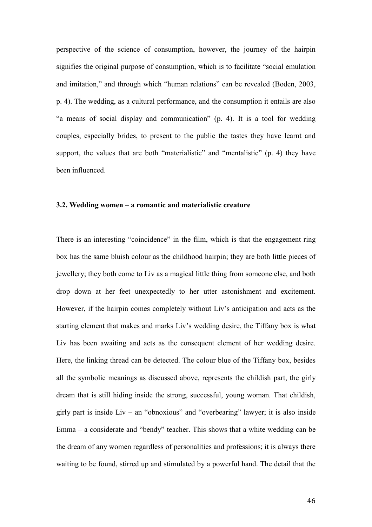perspective of the science of consumption, however, the journey of the hairpin signifies the original purpose of consumption, which is to facilitate "social emulation and imitation," and through which "human relations" can be revealed (Boden, 2003, p. 4). The wedding, as a cultural performance, and the consumption it entails are also "a means of social display and communication" (p. 4). It is a tool for wedding couples, especially brides, to present to the public the tastes they have learnt and support, the values that are both "materialistic" and "mentalistic" (p. 4) they have been influenced.

#### **3.2. Wedding women – a romantic and materialistic creature**

There is an interesting "coincidence" in the film, which is that the engagement ring box has the same bluish colour as the childhood hairpin; they are both little pieces of jewellery; they both come to Liv as a magical little thing from someone else, and both drop down at her feet unexpectedly to her utter astonishment and excitement. However, if the hairpin comes completely without Liv's anticipation and acts as the starting element that makes and marks Liv's wedding desire, the Tiffany box is what Liv has been awaiting and acts as the consequent element of her wedding desire. Here, the linking thread can be detected. The colour blue of the Tiffany box, besides all the symbolic meanings as discussed above, represents the childish part, the girly dream that is still hiding inside the strong, successful, young woman. That childish, girly part is inside  $Liv - an$  "obnoxious" and "overbearing" lawyer; it is also inside Emma – a considerate and "bendy" teacher. This shows that a white wedding can be the dream of any women regardless of personalities and professions; it is always there waiting to be found, stirred up and stimulated by a powerful hand. The detail that the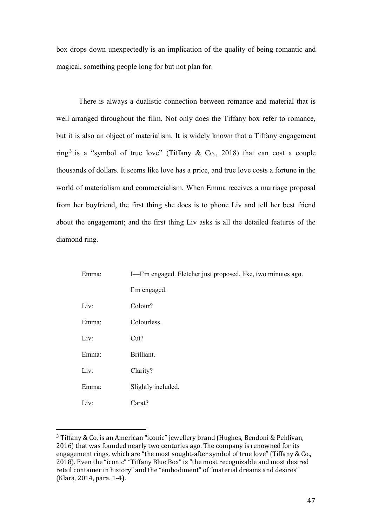box drops down unexpectedly is an implication of the quality of being romantic and magical, something people long for but not plan for.

There is always a dualistic connection between romance and material that is well arranged throughout the film. Not only does the Tiffany box refer to romance, but it is also an object of materialism. It is widely known that a Tiffany engagement ring<sup>3</sup> is a "symbol of true love" (Tiffany & Co., 2018) that can cost a couple thousands of dollars. It seems like love has a price, and true love costs a fortune in the world of materialism and commercialism. When Emma receives a marriage proposal from her boyfriend, the first thing she does is to phone Liv and tell her best friend about the engagement; and the first thing Liv asks is all the detailed features of the diamond ring.

| Emma: | I-I'm engaged. Fletcher just proposed, like, two minutes ago. |
|-------|---------------------------------------------------------------|
|       | I'm engaged.                                                  |
| Liv:  | Colour?                                                       |
| Emma: | Colourless.                                                   |
| Liv:  | Cut?                                                          |
| Emma: | Brilliant.                                                    |
| Liv:  | Clarity?                                                      |
| Emma: | Slightly included.                                            |
| Liv:  | Carat?                                                        |

<sup>3</sup> Tiffany & Co. is an American "iconic" jewellery brand (Hughes, Bendoni & Pehlivan, 2016) that was founded nearly two centuries ago. The company is renowned for its engagement rings, which are "the most sought-after symbol of true love" (Tiffany & Co., 2018). Even the "iconic" "Tiffany Blue Box" is "the most recognizable and most desired retail container in history" and the "embodiment" of "material dreams and desires" (Klara, 2014, para. 1-4).

 $\overline{a}$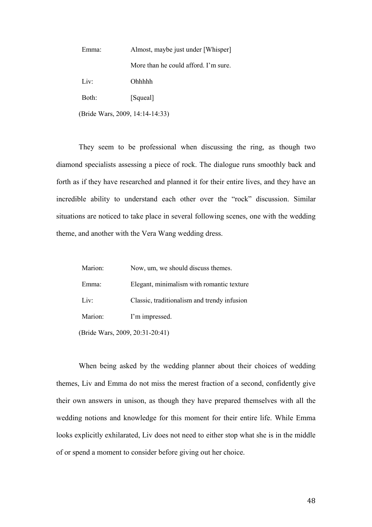| Emma:                           | Almost, maybe just under [Whisper]   |
|---------------------------------|--------------------------------------|
|                                 | More than he could afford. I'm sure. |
| Liv:                            | <b>Ohhhhh</b>                        |
| Both:                           | [Squeal]                             |
| (Bride Wars, 2009, 14:14-14:33) |                                      |

They seem to be professional when discussing the ring, as though two diamond specialists assessing a piece of rock. The dialogue runs smoothly back and forth as if they have researched and planned it for their entire lives, and they have an incredible ability to understand each other over the "rock" discussion. Similar situations are noticed to take place in several following scenes, one with the wedding theme, and another with the Vera Wang wedding dress.

| Marion:                         | Now, um, we should discuss themes.          |
|---------------------------------|---------------------------------------------|
| Emma:                           | Elegant, minimalism with romantic texture   |
| Liv:                            | Classic, traditionalism and trendy infusion |
| Marion:                         | I'm impressed.                              |
| (Bride Wars, 2009, 20:31-20:41) |                                             |

When being asked by the wedding planner about their choices of wedding themes, Liv and Emma do not miss the merest fraction of a second, confidently give their own answers in unison, as though they have prepared themselves with all the wedding notions and knowledge for this moment for their entire life. While Emma looks explicitly exhilarated, Liv does not need to either stop what she is in the middle of or spend a moment to consider before giving out her choice.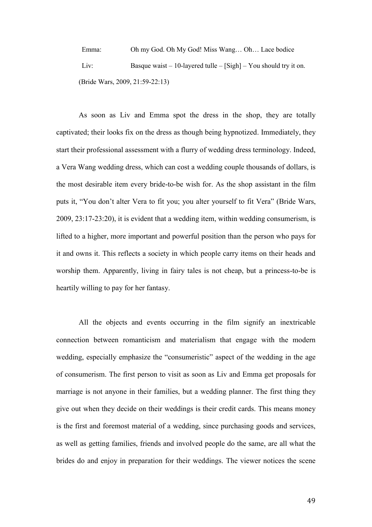Emma: Oh my God. Oh My God! Miss Wang… Oh… Lace bodice Liv: Basque waist – 10-layered tulle – [Sigh] – You should try it on. (Bride Wars, 2009, 21:59-22:13)

As soon as Liv and Emma spot the dress in the shop, they are totally captivated; their looks fix on the dress as though being hypnotized. Immediately, they start their professional assessment with a flurry of wedding dress terminology. Indeed, a Vera Wang wedding dress, which can cost a wedding couple thousands of dollars, is the most desirable item every bride-to-be wish for. As the shop assistant in the film puts it, "You don't alter Vera to fit you; you alter yourself to fit Vera" (Bride Wars, 2009, 23:17-23:20), it is evident that a wedding item, within wedding consumerism, is lifted to a higher, more important and powerful position than the person who pays for it and owns it. This reflects a society in which people carry items on their heads and worship them. Apparently, living in fairy tales is not cheap, but a princess-to-be is heartily willing to pay for her fantasy.

All the objects and events occurring in the film signify an inextricable connection between romanticism and materialism that engage with the modern wedding, especially emphasize the "consumeristic" aspect of the wedding in the age of consumerism. The first person to visit as soon as Liv and Emma get proposals for marriage is not anyone in their families, but a wedding planner. The first thing they give out when they decide on their weddings is their credit cards. This means money is the first and foremost material of a wedding, since purchasing goods and services, as well as getting families, friends and involved people do the same, are all what the brides do and enjoy in preparation for their weddings. The viewer notices the scene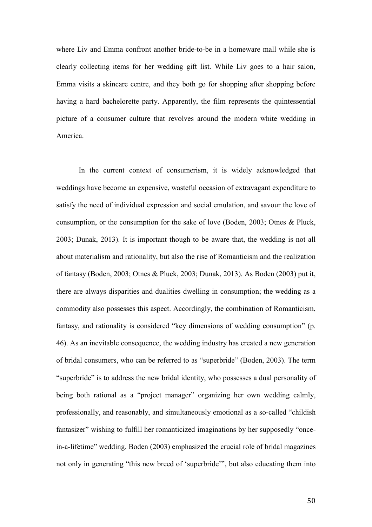where Liv and Emma confront another bride-to-be in a homeware mall while she is clearly collecting items for her wedding gift list. While Liv goes to a hair salon, Emma visits a skincare centre, and they both go for shopping after shopping before having a hard bachelorette party. Apparently, the film represents the quintessential picture of a consumer culture that revolves around the modern white wedding in America.

In the current context of consumerism, it is widely acknowledged that weddings have become an expensive, wasteful occasion of extravagant expenditure to satisfy the need of individual expression and social emulation, and savour the love of consumption, or the consumption for the sake of love (Boden, 2003; Otnes & Pluck, 2003; Dunak, 2013). It is important though to be aware that, the wedding is not all about materialism and rationality, but also the rise of Romanticism and the realization of fantasy (Boden, 2003; Otnes & Pluck, 2003; Dunak, 2013). As Boden (2003) put it, there are always disparities and dualities dwelling in consumption; the wedding as a commodity also possesses this aspect. Accordingly, the combination of Romanticism, fantasy, and rationality is considered "key dimensions of wedding consumption" (p. 46). As an inevitable consequence, the wedding industry has created a new generation of bridal consumers, who can be referred to as "superbride" (Boden, 2003). The term "superbride" is to address the new bridal identity, who possesses a dual personality of being both rational as a "project manager" organizing her own wedding calmly, professionally, and reasonably, and simultaneously emotional as a so-called "childish fantasizer" wishing to fulfill her romanticized imaginations by her supposedly "oncein-a-lifetime" wedding. Boden (2003) emphasized the crucial role of bridal magazines not only in generating "this new breed of 'superbride'", but also educating them into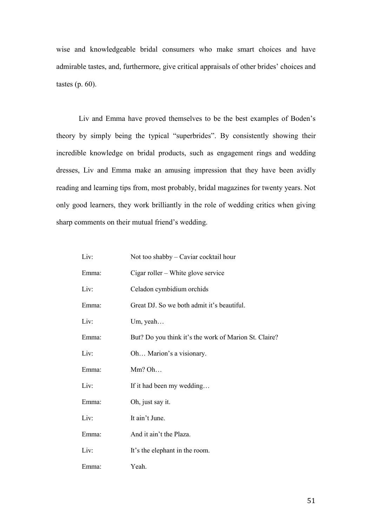wise and knowledgeable bridal consumers who make smart choices and have admirable tastes, and, furthermore, give critical appraisals of other brides' choices and tastes (p. 60).

Liv and Emma have proved themselves to be the best examples of Boden's theory by simply being the typical "superbrides". By consistently showing their incredible knowledge on bridal products, such as engagement rings and wedding dresses, Liv and Emma make an amusing impression that they have been avidly reading and learning tips from, most probably, bridal magazines for twenty years. Not only good learners, they work brilliantly in the role of wedding critics when giving sharp comments on their mutual friend's wedding.

| Liv:  | Not too shabby – Caviar cocktail hour                 |
|-------|-------------------------------------------------------|
| Emma: | Cigar roller – White glove service                    |
| Liv:  | Celadon cymbidium orchids                             |
| Emma: | Great DJ. So we both admit it's beautiful.            |
| Liv:  | Um, yeah                                              |
| Emma: | But? Do you think it's the work of Marion St. Claire? |
| Liv:  | Oh Marion's a visionary.                              |
| Emma: | Mm? Oh                                                |
| Liv:  | If it had been my wedding                             |
| Emma: | Oh, just say it.                                      |
| Liv:  | It ain't June.                                        |
| Emma: | And it ain't the Plaza.                               |
| Liv:  | It's the elephant in the room.                        |
| Emma: | Yeah.                                                 |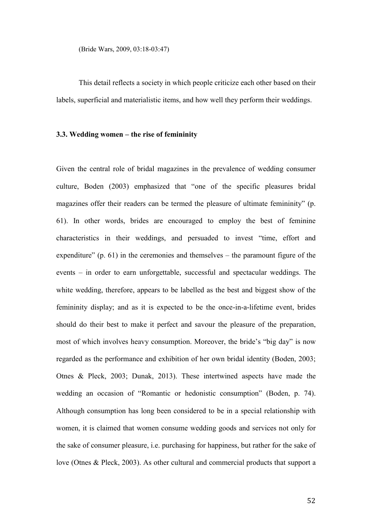(Bride Wars, 2009, 03:18-03:47)

This detail reflects a society in which people criticize each other based on their labels, superficial and materialistic items, and how well they perform their weddings.

#### **3.3. Wedding women – the rise of femininity**

Given the central role of bridal magazines in the prevalence of wedding consumer culture, Boden (2003) emphasized that "one of the specific pleasures bridal magazines offer their readers can be termed the pleasure of ultimate femininity" (p. 61). In other words, brides are encouraged to employ the best of feminine characteristics in their weddings, and persuaded to invest "time, effort and expenditure"  $(p. 61)$  in the ceremonies and themselves – the paramount figure of the events – in order to earn unforgettable, successful and spectacular weddings. The white wedding, therefore, appears to be labelled as the best and biggest show of the femininity display; and as it is expected to be the once-in-a-lifetime event, brides should do their best to make it perfect and savour the pleasure of the preparation, most of which involves heavy consumption. Moreover, the bride's "big day" is now regarded as the performance and exhibition of her own bridal identity (Boden, 2003; Otnes & Pleck, 2003; Dunak, 2013). These intertwined aspects have made the wedding an occasion of "Romantic or hedonistic consumption" (Boden, p. 74). Although consumption has long been considered to be in a special relationship with women, it is claimed that women consume wedding goods and services not only for the sake of consumer pleasure, i.e. purchasing for happiness, but rather for the sake of love (Otnes & Pleck, 2003). As other cultural and commercial products that support a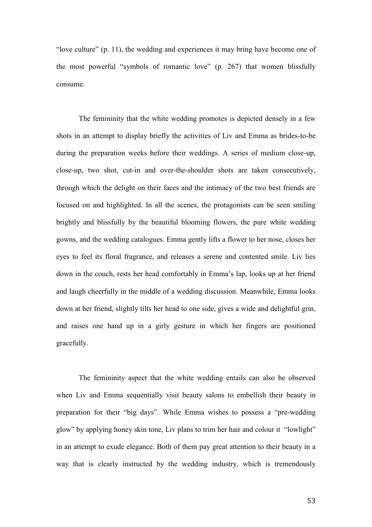"love culture" (p. 11), the wedding and experiences it may bring have become one of the most powerful "symbols of romantic love" (p. 267) that women blissfully consume.

The femininity that the white wedding promotes is depicted densely in a few shots in an attempt to display briefly the activities of Liv and Emma as brides-to-be during the preparation weeks before their weddings. A series of medium close-up, close-up, two shot, cut-in and over-the-shoulder shots are taken consecutively, through which the delight on their faces and the intimacy of the two best friends are focused on and highlighted. In all the scenes, the protagonists can be seen smiling brightly and blissfully by the beautiful blooming flowers, the pure white wedding gowns, and the wedding catalogues. Emma gently lifts a flower to her nose, closes her eyes to feel its floral fragrance, and releases a serene and contented smile. Liv lies down in the couch, rests her head comfortably in Emma's lap, looks up at her friend and laugh cheerfully in the middle of a wedding discussion. Meanwhile, Emma looks down at her friend, slightly tilts her head to one side, gives a wide and delightful grin, and raises one hand up in a girly gesture in which her fingers are positioned gracefully.

The femininity aspect that the white wedding entails can also be observed when Liv and Emma sequentially visit beauty salons to embellish their beauty in preparation for their "big days". While Emma wishes to possess a "pre-wedding glow" by applying honey skin tone, Liv plans to trim her hair and colour it "lowlight" in an attempt to exude elegance. Both of them pay great attention to their beauty in a way that is clearly instructed by the wedding industry, which is tremendously

53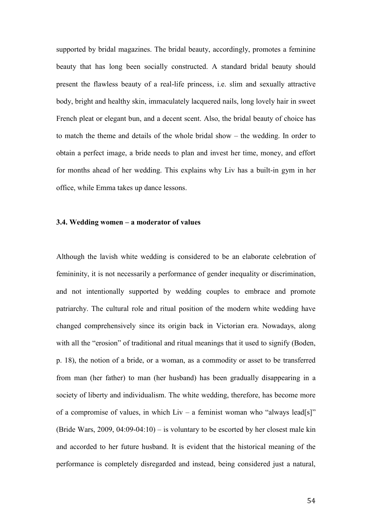supported by bridal magazines. The bridal beauty, accordingly, promotes a feminine beauty that has long been socially constructed. A standard bridal beauty should present the flawless beauty of a real-life princess, i.e. slim and sexually attractive body, bright and healthy skin, immaculately lacquered nails, long lovely hair in sweet French pleat or elegant bun, and a decent scent. Also, the bridal beauty of choice has to match the theme and details of the whole bridal show – the wedding. In order to obtain a perfect image, a bride needs to plan and invest her time, money, and effort for months ahead of her wedding. This explains why Liv has a built-in gym in her office, while Emma takes up dance lessons.

# **3.4. Wedding women – a moderator of values**

Although the lavish white wedding is considered to be an elaborate celebration of femininity, it is not necessarily a performance of gender inequality or discrimination, and not intentionally supported by wedding couples to embrace and promote patriarchy. The cultural role and ritual position of the modern white wedding have changed comprehensively since its origin back in Victorian era. Nowadays, along with all the "erosion" of traditional and ritual meanings that it used to signify (Boden, p. 18), the notion of a bride, or a woman, as a commodity or asset to be transferred from man (her father) to man (her husband) has been gradually disappearing in a society of liberty and individualism. The white wedding, therefore, has become more of a compromise of values, in which  $Liv - a$  feminist woman who "always lead[s]" (Bride Wars, 2009, 04:09-04:10) – is voluntary to be escorted by her closest male kin and accorded to her future husband. It is evident that the historical meaning of the performance is completely disregarded and instead, being considered just a natural,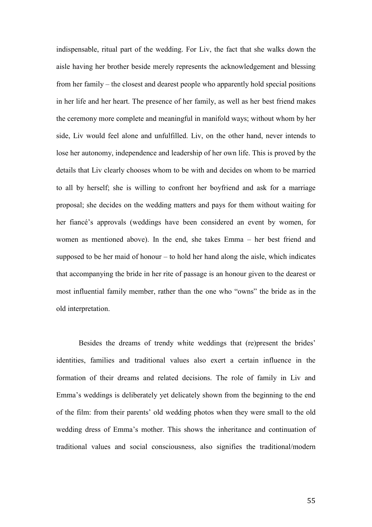indispensable, ritual part of the wedding. For Liv, the fact that she walks down the aisle having her brother beside merely represents the acknowledgement and blessing from her family – the closest and dearest people who apparently hold special positions in her life and her heart. The presence of her family, as well as her best friend makes the ceremony more complete and meaningful in manifold ways; without whom by her side, Liv would feel alone and unfulfilled. Liv, on the other hand, never intends to lose her autonomy, independence and leadership of her own life. This is proved by the details that Liv clearly chooses whom to be with and decides on whom to be married to all by herself; she is willing to confront her boyfriend and ask for a marriage proposal; she decides on the wedding matters and pays for them without waiting for her fiancé's approvals (weddings have been considered an event by women, for women as mentioned above). In the end, she takes Emma – her best friend and supposed to be her maid of honour – to hold her hand along the aisle, which indicates that accompanying the bride in her rite of passage is an honour given to the dearest or most influential family member, rather than the one who "owns" the bride as in the old interpretation.

Besides the dreams of trendy white weddings that (re)present the brides' identities, families and traditional values also exert a certain influence in the formation of their dreams and related decisions. The role of family in Liv and Emma's weddings is deliberately yet delicately shown from the beginning to the end of the film: from their parents' old wedding photos when they were small to the old wedding dress of Emma's mother. This shows the inheritance and continuation of traditional values and social consciousness, also signifies the traditional/modern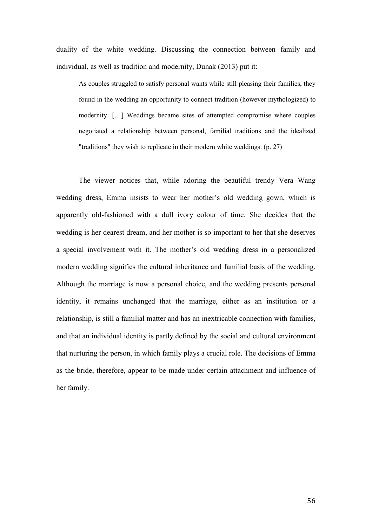duality of the white wedding. Discussing the connection between family and individual, as well as tradition and modernity, Dunak (2013) put it:

As couples struggled to satisfy personal wants while still pleasing their families, they found in the wedding an opportunity to connect tradition (however mythologized) to modernity. […] Weddings became sites of attempted compromise where couples negotiated a relationship between personal, familial traditions and the idealized "traditions" they wish to replicate in their modern white weddings. (p. 27)

The viewer notices that, while adoring the beautiful trendy Vera Wang wedding dress, Emma insists to wear her mother's old wedding gown, which is apparently old-fashioned with a dull ivory colour of time. She decides that the wedding is her dearest dream, and her mother is so important to her that she deserves a special involvement with it. The mother's old wedding dress in a personalized modern wedding signifies the cultural inheritance and familial basis of the wedding. Although the marriage is now a personal choice, and the wedding presents personal identity, it remains unchanged that the marriage, either as an institution or a relationship, is still a familial matter and has an inextricable connection with families, and that an individual identity is partly defined by the social and cultural environment that nurturing the person, in which family plays a crucial role. The decisions of Emma as the bride, therefore, appear to be made under certain attachment and influence of her family.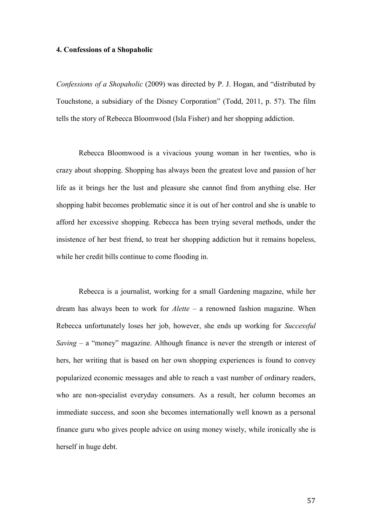#### **4. Confessions of a Shopaholic**

*Confessions of a Shopaholic* (2009) was directed by P. J. Hogan, and "distributed by Touchstone, a subsidiary of the Disney Corporation" (Todd, 2011, p. 57). The film tells the story of Rebecca Bloomwood (Isla Fisher) and her shopping addiction.

Rebecca Bloomwood is a vivacious young woman in her twenties, who is crazy about shopping. Shopping has always been the greatest love and passion of her life as it brings her the lust and pleasure she cannot find from anything else. Her shopping habit becomes problematic since it is out of her control and she is unable to afford her excessive shopping. Rebecca has been trying several methods, under the insistence of her best friend, to treat her shopping addiction but it remains hopeless, while her credit bills continue to come flooding in.

Rebecca is a journalist, working for a small Gardening magazine, while her dream has always been to work for *Alette* – a renowned fashion magazine. When Rebecca unfortunately loses her job, however, she ends up working for *Successful Saving* – a "money" magazine. Although finance is never the strength or interest of hers, her writing that is based on her own shopping experiences is found to convey popularized economic messages and able to reach a vast number of ordinary readers, who are non-specialist everyday consumers. As a result, her column becomes an immediate success, and soon she becomes internationally well known as a personal finance guru who gives people advice on using money wisely, while ironically she is herself in huge debt.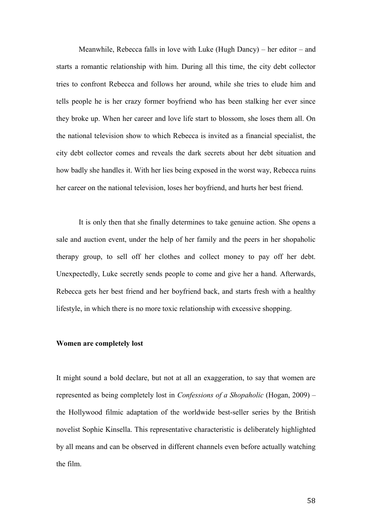Meanwhile, Rebecca falls in love with Luke (Hugh Dancy) – her editor – and starts a romantic relationship with him. During all this time, the city debt collector tries to confront Rebecca and follows her around, while she tries to elude him and tells people he is her crazy former boyfriend who has been stalking her ever since they broke up. When her career and love life start to blossom, she loses them all. On the national television show to which Rebecca is invited as a financial specialist, the city debt collector comes and reveals the dark secrets about her debt situation and how badly she handles it. With her lies being exposed in the worst way, Rebecca ruins her career on the national television, loses her boyfriend, and hurts her best friend.

It is only then that she finally determines to take genuine action. She opens a sale and auction event, under the help of her family and the peers in her shopaholic therapy group, to sell off her clothes and collect money to pay off her debt. Unexpectedly, Luke secretly sends people to come and give her a hand. Afterwards, Rebecca gets her best friend and her boyfriend back, and starts fresh with a healthy lifestyle, in which there is no more toxic relationship with excessive shopping.

### **Women are completely lost**

It might sound a bold declare, but not at all an exaggeration, to say that women are represented as being completely lost in *Confessions of a Shopaholic* (Hogan, 2009) – the Hollywood filmic adaptation of the worldwide best-seller series by the British novelist Sophie Kinsella. This representative characteristic is deliberately highlighted by all means and can be observed in different channels even before actually watching the film.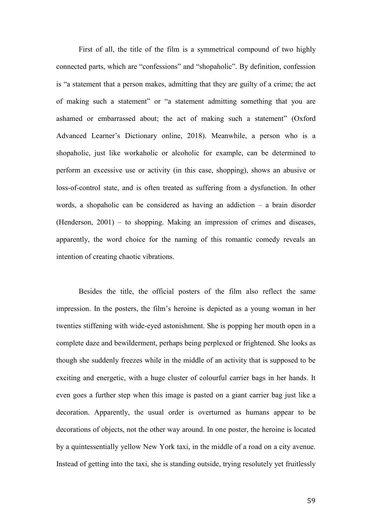First of all, the title of the film is a symmetrical compound of two highly connected parts, which are "confessions" and "shopaholic". By definition, confession is "a statement that a person makes, admitting that they are guilty of a crime; the act of making such a statement" or "a statement admitting something that you are ashamed or embarrassed about; the act of making such a statement" (Oxford Advanced Learner's Dictionary online, 2018). Meanwhile, a person who is a shopaholic, just like workaholic or alcoholic for example, can be determined to perform an excessive use or activity (in this case, shopping), shows an abusive or loss-of-control state, and is often treated as suffering from a dysfunction. In other words, a shopaholic can be considered as having an addiction – a brain disorder (Henderson, 2001) – to shopping. Making an impression of crimes and diseases, apparently, the word choice for the naming of this romantic comedy reveals an intention of creating chaotic vibrations.

Besides the title, the official posters of the film also reflect the same impression. In the posters, the film's heroine is depicted as a young woman in her twenties stiffening with wide-eyed astonishment. She is popping her mouth open in a complete daze and bewilderment, perhaps being perplexed or frightened. She looks as though she suddenly freezes while in the middle of an activity that is supposed to be exciting and energetic, with a huge cluster of colourful carrier bags in her hands. It even goes a further step when this image is pasted on a giant carrier bag just like a decoration. Apparently, the usual order is overturned as humans appear to be decorations of objects, not the other way around. In one poster, the heroine is located by a quintessentially yellow New York taxi, in the middle of a road on a city avenue. Instead of getting into the taxi, she is standing outside, trying resolutely yet fruitlessly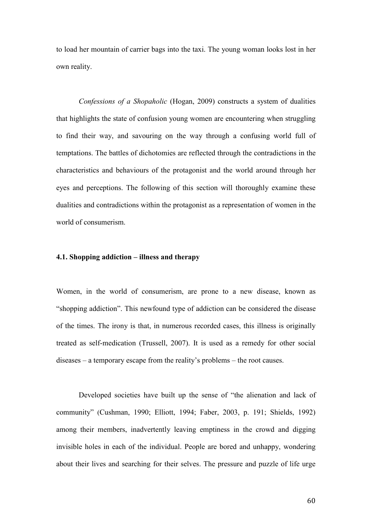to load her mountain of carrier bags into the taxi. The young woman looks lost in her own reality.

*Confessions of a Shopaholic* (Hogan, 2009) constructs a system of dualities that highlights the state of confusion young women are encountering when struggling to find their way, and savouring on the way through a confusing world full of temptations. The battles of dichotomies are reflected through the contradictions in the characteristics and behaviours of the protagonist and the world around through her eyes and perceptions. The following of this section will thoroughly examine these dualities and contradictions within the protagonist as a representation of women in the world of consumerism.

# **4.1. Shopping addiction – illness and therapy**

Women, in the world of consumerism, are prone to a new disease, known as "shopping addiction". This newfound type of addiction can be considered the disease of the times. The irony is that, in numerous recorded cases, this illness is originally treated as self-medication (Trussell, 2007). It is used as a remedy for other social diseases – a temporary escape from the reality's problems – the root causes.

Developed societies have built up the sense of "the alienation and lack of community" (Cushman, 1990; Elliott, 1994; Faber, 2003, p. 191; Shields, 1992) among their members, inadvertently leaving emptiness in the crowd and digging invisible holes in each of the individual. People are bored and unhappy, wondering about their lives and searching for their selves. The pressure and puzzle of life urge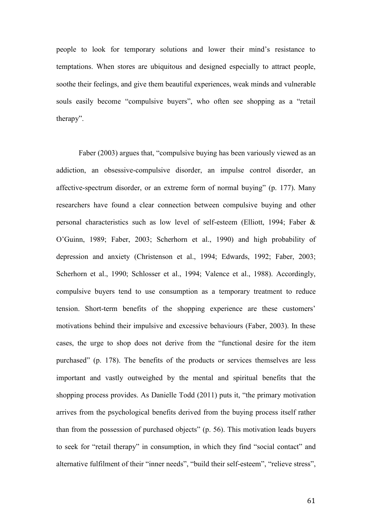people to look for temporary solutions and lower their mind's resistance to temptations. When stores are ubiquitous and designed especially to attract people, soothe their feelings, and give them beautiful experiences, weak minds and vulnerable souls easily become "compulsive buyers", who often see shopping as a "retail therapy".

Faber (2003) argues that, "compulsive buying has been variously viewed as an addiction, an obsessive-compulsive disorder, an impulse control disorder, an affective-spectrum disorder, or an extreme form of normal buying" (p. 177). Many researchers have found a clear connection between compulsive buying and other personal characteristics such as low level of self-esteem (Elliott, 1994; Faber & O'Guinn, 1989; Faber, 2003; Scherhorn et al., 1990) and high probability of depression and anxiety (Christenson et al., 1994; Edwards, 1992; Faber, 2003; Scherhorn et al., 1990; Schlosser et al., 1994; Valence et al., 1988). Accordingly, compulsive buyers tend to use consumption as a temporary treatment to reduce tension. Short-term benefits of the shopping experience are these customers' motivations behind their impulsive and excessive behaviours (Faber, 2003). In these cases, the urge to shop does not derive from the "functional desire for the item purchased" (p. 178). The benefits of the products or services themselves are less important and vastly outweighed by the mental and spiritual benefits that the shopping process provides. As Danielle Todd (2011) puts it, "the primary motivation arrives from the psychological benefits derived from the buying process itself rather than from the possession of purchased objects" (p. 56). This motivation leads buyers to seek for "retail therapy" in consumption, in which they find "social contact" and alternative fulfilment of their "inner needs", "build their self-esteem", "relieve stress",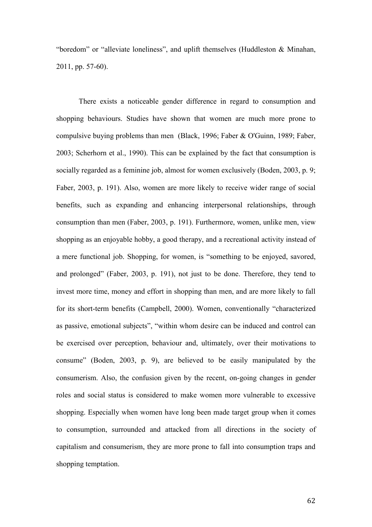"boredom" or "alleviate loneliness", and uplift themselves (Huddleston & Minahan, 2011, pp. 57-60).

There exists a noticeable gender difference in regard to consumption and shopping behaviours. Studies have shown that women are much more prone to compulsive buying problems than men (Black, 1996; Faber & O'Guinn, 1989; Faber, 2003; Scherhorn et al., 1990). This can be explained by the fact that consumption is socially regarded as a feminine job, almost for women exclusively (Boden, 2003, p. 9; Faber, 2003, p. 191). Also, women are more likely to receive wider range of social benefits, such as expanding and enhancing interpersonal relationships, through consumption than men (Faber, 2003, p. 191). Furthermore, women, unlike men, view shopping as an enjoyable hobby, a good therapy, and a recreational activity instead of a mere functional job. Shopping, for women, is "something to be enjoyed, savored, and prolonged" (Faber, 2003, p. 191), not just to be done. Therefore, they tend to invest more time, money and effort in shopping than men, and are more likely to fall for its short-term benefits (Campbell, 2000). Women, conventionally "characterized as passive, emotional subjects", "within whom desire can be induced and control can be exercised over perception, behaviour and, ultimately, over their motivations to consume" (Boden, 2003, p. 9), are believed to be easily manipulated by the consumerism. Also, the confusion given by the recent, on-going changes in gender roles and social status is considered to make women more vulnerable to excessive shopping. Especially when women have long been made target group when it comes to consumption, surrounded and attacked from all directions in the society of capitalism and consumerism, they are more prone to fall into consumption traps and shopping temptation.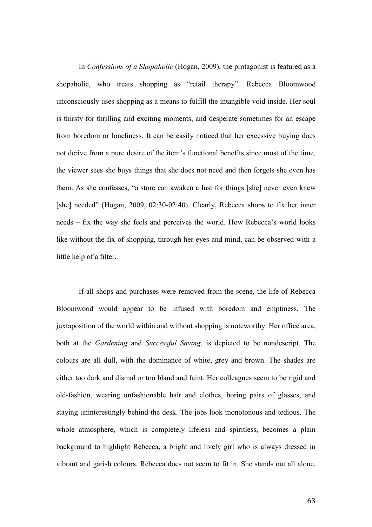In *Confessions of a Shopaholic* (Hogan, 2009), the protagonist is featured as a shopaholic, who treats shopping as "retail therapy". Rebecca Bloomwood unconsciously uses shopping as a means to fulfill the intangible void inside. Her soul is thirsty for thrilling and exciting moments, and desperate sometimes for an escape from boredom or loneliness. It can be easily noticed that her excessive buying does not derive from a pure desire of the item's functional benefits since most of the time, the viewer sees she buys things that she does not need and then forgets she even has them. As she confesses, "a store can awaken a lust for things [she] never even knew [she] needed" (Hogan, 2009, 02:30-02:40). Clearly, Rebecca shops to fix her inner needs – fix the way she feels and perceives the world. How Rebecca's world looks like without the fix of shopping, through her eyes and mind, can be observed with a little help of a filter.

If all shops and purchases were removed from the scene, the life of Rebecca Bloomwood would appear to be infused with boredom and emptiness. The juxtaposition of the world within and without shopping is noteworthy. Her office area, both at the *Gardening* and *Successful Saving*, is depicted to be nondescript. The colours are all dull, with the dominance of white, grey and brown. The shades are either too dark and dismal or too bland and faint. Her colleagues seem to be rigid and old-fashion, wearing unfashionable hair and clothes, boring pairs of glasses, and staying uninterestingly behind the desk. The jobs look monotonous and tedious. The whole atmosphere, which is completely lifeless and spiritless, becomes a plain background to highlight Rebecca, a bright and lively girl who is always dressed in vibrant and garish colours. Rebecca does not seem to fit in. She stands out all alone,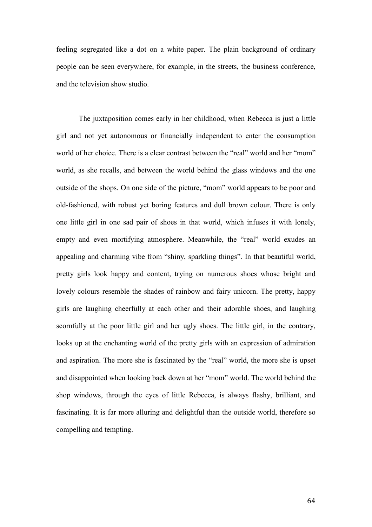feeling segregated like a dot on a white paper. The plain background of ordinary people can be seen everywhere, for example, in the streets, the business conference, and the television show studio.

The juxtaposition comes early in her childhood, when Rebecca is just a little girl and not yet autonomous or financially independent to enter the consumption world of her choice. There is a clear contrast between the "real" world and her "mom" world, as she recalls, and between the world behind the glass windows and the one outside of the shops. On one side of the picture, "mom" world appears to be poor and old-fashioned, with robust yet boring features and dull brown colour. There is only one little girl in one sad pair of shoes in that world, which infuses it with lonely, empty and even mortifying atmosphere. Meanwhile, the "real" world exudes an appealing and charming vibe from "shiny, sparkling things". In that beautiful world, pretty girls look happy and content, trying on numerous shoes whose bright and lovely colours resemble the shades of rainbow and fairy unicorn. The pretty, happy girls are laughing cheerfully at each other and their adorable shoes, and laughing scornfully at the poor little girl and her ugly shoes. The little girl, in the contrary, looks up at the enchanting world of the pretty girls with an expression of admiration and aspiration. The more she is fascinated by the "real" world, the more she is upset and disappointed when looking back down at her "mom" world. The world behind the shop windows, through the eyes of little Rebecca, is always flashy, brilliant, and fascinating. It is far more alluring and delightful than the outside world, therefore so compelling and tempting.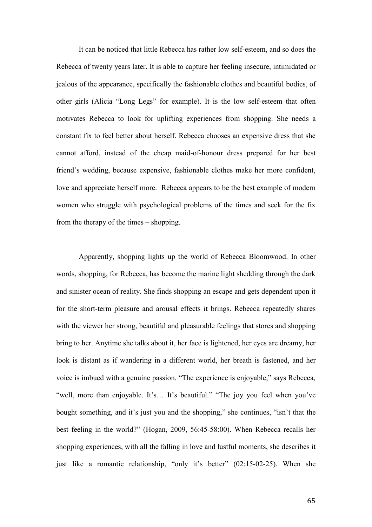It can be noticed that little Rebecca has rather low self-esteem, and so does the Rebecca of twenty years later. It is able to capture her feeling insecure, intimidated or jealous of the appearance, specifically the fashionable clothes and beautiful bodies, of other girls (Alicia "Long Legs" for example). It is the low self-esteem that often motivates Rebecca to look for uplifting experiences from shopping. She needs a constant fix to feel better about herself. Rebecca chooses an expensive dress that she cannot afford, instead of the cheap maid-of-honour dress prepared for her best friend's wedding, because expensive, fashionable clothes make her more confident, love and appreciate herself more. Rebecca appears to be the best example of modern women who struggle with psychological problems of the times and seek for the fix from the therapy of the times – shopping.

Apparently, shopping lights up the world of Rebecca Bloomwood. In other words, shopping, for Rebecca, has become the marine light shedding through the dark and sinister ocean of reality. She finds shopping an escape and gets dependent upon it for the short-term pleasure and arousal effects it brings. Rebecca repeatedly shares with the viewer her strong, beautiful and pleasurable feelings that stores and shopping bring to her. Anytime she talks about it, her face is lightened, her eyes are dreamy, her look is distant as if wandering in a different world, her breath is fastened, and her voice is imbued with a genuine passion. "The experience is enjoyable," says Rebecca, "well, more than enjoyable. It's... It's beautiful." "The joy you feel when you've bought something, and it's just you and the shopping," she continues, "isn't that the best feeling in the world?" (Hogan, 2009, 56:45-58:00). When Rebecca recalls her shopping experiences, with all the falling in love and lustful moments, she describes it just like a romantic relationship, "only it's better" (02:15-02-25). When she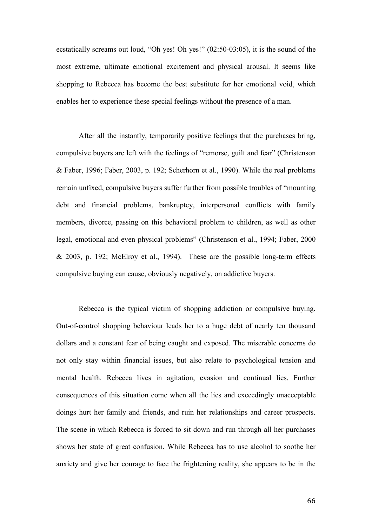ecstatically screams out loud, "Oh yes! Oh yes!" (02:50-03:05), it is the sound of the most extreme, ultimate emotional excitement and physical arousal. It seems like shopping to Rebecca has become the best substitute for her emotional void, which enables her to experience these special feelings without the presence of a man.

After all the instantly, temporarily positive feelings that the purchases bring, compulsive buyers are left with the feelings of "remorse, guilt and fear" (Christenson & Faber, 1996; Faber, 2003, p. 192; Scherhorn et al., 1990). While the real problems remain unfixed, compulsive buyers suffer further from possible troubles of "mounting debt and financial problems, bankruptcy, interpersonal conflicts with family members, divorce, passing on this behavioral problem to children, as well as other legal, emotional and even physical problems" (Christenson et al., 1994; Faber, 2000 & 2003, p. 192; McElroy et al., 1994). These are the possible long-term effects compulsive buying can cause, obviously negatively, on addictive buyers.

Rebecca is the typical victim of shopping addiction or compulsive buying. Out-of-control shopping behaviour leads her to a huge debt of nearly ten thousand dollars and a constant fear of being caught and exposed. The miserable concerns do not only stay within financial issues, but also relate to psychological tension and mental health. Rebecca lives in agitation, evasion and continual lies. Further consequences of this situation come when all the lies and exceedingly unacceptable doings hurt her family and friends, and ruin her relationships and career prospects. The scene in which Rebecca is forced to sit down and run through all her purchases shows her state of great confusion. While Rebecca has to use alcohol to soothe her anxiety and give her courage to face the frightening reality, she appears to be in the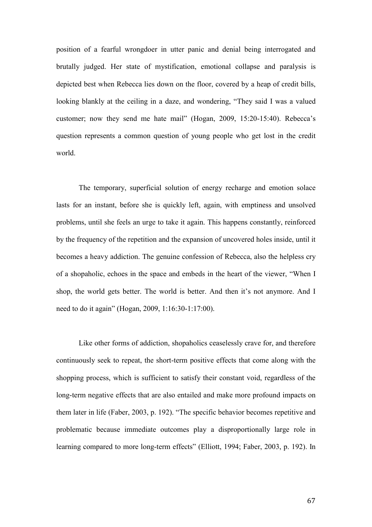position of a fearful wrongdoer in utter panic and denial being interrogated and brutally judged. Her state of mystification, emotional collapse and paralysis is depicted best when Rebecca lies down on the floor, covered by a heap of credit bills, looking blankly at the ceiling in a daze, and wondering, "They said I was a valued customer; now they send me hate mail" (Hogan, 2009, 15:20-15:40). Rebecca's question represents a common question of young people who get lost in the credit world.

The temporary, superficial solution of energy recharge and emotion solace lasts for an instant, before she is quickly left, again, with emptiness and unsolved problems, until she feels an urge to take it again. This happens constantly, reinforced by the frequency of the repetition and the expansion of uncovered holes inside, until it becomes a heavy addiction. The genuine confession of Rebecca, also the helpless cry of a shopaholic, echoes in the space and embeds in the heart of the viewer, "When I shop, the world gets better. The world is better. And then it's not anymore. And I need to do it again" (Hogan, 2009, 1:16:30-1:17:00).

Like other forms of addiction, shopaholics ceaselessly crave for, and therefore continuously seek to repeat, the short-term positive effects that come along with the shopping process, which is sufficient to satisfy their constant void, regardless of the long-term negative effects that are also entailed and make more profound impacts on them later in life (Faber, 2003, p. 192). "The specific behavior becomes repetitive and problematic because immediate outcomes play a disproportionally large role in learning compared to more long-term effects" (Elliott, 1994; Faber, 2003, p. 192). In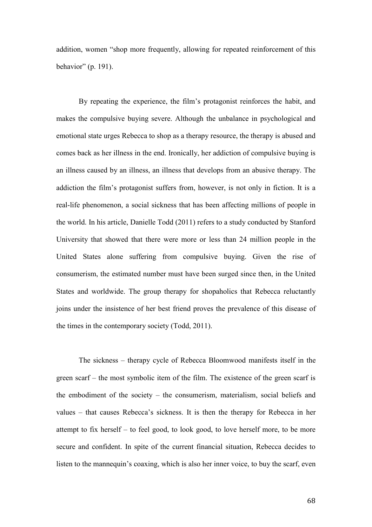addition, women "shop more frequently, allowing for repeated reinforcement of this behavior" (p. 191).

By repeating the experience, the film's protagonist reinforces the habit, and makes the compulsive buying severe. Although the unbalance in psychological and emotional state urges Rebecca to shop as a therapy resource, the therapy is abused and comes back as her illness in the end. Ironically, her addiction of compulsive buying is an illness caused by an illness, an illness that develops from an abusive therapy. The addiction the film's protagonist suffers from, however, is not only in fiction. It is a real-life phenomenon, a social sickness that has been affecting millions of people in the world. In his article, Danielle Todd (2011) refers to a study conducted by Stanford University that showed that there were more or less than 24 million people in the United States alone suffering from compulsive buying. Given the rise of consumerism, the estimated number must have been surged since then, in the United States and worldwide. The group therapy for shopaholics that Rebecca reluctantly joins under the insistence of her best friend proves the prevalence of this disease of the times in the contemporary society (Todd, 2011).

The sickness – therapy cycle of Rebecca Bloomwood manifests itself in the green scarf – the most symbolic item of the film. The existence of the green scarf is the embodiment of the society – the consumerism, materialism, social beliefs and values – that causes Rebecca's sickness. It is then the therapy for Rebecca in her attempt to fix herself – to feel good, to look good, to love herself more, to be more secure and confident. In spite of the current financial situation, Rebecca decides to listen to the mannequin's coaxing, which is also her inner voice, to buy the scarf, even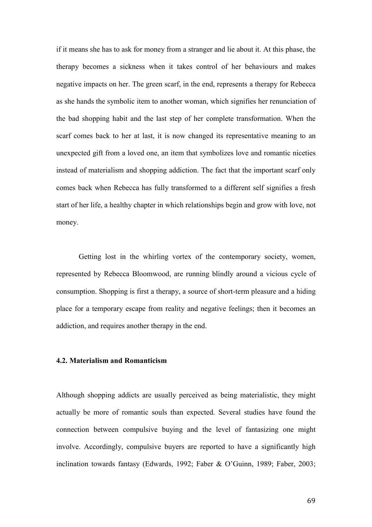if it means she has to ask for money from a stranger and lie about it. At this phase, the therapy becomes a sickness when it takes control of her behaviours and makes negative impacts on her. The green scarf, in the end, represents a therapy for Rebecca as she hands the symbolic item to another woman, which signifies her renunciation of the bad shopping habit and the last step of her complete transformation. When the scarf comes back to her at last, it is now changed its representative meaning to an unexpected gift from a loved one, an item that symbolizes love and romantic niceties instead of materialism and shopping addiction. The fact that the important scarf only comes back when Rebecca has fully transformed to a different self signifies a fresh start of her life, a healthy chapter in which relationships begin and grow with love, not money.

Getting lost in the whirling vortex of the contemporary society, women, represented by Rebecca Bloomwood, are running blindly around a vicious cycle of consumption. Shopping is first a therapy, a source of short-term pleasure and a hiding place for a temporary escape from reality and negative feelings; then it becomes an addiction, and requires another therapy in the end.

# **4.2. Materialism and Romanticism**

Although shopping addicts are usually perceived as being materialistic, they might actually be more of romantic souls than expected. Several studies have found the connection between compulsive buying and the level of fantasizing one might involve. Accordingly, compulsive buyers are reported to have a significantly high inclination towards fantasy (Edwards, 1992; Faber & O'Guinn, 1989; Faber, 2003;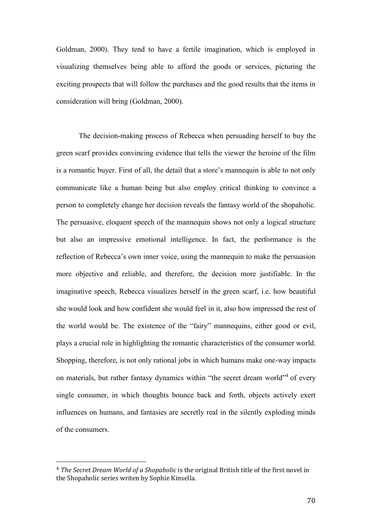Goldman, 2000). They tend to have a fertile imagination, which is employed in visualizing themselves being able to afford the goods or services, picturing the exciting prospects that will follow the purchases and the good results that the items in consideration will bring (Goldman, 2000).

The decision-making process of Rebecca when persuading herself to buy the green scarf provides convincing evidence that tells the viewer the heroine of the film is a romantic buyer. First of all, the detail that a store's mannequin is able to not only communicate like a human being but also employ critical thinking to convince a person to completely change her decision reveals the fantasy world of the shopaholic. The persuasive, eloquent speech of the mannequin shows not only a logical structure but also an impressive emotional intelligence. In fact, the performance is the reflection of Rebecca's own inner voice, using the mannequin to make the persuasion more objective and reliable, and therefore, the decision more justifiable. In the imaginative speech, Rebecca visualizes herself in the green scarf, i.e. how beautiful she would look and how confident she would feel in it, also how impressed the rest of the world would be. The existence of the "fairy" mannequins, either good or evil, plays a crucial role in highlighting the romantic characteristics of the consumer world. Shopping, therefore, is not only rational jobs in which humans make one-way impacts on materials, but rather fantasy dynamics within "the secret dream world"<sup>4</sup> of every single consumer, in which thoughts bounce back and forth, objects actively exert influences on humans, and fantasies are secretly real in the silently exploding minds of the consumers.

 $\overline{\phantom{a}}$ 

<sup>4</sup> *The Secret Dream World of a Shopaholic* is the original British title of the first novel in the Shopaholic series writen by Sophie Kinsella.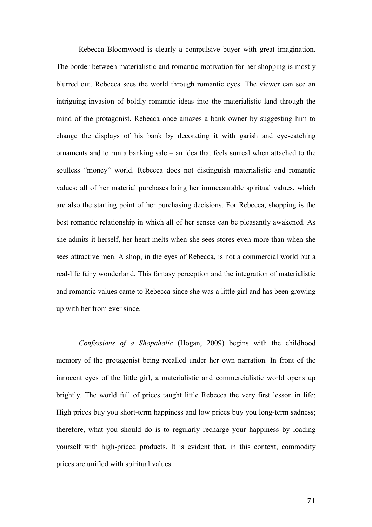Rebecca Bloomwood is clearly a compulsive buyer with great imagination. The border between materialistic and romantic motivation for her shopping is mostly blurred out. Rebecca sees the world through romantic eyes. The viewer can see an intriguing invasion of boldly romantic ideas into the materialistic land through the mind of the protagonist. Rebecca once amazes a bank owner by suggesting him to change the displays of his bank by decorating it with garish and eye-catching ornaments and to run a banking sale – an idea that feels surreal when attached to the soulless "money" world. Rebecca does not distinguish materialistic and romantic values; all of her material purchases bring her immeasurable spiritual values, which are also the starting point of her purchasing decisions. For Rebecca, shopping is the best romantic relationship in which all of her senses can be pleasantly awakened. As she admits it herself, her heart melts when she sees stores even more than when she sees attractive men. A shop, in the eyes of Rebecca, is not a commercial world but a real-life fairy wonderland. This fantasy perception and the integration of materialistic and romantic values came to Rebecca since she was a little girl and has been growing up with her from ever since.

*Confessions of a Shopaholic* (Hogan, 2009) begins with the childhood memory of the protagonist being recalled under her own narration. In front of the innocent eyes of the little girl, a materialistic and commercialistic world opens up brightly. The world full of prices taught little Rebecca the very first lesson in life: High prices buy you short-term happiness and low prices buy you long-term sadness; therefore, what you should do is to regularly recharge your happiness by loading yourself with high-priced products. It is evident that, in this context, commodity prices are unified with spiritual values.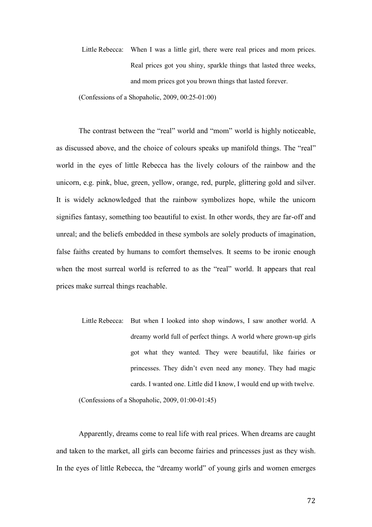Little Rebecca: When I was a little girl, there were real prices and mom prices. Real prices got you shiny, sparkle things that lasted three weeks, and mom prices got you brown things that lasted forever.

(Confessions of a Shopaholic, 2009, 00:25-01:00)

The contrast between the "real" world and "mom" world is highly noticeable, as discussed above, and the choice of colours speaks up manifold things. The "real" world in the eyes of little Rebecca has the lively colours of the rainbow and the unicorn, e.g. pink, blue, green, yellow, orange, red, purple, glittering gold and silver. It is widely acknowledged that the rainbow symbolizes hope, while the unicorn signifies fantasy, something too beautiful to exist. In other words, they are far-off and unreal; and the beliefs embedded in these symbols are solely products of imagination, false faiths created by humans to comfort themselves. It seems to be ironic enough when the most surreal world is referred to as the "real" world. It appears that real prices make surreal things reachable.

Little Rebecca: But when I looked into shop windows, I saw another world. A dreamy world full of perfect things. A world where grown-up girls got what they wanted. They were beautiful, like fairies or princesses. They didn't even need any money. They had magic cards. I wanted one. Little did I know, I would end up with twelve.

(Confessions of a Shopaholic, 2009, 01:00-01:45)

Apparently, dreams come to real life with real prices. When dreams are caught and taken to the market, all girls can become fairies and princesses just as they wish. In the eyes of little Rebecca, the "dreamy world" of young girls and women emerges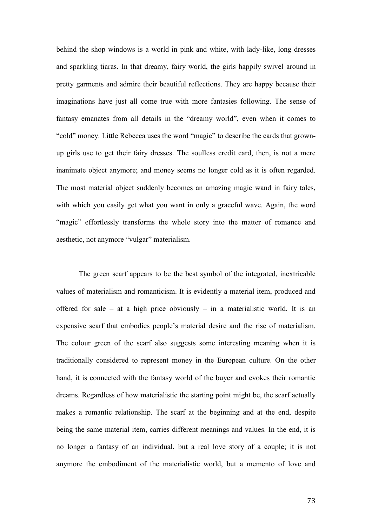behind the shop windows is a world in pink and white, with lady-like, long dresses and sparkling tiaras. In that dreamy, fairy world, the girls happily swivel around in pretty garments and admire their beautiful reflections. They are happy because their imaginations have just all come true with more fantasies following. The sense of fantasy emanates from all details in the "dreamy world", even when it comes to "cold" money. Little Rebecca uses the word "magic" to describe the cards that grownup girls use to get their fairy dresses. The soulless credit card, then, is not a mere inanimate object anymore; and money seems no longer cold as it is often regarded. The most material object suddenly becomes an amazing magic wand in fairy tales, with which you easily get what you want in only a graceful wave. Again, the word "magic" effortlessly transforms the whole story into the matter of romance and aesthetic, not anymore "vulgar" materialism.

The green scarf appears to be the best symbol of the integrated, inextricable values of materialism and romanticism. It is evidently a material item, produced and offered for sale – at a high price obviously – in a materialistic world. It is an expensive scarf that embodies people's material desire and the rise of materialism. The colour green of the scarf also suggests some interesting meaning when it is traditionally considered to represent money in the European culture. On the other hand, it is connected with the fantasy world of the buyer and evokes their romantic dreams. Regardless of how materialistic the starting point might be, the scarf actually makes a romantic relationship. The scarf at the beginning and at the end, despite being the same material item, carries different meanings and values. In the end, it is no longer a fantasy of an individual, but a real love story of a couple; it is not anymore the embodiment of the materialistic world, but a memento of love and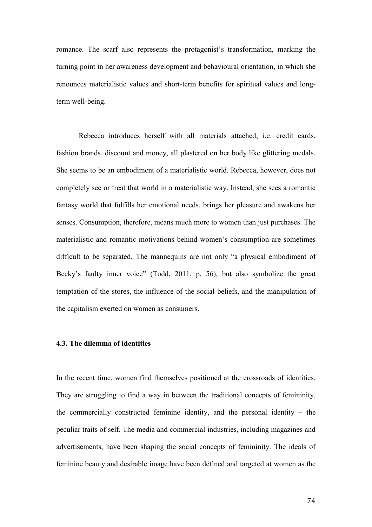romance. The scarf also represents the protagonist's transformation, marking the turning point in her awareness development and behavioural orientation, in which she renounces materialistic values and short-term benefits for spiritual values and longterm well-being.

Rebecca introduces herself with all materials attached, i.e. credit cards, fashion brands, discount and money, all plastered on her body like glittering medals. She seems to be an embodiment of a materialistic world. Rebecca, however, does not completely see or treat that world in a materialistic way. Instead, she sees a romantic fantasy world that fulfills her emotional needs, brings her pleasure and awakens her senses. Consumption, therefore, means much more to women than just purchases. The materialistic and romantic motivations behind women's consumption are sometimes difficult to be separated. The mannequins are not only "a physical embodiment of Becky's faulty inner voice" (Todd, 2011, p. 56), but also symbolize the great temptation of the stores, the influence of the social beliefs, and the manipulation of the capitalism exerted on women as consumers.

### **4.3. The dilemma of identities**

In the recent time, women find themselves positioned at the crossroads of identities. They are struggling to find a way in between the traditional concepts of femininity, the commercially constructed feminine identity, and the personal identity – the peculiar traits of self. The media and commercial industries, including magazines and advertisements, have been shaping the social concepts of femininity. The ideals of feminine beauty and desirable image have been defined and targeted at women as the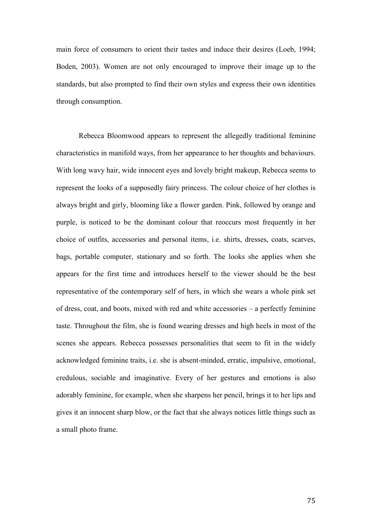main force of consumers to orient their tastes and induce their desires (Loeb, 1994; Boden, 2003). Women are not only encouraged to improve their image up to the standards, but also prompted to find their own styles and express their own identities through consumption.

Rebecca Bloomwood appears to represent the allegedly traditional feminine characteristics in manifold ways, from her appearance to her thoughts and behaviours. With long wavy hair, wide innocent eyes and lovely bright makeup, Rebecca seems to represent the looks of a supposedly fairy princess. The colour choice of her clothes is always bright and girly, blooming like a flower garden. Pink, followed by orange and purple, is noticed to be the dominant colour that reoccurs most frequently in her choice of outfits, accessories and personal items, i.e. shirts, dresses, coats, scarves, bags, portable computer, stationary and so forth. The looks she applies when she appears for the first time and introduces herself to the viewer should be the best representative of the contemporary self of hers, in which she wears a whole pink set of dress, coat, and boots, mixed with red and white accessories – a perfectly feminine taste. Throughout the film, she is found wearing dresses and high heels in most of the scenes she appears. Rebecca possesses personalities that seem to fit in the widely acknowledged feminine traits, i.e. she is absent-minded, erratic, impulsive, emotional, credulous, sociable and imaginative. Every of her gestures and emotions is also adorably feminine, for example, when she sharpens her pencil, brings it to her lips and gives it an innocent sharp blow, or the fact that she always notices little things such as a small photo frame.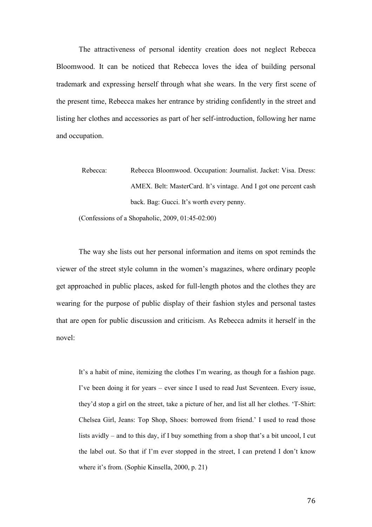The attractiveness of personal identity creation does not neglect Rebecca Bloomwood. It can be noticed that Rebecca loves the idea of building personal trademark and expressing herself through what she wears. In the very first scene of the present time, Rebecca makes her entrance by striding confidently in the street and listing her clothes and accessories as part of her self-introduction, following her name and occupation.

Rebecca: Rebecca Bloomwood. Occupation: Journalist. Jacket: Visa. Dress: AMEX. Belt: MasterCard. It's vintage. And I got one percent cash back. Bag: Gucci. It's worth every penny.

(Confessions of a Shopaholic, 2009, 01:45-02:00)

The way she lists out her personal information and items on spot reminds the viewer of the street style column in the women's magazines, where ordinary people get approached in public places, asked for full-length photos and the clothes they are wearing for the purpose of public display of their fashion styles and personal tastes that are open for public discussion and criticism. As Rebecca admits it herself in the novel:

It's a habit of mine, itemizing the clothes I'm wearing, as though for a fashion page. I've been doing it for years – ever since I used to read Just Seventeen. Every issue, they'd stop a girl on the street, take a picture of her, and list all her clothes. 'T-Shirt: Chelsea Girl, Jeans: Top Shop, Shoes: borrowed from friend.' I used to read those lists avidly – and to this day, if I buy something from a shop that's a bit uncool, I cut the label out. So that if I'm ever stopped in the street, I can pretend I don't know where it's from. (Sophie Kinsella, 2000, p. 21)

76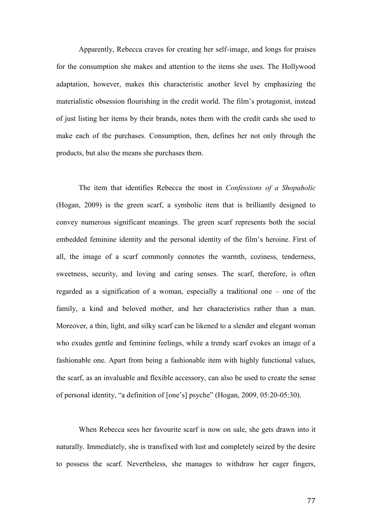Apparently, Rebecca craves for creating her self-image, and longs for praises for the consumption she makes and attention to the items she uses. The Hollywood adaptation, however, makes this characteristic another level by emphasizing the materialistic obsession flourishing in the credit world. The film's protagonist, instead of just listing her items by their brands, notes them with the credit cards she used to make each of the purchases. Consumption, then, defines her not only through the products, but also the means she purchases them.

The item that identifies Rebecca the most in *Confessions of a Shopaholic* (Hogan, 2009) is the green scarf, a symbolic item that is brilliantly designed to convey numerous significant meanings. The green scarf represents both the social embedded feminine identity and the personal identity of the film's heroine. First of all, the image of a scarf commonly connotes the warmth, coziness, tenderness, sweetness, security, and loving and caring senses. The scarf, therefore, is often regarded as a signification of a woman, especially a traditional one – one of the family, a kind and beloved mother, and her characteristics rather than a man. Moreover, a thin, light, and silky scarf can be likened to a slender and elegant woman who exudes gentle and feminine feelings, while a trendy scarf evokes an image of a fashionable one. Apart from being a fashionable item with highly functional values, the scarf, as an invaluable and flexible accessory, can also be used to create the sense of personal identity, "a definition of [one's] psyche" (Hogan, 2009, 05:20-05:30).

When Rebecca sees her favourite scarf is now on sale, she gets drawn into it naturally. Immediately, she is transfixed with lust and completely seized by the desire to possess the scarf. Nevertheless, she manages to withdraw her eager fingers,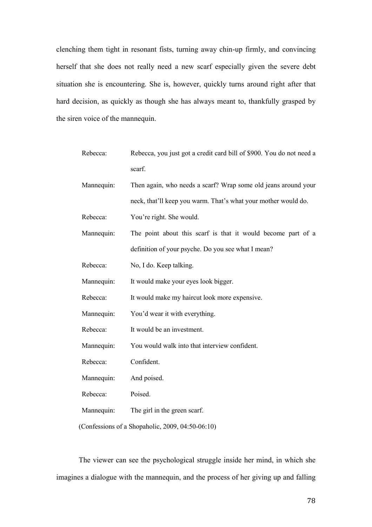clenching them tight in resonant fists, turning away chin-up firmly, and convincing herself that she does not really need a new scarf especially given the severe debt situation she is encountering. She is, however, quickly turns around right after that hard decision, as quickly as though she has always meant to, thankfully grasped by the siren voice of the mannequin.

| Rebecca:                                         | Rebecca, you just got a credit card bill of \$900. You do not need a |
|--------------------------------------------------|----------------------------------------------------------------------|
|                                                  | scarf.                                                               |
| Mannequin:                                       | Then again, who needs a scarf? Wrap some old jeans around your       |
|                                                  | neck, that'll keep you warm. That's what your mother would do.       |
| Rebecca:                                         | You're right. She would.                                             |
| Mannequin:                                       | The point about this scarf is that it would become part of a         |
|                                                  | definition of your psyche. Do you see what I mean?                   |
| Rebecca:                                         | No, I do. Keep talking.                                              |
| Mannequin:                                       | It would make your eyes look bigger.                                 |
| Rebecca:                                         | It would make my haircut look more expensive.                        |
| Mannequin:                                       | You'd wear it with everything.                                       |
| Rebecca:                                         | It would be an investment.                                           |
| Mannequin:                                       | You would walk into that interview confident.                        |
| Rebecca:                                         | Confident.                                                           |
| Mannequin:                                       | And poised.                                                          |
| Rebecca:                                         | Poised.                                                              |
| Mannequin:                                       | The girl in the green scarf.                                         |
| (Confessions of a Shopaholic, 2009, 04:50-06:10) |                                                                      |

The viewer can see the psychological struggle inside her mind, in which she imagines a dialogue with the mannequin, and the process of her giving up and falling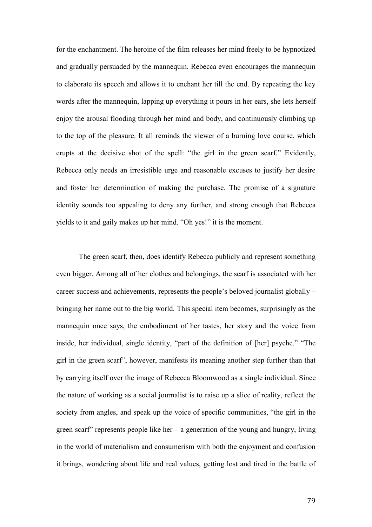for the enchantment. The heroine of the film releases her mind freely to be hypnotized and gradually persuaded by the mannequin. Rebecca even encourages the mannequin to elaborate its speech and allows it to enchant her till the end. By repeating the key words after the mannequin, lapping up everything it pours in her ears, she lets herself enjoy the arousal flooding through her mind and body, and continuously climbing up to the top of the pleasure. It all reminds the viewer of a burning love course, which erupts at the decisive shot of the spell: "the girl in the green scarf." Evidently, Rebecca only needs an irresistible urge and reasonable excuses to justify her desire and foster her determination of making the purchase. The promise of a signature identity sounds too appealing to deny any further, and strong enough that Rebecca yields to it and gaily makes up her mind. "Oh yes!" it is the moment.

The green scarf, then, does identify Rebecca publicly and represent something even bigger. Among all of her clothes and belongings, the scarf is associated with her career success and achievements, represents the people's beloved journalist globally – bringing her name out to the big world. This special item becomes, surprisingly as the mannequin once says, the embodiment of her tastes, her story and the voice from inside, her individual, single identity, "part of the definition of [her] psyche." "The girl in the green scarf", however, manifests its meaning another step further than that by carrying itself over the image of Rebecca Bloomwood as a single individual. Since the nature of working as a social journalist is to raise up a slice of reality, reflect the society from angles, and speak up the voice of specific communities, "the girl in the green scarf" represents people like her  $-$  a generation of the young and hungry, living in the world of materialism and consumerism with both the enjoyment and confusion it brings, wondering about life and real values, getting lost and tired in the battle of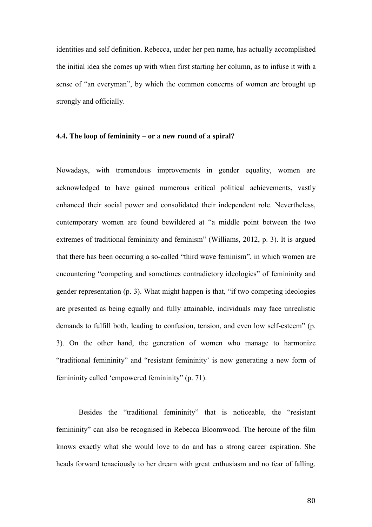identities and self definition. Rebecca, under her pen name, has actually accomplished the initial idea she comes up with when first starting her column, as to infuse it with a sense of "an everyman", by which the common concerns of women are brought up strongly and officially.

## **4.4. The loop of femininity – or a new round of a spiral?**

Nowadays, with tremendous improvements in gender equality, women are acknowledged to have gained numerous critical political achievements, vastly enhanced their social power and consolidated their independent role. Nevertheless, contemporary women are found bewildered at "a middle point between the two extremes of traditional femininity and feminism" (Williams, 2012, p. 3). It is argued that there has been occurring a so-called "third wave feminism", in which women are encountering "competing and sometimes contradictory ideologies" of femininity and gender representation (p. 3). What might happen is that, "if two competing ideologies are presented as being equally and fully attainable, individuals may face unrealistic demands to fulfill both, leading to confusion, tension, and even low self-esteem" (p. 3). On the other hand, the generation of women who manage to harmonize "traditional femininity" and "resistant femininity' is now generating a new form of femininity called 'empowered femininity" (p. 71).

Besides the "traditional femininity" that is noticeable, the "resistant femininity" can also be recognised in Rebecca Bloomwood. The heroine of the film knows exactly what she would love to do and has a strong career aspiration. She heads forward tenaciously to her dream with great enthusiasm and no fear of falling.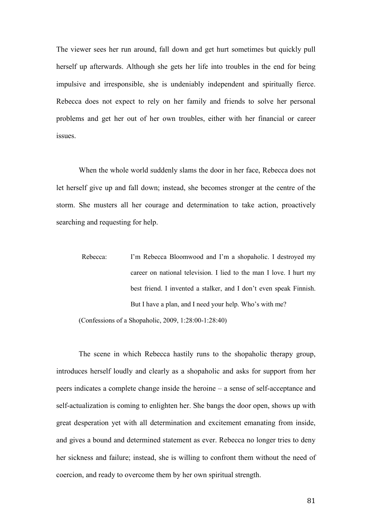The viewer sees her run around, fall down and get hurt sometimes but quickly pull herself up afterwards. Although she gets her life into troubles in the end for being impulsive and irresponsible, she is undeniably independent and spiritually fierce. Rebecca does not expect to rely on her family and friends to solve her personal problems and get her out of her own troubles, either with her financial or career issues.

When the whole world suddenly slams the door in her face, Rebecca does not let herself give up and fall down; instead, she becomes stronger at the centre of the storm. She musters all her courage and determination to take action, proactively searching and requesting for help.

Rebecca: I'm Rebecca Bloomwood and I'm a shopaholic. I destroyed my career on national television. I lied to the man I love. I hurt my best friend. I invented a stalker, and I don't even speak Finnish. But I have a plan, and I need your help. Who's with me?

(Confessions of a Shopaholic, 2009, 1:28:00-1:28:40)

The scene in which Rebecca hastily runs to the shopaholic therapy group, introduces herself loudly and clearly as a shopaholic and asks for support from her peers indicates a complete change inside the heroine – a sense of self-acceptance and self-actualization is coming to enlighten her. She bangs the door open, shows up with great desperation yet with all determination and excitement emanating from inside, and gives a bound and determined statement as ever. Rebecca no longer tries to deny her sickness and failure; instead, she is willing to confront them without the need of coercion, and ready to overcome them by her own spiritual strength.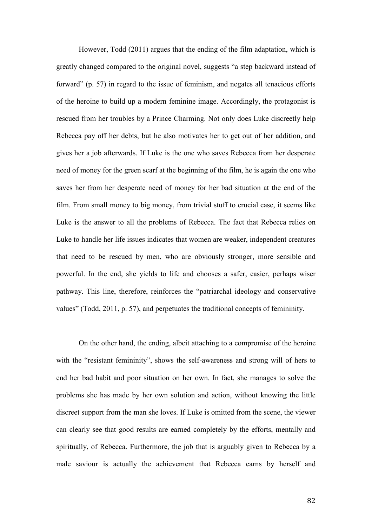However, Todd (2011) argues that the ending of the film adaptation, which is greatly changed compared to the original novel, suggests "a step backward instead of forward" (p. 57) in regard to the issue of feminism, and negates all tenacious efforts of the heroine to build up a modern feminine image. Accordingly, the protagonist is rescued from her troubles by a Prince Charming. Not only does Luke discreetly help Rebecca pay off her debts, but he also motivates her to get out of her addition, and gives her a job afterwards. If Luke is the one who saves Rebecca from her desperate need of money for the green scarf at the beginning of the film, he is again the one who saves her from her desperate need of money for her bad situation at the end of the film. From small money to big money, from trivial stuff to crucial case, it seems like Luke is the answer to all the problems of Rebecca. The fact that Rebecca relies on Luke to handle her life issues indicates that women are weaker, independent creatures that need to be rescued by men, who are obviously stronger, more sensible and powerful. In the end, she yields to life and chooses a safer, easier, perhaps wiser pathway. This line, therefore, reinforces the "patriarchal ideology and conservative values" (Todd, 2011, p. 57), and perpetuates the traditional concepts of femininity.

On the other hand, the ending, albeit attaching to a compromise of the heroine with the "resistant femininity", shows the self-awareness and strong will of hers to end her bad habit and poor situation on her own. In fact, she manages to solve the problems she has made by her own solution and action, without knowing the little discreet support from the man she loves. If Luke is omitted from the scene, the viewer can clearly see that good results are earned completely by the efforts, mentally and spiritually, of Rebecca. Furthermore, the job that is arguably given to Rebecca by a male saviour is actually the achievement that Rebecca earns by herself and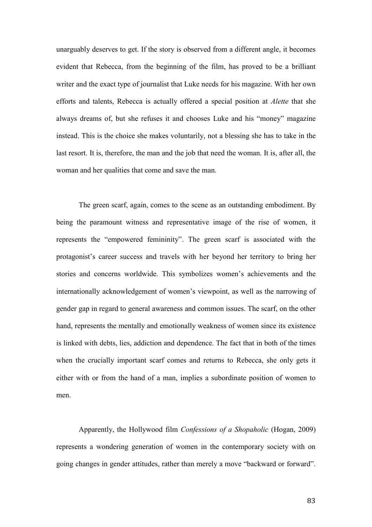unarguably deserves to get. If the story is observed from a different angle, it becomes evident that Rebecca, from the beginning of the film, has proved to be a brilliant writer and the exact type of journalist that Luke needs for his magazine. With her own efforts and talents, Rebecca is actually offered a special position at *Alette* that she always dreams of, but she refuses it and chooses Luke and his "money" magazine instead. This is the choice she makes voluntarily, not a blessing she has to take in the last resort. It is, therefore, the man and the job that need the woman. It is, after all, the woman and her qualities that come and save the man.

The green scarf, again, comes to the scene as an outstanding embodiment. By being the paramount witness and representative image of the rise of women, it represents the "empowered femininity". The green scarf is associated with the protagonist's career success and travels with her beyond her territory to bring her stories and concerns worldwide. This symbolizes women's achievements and the internationally acknowledgement of women's viewpoint, as well as the narrowing of gender gap in regard to general awareness and common issues. The scarf, on the other hand, represents the mentally and emotionally weakness of women since its existence is linked with debts, lies, addiction and dependence. The fact that in both of the times when the crucially important scarf comes and returns to Rebecca, she only gets it either with or from the hand of a man, implies a subordinate position of women to men.

Apparently, the Hollywood film *Confessions of a Shopaholic* (Hogan, 2009) represents a wondering generation of women in the contemporary society with on going changes in gender attitudes, rather than merely a move "backward or forward".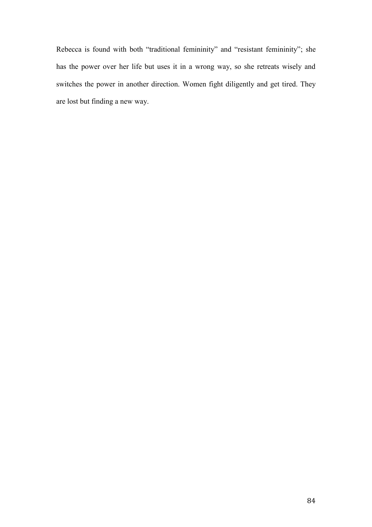Rebecca is found with both "traditional femininity" and "resistant femininity"; she has the power over her life but uses it in a wrong way, so she retreats wisely and switches the power in another direction. Women fight diligently and get tired. They are lost but finding a new way.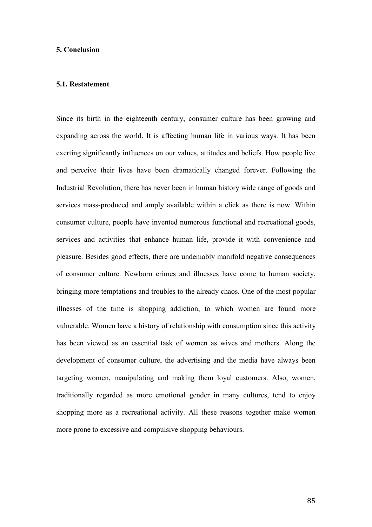# **5. Conclusion**

#### **5.1. Restatement**

Since its birth in the eighteenth century, consumer culture has been growing and expanding across the world. It is affecting human life in various ways. It has been exerting significantly influences on our values, attitudes and beliefs. How people live and perceive their lives have been dramatically changed forever. Following the Industrial Revolution, there has never been in human history wide range of goods and services mass-produced and amply available within a click as there is now. Within consumer culture, people have invented numerous functional and recreational goods, services and activities that enhance human life, provide it with convenience and pleasure. Besides good effects, there are undeniably manifold negative consequences of consumer culture. Newborn crimes and illnesses have come to human society, bringing more temptations and troubles to the already chaos. One of the most popular illnesses of the time is shopping addiction, to which women are found more vulnerable. Women have a history of relationship with consumption since this activity has been viewed as an essential task of women as wives and mothers. Along the development of consumer culture, the advertising and the media have always been targeting women, manipulating and making them loyal customers. Also, women, traditionally regarded as more emotional gender in many cultures, tend to enjoy shopping more as a recreational activity. All these reasons together make women more prone to excessive and compulsive shopping behaviours.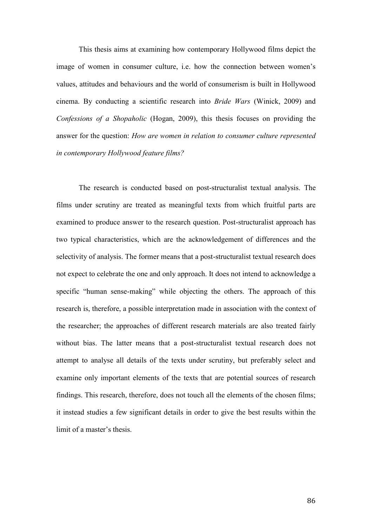This thesis aims at examining how contemporary Hollywood films depict the image of women in consumer culture, i.e. how the connection between women's values, attitudes and behaviours and the world of consumerism is built in Hollywood cinema. By conducting a scientific research into *Bride Wars* (Winick, 2009) and *Confessions of a Shopaholic* (Hogan, 2009), this thesis focuses on providing the answer for the question: *How are women in relation to consumer culture represented in contemporary Hollywood feature films?*

The research is conducted based on post-structuralist textual analysis. The films under scrutiny are treated as meaningful texts from which fruitful parts are examined to produce answer to the research question. Post-structuralist approach has two typical characteristics, which are the acknowledgement of differences and the selectivity of analysis. The former means that a post-structuralist textual research does not expect to celebrate the one and only approach. It does not intend to acknowledge a specific "human sense-making" while objecting the others. The approach of this research is, therefore, a possible interpretation made in association with the context of the researcher; the approaches of different research materials are also treated fairly without bias. The latter means that a post-structuralist textual research does not attempt to analyse all details of the texts under scrutiny, but preferably select and examine only important elements of the texts that are potential sources of research findings. This research, therefore, does not touch all the elements of the chosen films; it instead studies a few significant details in order to give the best results within the limit of a master's thesis.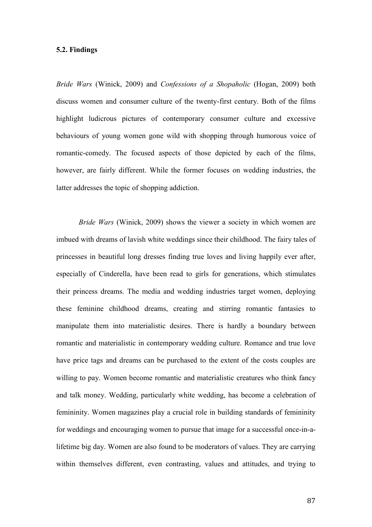# **5.2. Findings**

*Bride Wars* (Winick, 2009) and *Confessions of a Shopaholic* (Hogan, 2009) both discuss women and consumer culture of the twenty-first century. Both of the films highlight ludicrous pictures of contemporary consumer culture and excessive behaviours of young women gone wild with shopping through humorous voice of romantic-comedy. The focused aspects of those depicted by each of the films, however, are fairly different. While the former focuses on wedding industries, the latter addresses the topic of shopping addiction.

*Bride Wars* (Winick, 2009) shows the viewer a society in which women are imbued with dreams of lavish white weddings since their childhood. The fairy tales of princesses in beautiful long dresses finding true loves and living happily ever after, especially of Cinderella, have been read to girls for generations, which stimulates their princess dreams. The media and wedding industries target women, deploying these feminine childhood dreams, creating and stirring romantic fantasies to manipulate them into materialistic desires. There is hardly a boundary between romantic and materialistic in contemporary wedding culture. Romance and true love have price tags and dreams can be purchased to the extent of the costs couples are willing to pay. Women become romantic and materialistic creatures who think fancy and talk money. Wedding, particularly white wedding, has become a celebration of femininity. Women magazines play a crucial role in building standards of femininity for weddings and encouraging women to pursue that image for a successful once-in-alifetime big day. Women are also found to be moderators of values. They are carrying within themselves different, even contrasting, values and attitudes, and trying to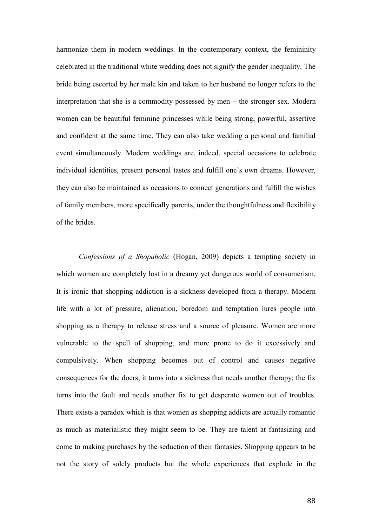harmonize them in modern weddings. In the contemporary context, the femininity celebrated in the traditional white wedding does not signify the gender inequality. The bride being escorted by her male kin and taken to her husband no longer refers to the interpretation that she is a commodity possessed by men – the stronger sex. Modern women can be beautiful feminine princesses while being strong, powerful, assertive and confident at the same time. They can also take wedding a personal and familial event simultaneously. Modern weddings are, indeed, special occasions to celebrate individual identities, present personal tastes and fulfill one's own dreams. However, they can also be maintained as occasions to connect generations and fulfill the wishes of family members, more specifically parents, under the thoughtfulness and flexibility of the brides.

*Confessions of a Shopaholic* (Hogan, 2009) depicts a tempting society in which women are completely lost in a dreamy yet dangerous world of consumerism. It is ironic that shopping addiction is a sickness developed from a therapy. Modern life with a lot of pressure, alienation, boredom and temptation lures people into shopping as a therapy to release stress and a source of pleasure. Women are more vulnerable to the spell of shopping, and more prone to do it excessively and compulsively. When shopping becomes out of control and causes negative consequences for the doers, it turns into a sickness that needs another therapy; the fix turns into the fault and needs another fix to get desperate women out of troubles. There exists a paradox which is that women as shopping addicts are actually romantic as much as materialistic they might seem to be. They are talent at fantasizing and come to making purchases by the seduction of their fantasies. Shopping appears to be not the story of solely products but the whole experiences that explode in the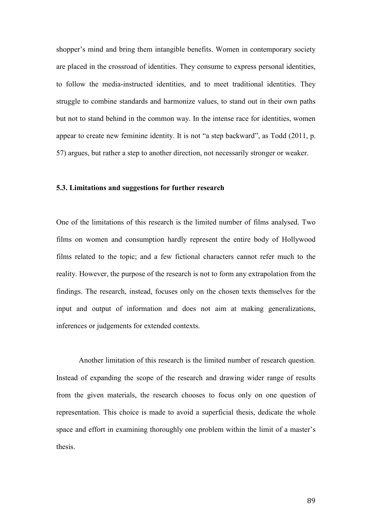shopper's mind and bring them intangible benefits. Women in contemporary society are placed in the crossroad of identities. They consume to express personal identities, to follow the media-instructed identities, and to meet traditional identities. They struggle to combine standards and harmonize values, to stand out in their own paths but not to stand behind in the common way. In the intense race for identities, women appear to create new feminine identity. It is not "a step backward", as Todd (2011, p. 57) argues, but rather a step to another direction, not necessarily stronger or weaker.

## **5.3. Limitations and suggestions for further research**

One of the limitations of this research is the limited number of films analysed. Two films on women and consumption hardly represent the entire body of Hollywood films related to the topic; and a few fictional characters cannot refer much to the reality. However, the purpose of the research is not to form any extrapolation from the findings. The research, instead, focuses only on the chosen texts themselves for the input and output of information and does not aim at making generalizations, inferences or judgements for extended contexts.

Another limitation of this research is the limited number of research question. Instead of expanding the scope of the research and drawing wider range of results from the given materials, the research chooses to focus only on one question of representation. This choice is made to avoid a superficial thesis, dedicate the whole space and effort in examining thoroughly one problem within the limit of a master's thesis.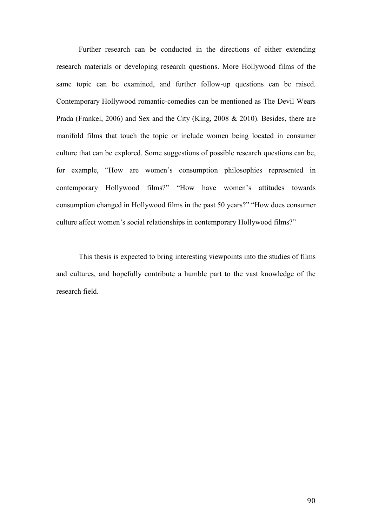Further research can be conducted in the directions of either extending research materials or developing research questions. More Hollywood films of the same topic can be examined, and further follow-up questions can be raised. Contemporary Hollywood romantic-comedies can be mentioned as The Devil Wears Prada (Frankel, 2006) and Sex and the City (King, 2008 & 2010). Besides, there are manifold films that touch the topic or include women being located in consumer culture that can be explored. Some suggestions of possible research questions can be, for example, "How are women's consumption philosophies represented in contemporary Hollywood films?" "How have women's attitudes towards consumption changed in Hollywood films in the past 50 years?" "How does consumer culture affect women's social relationships in contemporary Hollywood films?"

This thesis is expected to bring interesting viewpoints into the studies of films and cultures, and hopefully contribute a humble part to the vast knowledge of the research field.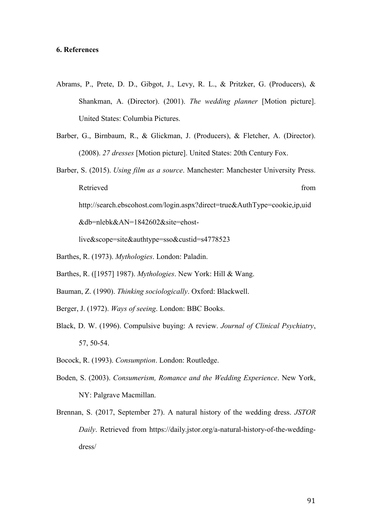## **6. References**

- Abrams, P., Prete, D. D., Gibgot, J., Levy, R. L., & Pritzker, G. (Producers), & Shankman, A. (Director). (2001). *The wedding planner* [Motion picture]. United States: Columbia Pictures.
- Barber, G., Birnbaum, R., & Glickman, J. (Producers), & Fletcher, A. (Director). (2008). *27 dresses* [Motion picture]. United States: 20th Century Fox.
- Barber, S. (2015). *Using film as a source*. Manchester: Manchester University Press. Retrieved from the state of the state of the state of the state of the state of the state of the state of the state of the state of the state of the state of the state of the state of the state of the state of the state of http://search.ebscohost.com/login.aspx?direct=true&AuthType=cookie,ip,uid &db=nlebk&AN=1842602&site=ehost-

- Barthes, R. (1973). *Mythologies*. London: Paladin.
- Barthes, R. ([1957] 1987). *Mythologies*. New York: Hill & Wang.
- Bauman, Z. (1990). *Thinking sociologically*. Oxford: Blackwell.
- Berger, J. (1972). *Ways of seeing*. London: BBC Books.
- Black, D. W. (1996). Compulsive buying: A review. *Journal of Clinical Psychiatry*, 57, 50-54.
- Bocock, R. (1993). *Consumption*. London: Routledge.
- Boden, S. (2003). *Consumerism, Romance and the Wedding Experience*. New York, NY: Palgrave Macmillan.
- Brennan, S. (2017, September 27). A natural history of the wedding dress. *JSTOR Daily*. Retrieved from https://daily.jstor.org/a-natural-history-of-the-weddingdress/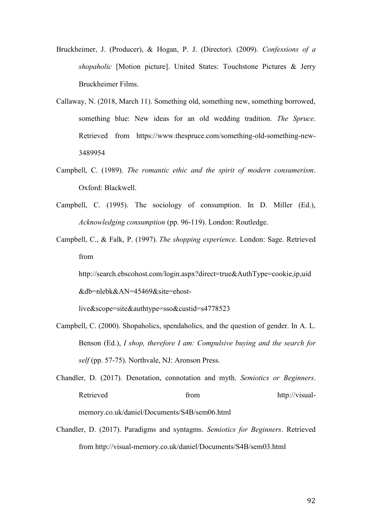- Bruckheimer, J. (Producer), & Hogan, P. J. (Director). (2009). *Confessions of a shopaholic* [Motion picture]. United States: Touchstone Pictures & Jerry Bruckheimer Films.
- Callaway, N. (2018, March 11). Something old, something new, something borrowed, something blue: New ideas for an old wedding tradition. *The Spruce*. Retrieved from https://www.thespruce.com/something-old-something-new-3489954
- Campbell, C. (1989). *The romantic ethic and the spirit of modern consumerism*. Oxford: Blackwell.
- Campbell, C. (1995). The sociology of consumption. In D. Miller (Ed.), *Acknowledging consumption* (pp. 96-119). London: Routledge.
- Campbell, C., & Falk, P. (1997). *The shopping experience*. London: Sage. Retrieved from

http://search.ebscohost.com/login.aspx?direct=true&AuthType=cookie,ip,uid &db=nlebk&AN=45469&site=ehost-

- Campbell, C. (2000). Shopaholics, spendaholics, and the question of gender. In A. L. Benson (Ed.), *I shop, therefore I am: Compulsive buying and the search for self* (pp. 57-75). Northvale, NJ: Aronson Press.
- Chandler, D. (2017). Denotation, connotation and myth. *Semiotics or Beginners*. Retrieved from http://visualmemory.co.uk/daniel/Documents/S4B/sem06.html
- Chandler, D. (2017). Paradigms and syntagms. *Semiotics for Beginners*. Retrieved from http://visual-memory.co.uk/daniel/Documents/S4B/sem03.html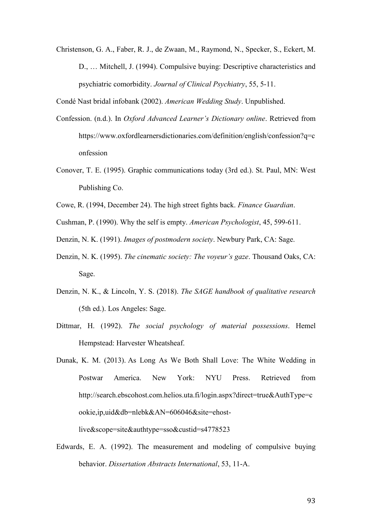Christenson, G. A., Faber, R. J., de Zwaan, M., Raymond, N., Specker, S., Eckert, M. D., … Mitchell, J. (1994). Compulsive buying: Descriptive characteristics and psychiatric comorbidity. *Journal of Clinical Psychiatry*, 55, 5-11.

Condé Nast bridal infobank (2002). *American Wedding Study*. Unpublished.

- Confession. (n.d.). In *Oxford Advanced Learner's Dictionary online*. Retrieved from https://www.oxfordlearnersdictionaries.com/definition/english/confession?q=c onfession
- Conover, T. E. (1995). Graphic communications today (3rd ed.). St. Paul, MN: West Publishing Co.
- Cowe, R. (1994, December 24). The high street fights back. *Finance Guardian*.

Cushman, P. (1990). Why the self is empty. *American Psychologist*, 45, 599-611.

- Denzin, N. K. (1991). *Images of postmodern society*. Newbury Park, CA: Sage.
- Denzin, N. K. (1995). *The cinematic society: The voyeur's gaze*. Thousand Oaks, CA: Sage.
- Denzin, N. K., & Lincoln, Y. S. (2018). *The SAGE handbook of qualitative research*  (5th ed.). Los Angeles: Sage.
- Dittmar, H. (1992). *The social psychology of material possessions*. Hemel Hempstead: Harvester Wheatsheaf.
- Dunak, K. M. (2013). As Long As We Both Shall Love: The White Wedding in Postwar America. New York: NYU Press. Retrieved from http://search.ebscohost.com.helios.uta.fi/login.aspx?direct=true&AuthType=c ookie,ip,uid&db=nlebk&AN=606046&site=ehostlive&scope=site&authtype=sso&custid=s4778523
- Edwards, E. A. (1992). The measurement and modeling of compulsive buying behavior. *Dissertation Abstracts International*, 53, 11-A.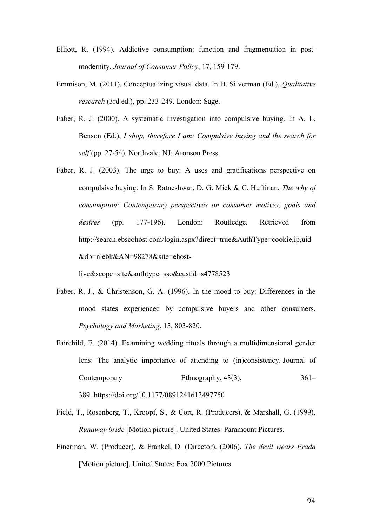- Elliott, R. (1994). Addictive consumption: function and fragmentation in postmodernity. *Journal of Consumer Policy*, 17, 159-179.
- Emmison, M. (2011). Conceptualizing visual data. In D. Silverman (Ed.), *Qualitative research* (3rd ed.), pp. 233-249. London: Sage.
- Faber, R. J. (2000). A systematic investigation into compulsive buying. In A. L. Benson (Ed.), *I shop, therefore I am: Compulsive buying and the search for self* (pp. 27-54). Northvale, NJ: Aronson Press.
- Faber, R. J. (2003). The urge to buy: A uses and gratifications perspective on compulsive buying. In S. Ratneshwar, D. G. Mick & C. Huffman, *The why of consumption: Contemporary perspectives on consumer motives, goals and desires* (pp. 177-196). London: Routledge. Retrieved from http://search.ebscohost.com/login.aspx?direct=true&AuthType=cookie,ip,uid &db=nlebk&AN=98278&site=ehost-

- Faber, R. J., & Christenson, G. A. (1996). In the mood to buy: Differences in the mood states experienced by compulsive buyers and other consumers. *Psychology and Marketing*, 13, 803-820.
- Fairchild, E. (2014). Examining wedding rituals through a multidimensional gender lens: The analytic importance of attending to (in)consistency. Journal of Contemporary Ethnography, 43(3), 361– 389. <https://doi.org/10.1177/0891241613497750>
- Field, T., Rosenberg, T., Kroopf, S., & Cort, R. (Producers), & Marshall, G. (1999). *Runaway bride* [Motion picture]. United States: Paramount Pictures.
- Finerman, W. (Producer), & Frankel, D. (Director). (2006). *The devil wears Prada*  [Motion picture]. United States: Fox 2000 Pictures.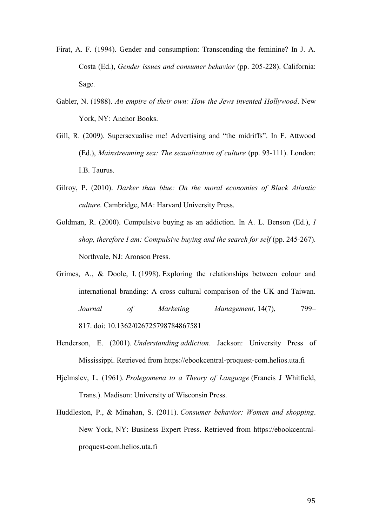- Firat, A. F. (1994). Gender and consumption: Transcending the feminine? In J. A. Costa (Ed.), *Gender issues and consumer behavior* (pp. 205-228). California: Sage.
- Gabler, N. (1988). *An empire of their own: How the Jews invented Hollywood*. New York, NY: Anchor Books.
- Gill, R. (2009). Supersexualise me! Advertising and "the midriffs". In F. Attwood (Ed.), *Mainstreaming sex: The sexualization of culture* (pp. 93-111). London: I.B. Taurus.
- Gilroy, P. (2010). *Darker than blue: On the moral economies of Black Atlantic culture*. Cambridge, MA: Harvard University Press.
- Goldman, R. (2000). Compulsive buying as an addiction. In A. L. Benson (Ed.), *I shop, therefore I am: Compulsive buying and the search for self* (pp. 245-267). Northvale, NJ: Aronson Press.
- Grimes, A., & Doole, I. (1998). Exploring the relationships between colour and international branding: A cross cultural comparison of the UK and Taiwan. *Journal of Marketing Management*, 14(7), 799– 817. doi: [10.1362/026725798784867581](https://doi-org.libproxy.tuni.fi/10.1362/026725798784867581)
- Henderson, E. (2001). *Understanding addiction*. Jackson: University Press of Mississippi. Retrieved from https://ebookcentral-proquest-com.helios.uta.fi
- Hjelmslev, L. (1961). *Prolegomena to a Theory of Language* (Francis J Whitfield, Trans.). Madison: University of Wisconsin Press.
- Huddleston, P., & Minahan, S. (2011). *Consumer behavior: Women and shopping*. New York, NY: Business Expert Press. Retrieved from https://ebookcentralproquest-com.helios.uta.fi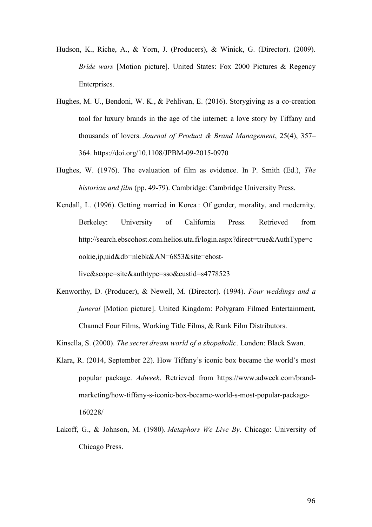- Hudson, K., Riche, A., & Yorn, J. (Producers), & Winick, G. (Director). (2009). *Bride wars* [Motion picture]. United States: Fox 2000 Pictures & Regency Enterprises.
- [Hughes,](https://www.emeraldinsight.com/author/%C3%9C%C3%A7ok+Hughes%2C+Mine) M. U., [Bendoni,](https://www.emeraldinsight.com/author/Bendoni%2C+Wendy+K) W. K., & [Pehlivan,](https://www.emeraldinsight.com/author/Pehlivan%2C+Ekin) E. (2016). Storygiving as a co-creation tool for luxury brands in the age of the internet: a love story by Tiffany and thousands of lovers. *Journal of Product & Brand Management*, 25(4), 357– 364. <https://doi.org/10.1108/JPBM-09-2015-0970>
- Hughes, W. (1976). The evaluation of film as evidence. In P. Smith (Ed.), *The historian and film* (pp. 49-79). Cambridge: Cambridge University Press.
- Kendall, L. (1996). Getting married in Korea : Of gender, morality, and modernity. Berkeley: University of California Press. Retrieved from http://search.ebscohost.com.helios.uta.fi/login.aspx?direct=true&AuthType=c ookie,ip,uid&db=nlebk&AN=6853&site=ehost-

live&scope=site&authtype=sso&custid=s4778523

Kenworthy, D. (Producer), & Newell, M. (Director). (1994). *Four weddings and a funeral* [Motion picture]. United Kingdom: Polygram Filmed Entertainment, Channel Four Films, Working Title Films, & Rank Film Distributors.

Kinsella, S. (2000). *The secret dream world of a shopaholic*. London: Black Swan.

- Klara, R. (2014, September 22). How Tiffany's iconic box became the world's most popular package. *Adweek*. Retrieved from https://www.adweek.com/brandmarketing/how-tiffany-s-iconic-box-became-world-s-most-popular-package-160228/
- Lakoff, G., & Johnson, M. (1980). *Metaphors We Live By*. Chicago: University of Chicago Press.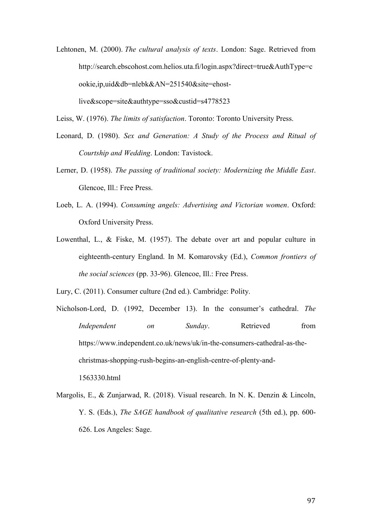Lehtonen, M. (2000). *The cultural analysis of texts*. London: Sage. Retrieved from http://search.ebscohost.com.helios.uta.fi/login.aspx?direct=true&AuthType=c ookie,ip,uid&db=nlebk&AN=251540&site=ehostlive&scope=site&authtype=sso&custid=s4778523

Leiss, W. (1976). *The limits of satisfaction*. Toronto: Toronto University Press.

- Leonard, D. (1980). *Sex and Generation: A Study of the Process and Ritual of Courtship and Wedding*. London: Tavistock.
- Lerner, D. (1958). *The passing of traditional society: Modernizing the Middle East*. Glencoe, Ill.: Free Press.
- Loeb, L. A. (1994). *Consuming angels: Advertising and Victorian women*. Oxford: Oxford University Press.
- Lowenthal, L., & Fiske, M. (1957). The debate over art and popular culture in eighteenth-century England. In M. Komarovsky (Ed.), *Common frontiers of the social sciences* (pp. 33-96). Glencoe, Ill.: Free Press.
- Lury, C. (2011). Consumer culture (2nd ed.). Cambridge: Polity.
- Nicholson-Lord, D. (1992, December 13). In the consumer's cathedral. *The Independent* on *Sunday*. Retrieved from https://www.independent.co.uk/news/uk/in-the-consumers-cathedral-as-thechristmas-shopping-rush-begins-an-english-centre-of-plenty-and-1563330.html
- Margolis, E., & Zunjarwad, R. (2018). Visual research. In N. K. Denzin & Lincoln, Y. S. (Eds.), *The SAGE handbook of qualitative research* (5th ed.), pp. 600- 626. Los Angeles: Sage.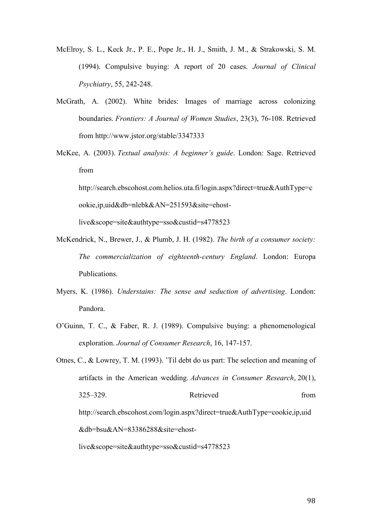- McElroy, S. L., Keck Jr., P. E., Pope Jr., H. J., Smith, J. M., & Strakowski, S. M. (1994). Compulsive buying: A report of 20 cases. *Journal of Clinical Psychiatry*, 55, 242-248.
- McGrath, A. (2002). White brides: Images of marriage across colonizing boundaries. *Frontiers: A Journal of Women Studies*, 23(3), 76-108. Retrieved from http://www.jstor.org/stable/3347333
- McKee, A. (2003). *Textual analysis: A beginner's guide*. London: Sage. Retrieved from

http://search.ebscohost.com.helios.uta.fi/login.aspx?direct=true&AuthType=c ookie,ip,uid&db=nlebk&AN=251593&site=ehost-

- McKendrick, N., Brewer, J., & Plumb, J. H. (1982). *The birth of a consumer society: The commercialization of eighteenth-century England*. London: Europa Publications.
- Myers, K. (1986). *Understains: The sense and seduction of advertising*. London: Pandora.
- O'Guinn, T. C., & Faber, R. J. (1989). Compulsive buying: a phenomenological exploration. *Journal of Consumer Research*, 16, 147-157.
- Otnes, C., & Lowrey, T. M. (1993). 'Til debt do us part: The selection and meaning of artifacts in the American wedding. *Advances in Consumer Research*, 20(1), 325–329. Retrieved from http://search.ebscohost.com/login.aspx?direct=true&AuthType=cookie,ip,uid &db=bsu&AN=83386288&site=ehostlive&scope=site&authtype=sso&custid=s4778523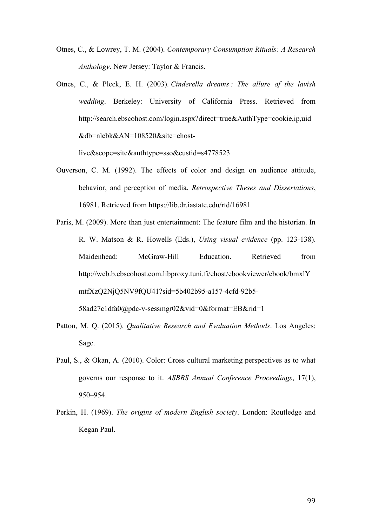- Otnes, C., & Lowrey, T. M. (2004). *Contemporary Consumption Rituals: A Research Anthology*. New Jersey: Taylor & Francis.
- Otnes, C., & Pleck, E. H. (2003). *Cinderella dreams : The allure of the lavish wedding*. Berkeley: University of California Press. Retrieved from http://search.ebscohost.com/login.aspx?direct=true&AuthType=cookie,ip,uid &db=nlebk&AN=108520&site=ehost-

- Ouverson, C. M. (1992). The effects of color and design on audience attitude, behavior, and perception of media. *Retrospective Theses and Dissertations*, 16981. Retrieved from https://lib.dr.iastate.edu/rtd/16981
- Paris, M. (2009). More than just entertainment: The feature film and the historian. In R. W. Matson & R. Howells (Eds.), *Using visual evidence* (pp. 123-138). Maidenhead: McGraw-Hill Education. Retrieved from http://web.b.ebscohost.com.libproxy.tuni.fi/ehost/ebookviewer/ebook/bmxlY mtfXzQ2NjQ5NV9fQU41?sid=5b402b95-a157-4cfd-92b5- 58ad27c1dfa0@pdc-v-sessmgr02&vid=0&format=EB&rid=1
- Patton, M. Q. (2015). *Qualitative Research and Evaluation Methods*. Los Angeles: Sage.
- Paul, S., & Okan, A. (2010). Color: Cross cultural marketing perspectives as to what governs our response to it. *ASBBS Annual Conference Proceedings*, 17(1), 950–954.
- Perkin, H. (1969). *The origins of modern English society*. London: Routledge and Kegan Paul.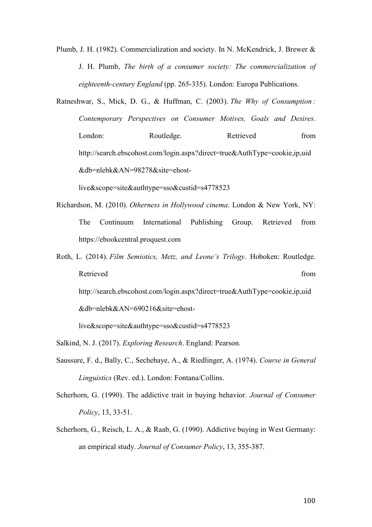Plumb, J. H. (1982). Commercialization and society. In N. McKendrick, J. Brewer & J. H. Plumb, *The birth of a consumer society: The commercialization of eighteenth-century England* (pp. 265-335). London: Europa Publications.

Ratneshwar, S., Mick, D. G., & Huffman, C. (2003). *The Why of Consumption : Contemporary Perspectives on Consumer Motives, Goals and Desires*. London: Routledge. Retrieved from http://search.ebscohost.com/login.aspx?direct=true&AuthType=cookie,ip,uid &db=nlebk&AN=98278&site=ehost-

live&scope=site&authtype=sso&custid=s4778523

- Richardson, M. (2010). *Otherness in Hollywood cinema*. London & New York, NY: The Continuum International Publishing Group. Retrieved from https://ebookcentral.proquest.com
- Roth, L. (2014). *Film Semiotics, Metz, and Leone's Trilogy*. Hoboken: Routledge. Retrieved from the set of the set of the set of the set of the set of the set of the set of the set of the set of the set of the set of the set of the set of the set of the set of the set of the set of the set of the set o http://search.ebscohost.com/login.aspx?direct=true&AuthType=cookie,ip,uid &db=nlebk&AN=690216&site=ehost-

- Salkind, N. J. (2017). *Exploring Research*. England: Pearson.
- Saussure, F. d., Bally, C., Sechehaye, A., & Riedlinger, A. (1974). *Course in General Linguistics* (Rev. ed.). London: Fontana/Collins.
- Scherhorn, G. (1990). The addictive trait in buying behavior. *Journal of Consumer Policy*, 13, 33-51.
- Scherhorn, G., Reisch, L. A., & Raab, G. (1990). Addictive buying in West Germany: an empirical study. *Journal of Consumer Policy*, 13, 355-387.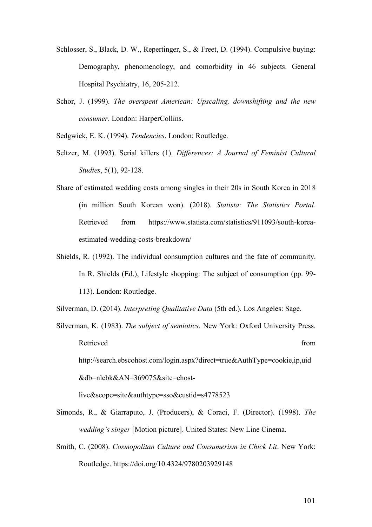- Schlosser, S., Black, D. W., Repertinger, S., & Freet, D. (1994). Compulsive buying: Demography, phenomenology, and comorbidity in 46 subjects. General Hospital Psychiatry, 16, 205-212.
- Schor, J. (1999). *The overspent American: Upscaling, downshifting and the new consumer*. London: HarperCollins.
- Sedgwick, E. K. (1994). *Tendencies*. London: Routledge.
- Seltzer, M. (1993). Serial killers (1). *Differences: A Journal of Feminist Cultural Studies*, 5(1), 92-128.
- Share of estimated wedding costs among singles in their 20s in South Korea in 2018 (in million South Korean won). (2018). *Statista: The Statistics Portal*. Retrieved from https://www.statista.com/statistics/911093/south-koreaestimated-wedding-costs-breakdown/
- Shields, R. (1992). The individual consumption cultures and the fate of community. In R. Shields (Ed.), Lifestyle shopping: The subject of consumption (pp. 99- 113). London: Routledge.
- Silverman, D. (2014). *Interpreting Qualitative Data* (5th ed.). Los Angeles: Sage.
- Silverman, K. (1983). *The subject of semiotics*. New York: Oxford University Press. Retrieved from the set of the set of the set of the set of the set of the set of the set of the set of the set of the set of the set of the set of the set of the set of the set of the set of the set of the set of the set o http://search.ebscohost.com/login.aspx?direct=true&AuthType=cookie,ip,uid &db=nlebk&AN=369075&site=ehostlive&scope=site&authtype=sso&custid=s4778523
- Simonds, R., & Giarraputo, J. (Producers), & Coraci, F. (Director). (1998). *The wedding's singer* [Motion picture]. United States: New Line Cinema.
- Smith, C. (2008). *Cosmopolitan Culture and Consumerism in Chick Lit*. New York: Routledge. https://doi.org/10.4324/9780203929148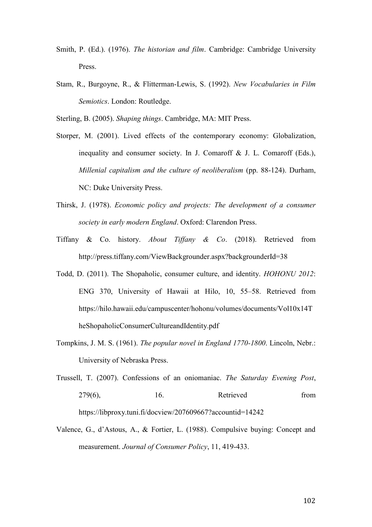- Smith, P. (Ed.). (1976). *The historian and film*. Cambridge: Cambridge University Press.
- Stam, R., Burgoyne, R., & Flitterman-Lewis, S. (1992). *New Vocabularies in Film Semiotics*. London: Routledge.

Sterling, B. (2005). *Shaping things*. Cambridge, MA: MIT Press.

- Storper, M. (2001). Lived effects of the contemporary economy: Globalization, inequality and consumer society. In J. Comaroff & J. L. Comaroff (Eds.), *Millenial capitalism and the culture of neoliberalism* (pp. 88-124). Durham, NC: Duke University Press.
- Thirsk, J. (1978). *Economic policy and projects: The development of a consumer society in early modern England*. Oxford: Clarendon Press.
- Tiffany & Co. history. *About Tiffany & Co*. (2018). Retrieved from http://press.tiffany.com/ViewBackgrounder.aspx?backgrounderId=38
- Todd, D. (2011). The Shopaholic, consumer culture, and identity. *HOHONU 2012*: ENG 370, University of Hawaii at Hilo, 10, 55–58. Retrieved from [https://hilo.hawaii.edu/campuscenter/hohonu/volumes/documents/Vol10x14T](https://hilo.hawaii.edu/campuscenter/hohonu/volumes/documents/Vol10x14TheShopaholicConsumerCultureandIdentity.pdf) [heShopaholicConsumerCultureandIdentity.pdf](https://hilo.hawaii.edu/campuscenter/hohonu/volumes/documents/Vol10x14TheShopaholicConsumerCultureandIdentity.pdf)
- Tompkins, J. M. S. (1961). *The popular novel in England 1770-1800*. Lincoln, Nebr.: University of Nebraska Press.
- Trussell, T. (2007). Confessions of an oniomaniac. *The Saturday Evening Post*, 279(6), 16. Retrieved from https://libproxy.tuni.fi/docview/207609667?accountid=14242
- Valence, G., d'Astous, A., & Fortier, L. (1988). Compulsive buying: Concept and measurement. *Journal of Consumer Policy*, 11, 419-433.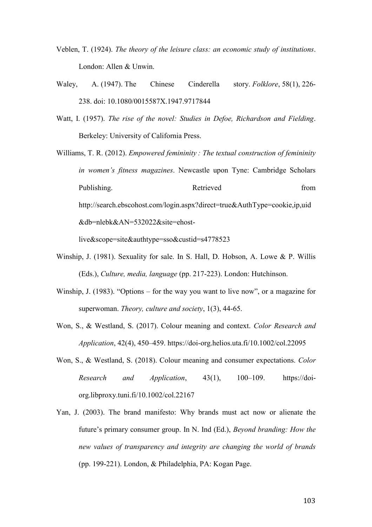- Veblen, T. (1924). *The theory of the leisure class: an economic study of institutions*. London: Allen & Unwin.
- Waley, A. (1947). The Chinese Cinderella story. *Folklore*, 58(1), 226- 238. doi: [10.1080/0015587X.1947.9717844](https://doi.org/10.1080/0015587X.1947.9717844)
- Watt, I. (1957). *The rise of the novel: Studies in Defoe, Richardson and Fielding*. Berkeley: University of California Press.

Williams, T. R. (2012). *Empowered femininity : The textual construction of femininity in women's fitness magazines*. Newcastle upon Tyne: Cambridge Scholars Publishing. Retrieved from http://search.ebscohost.com/login.aspx?direct=true&AuthType=cookie,ip,uid &db=nlebk&AN=532022&site=ehost-

- Winship, J. (1981). Sexuality for sale. In S. Hall, D. Hobson, A. Lowe & P. Willis (Eds.), *Culture, media, language* (pp. 217-223). London: Hutchinson.
- Winship, J. (1983). "Options for the way you want to live now", or a magazine for superwoman. *Theory, culture and society*, 1(3), 44-65.
- Won, S., & Westland, S. (2017). Colour meaning and context. *Color Research and Application*, 42(4), 450–459.<https://doi-org.helios.uta.fi/10.1002/col.22095>
- Won, S., & Westland, S. (2018). Colour meaning and consumer expectations. *Color Research and Application*, 43(1), 100–109. [https://doi](https://doi-org.libproxy.tuni.fi/10.1002/col.22167)[org.libproxy.tuni.fi/10.1002/col.22167](https://doi-org.libproxy.tuni.fi/10.1002/col.22167)
- Yan, J. (2003). The brand manifesto: Why brands must act now or alienate the future's primary consumer group. In N. Ind (Ed.), *Beyond branding: How the new values of transparency and integrity are changing the world of brands* (pp. 199-221). London, & Philadelphia, PA: Kogan Page.